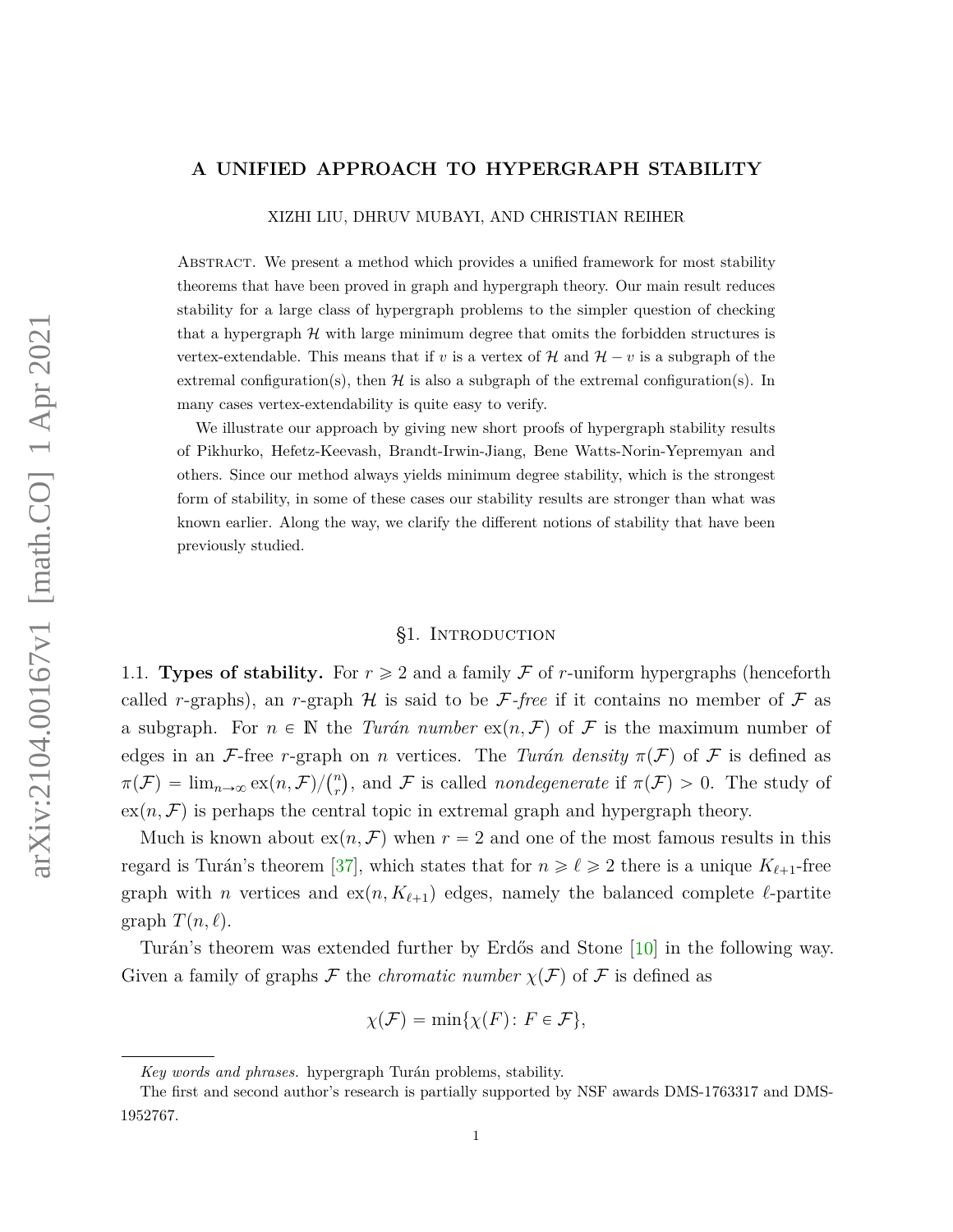#### **A UNIFIED APPROACH TO HYPERGRAPH STABILITY**

XIZHI LIU, DHRUV MUBAYI, AND CHRISTIAN REIHER

Abstract. We present a method which provides a unified framework for most stability theorems that have been proved in graph and hypergraph theory. Our main result reduces stability for a large class of hypergraph problems to the simpler question of checking that a hypergraph  $H$  with large minimum degree that omits the forbidden structures is vertex-extendable. This means that if *v* is a vertex of  $\mathcal{H}$  and  $\mathcal{H} - v$  is a subgraph of the extremal configuration(s), then  $\mathcal H$  is also a subgraph of the extremal configuration(s). In many cases vertex-extendability is quite easy to verify.

We illustrate our approach by giving new short proofs of hypergraph stability results of Pikhurko, Hefetz-Keevash, Brandt-Irwin-Jiang, Bene Watts-Norin-Yepremyan and others. Since our method always yields minimum degree stability, which is the strongest form of stability, in some of these cases our stability results are stronger than what was known earlier. Along the way, we clarify the different notions of stability that have been previously studied.

### §1. Introduction

<span id="page-0-0"></span>1.1. **Types of stability.** For  $r \geq 2$  and a family F of r-uniform hypergraphs (henceforth called *r*-graphs), an *r*-graph  $H$  is said to be *F*-free if it contains no member of *F* as a subgraph. For  $n \in \mathbb{N}$  the *Turán number*  $ex(n, \mathcal{F})$  of  $\mathcal{F}$  is the maximum number of edges in an F-free *r*-graph on *n* vertices. The *Turán density*  $\pi(F)$  of F is defined as  $π(F) = \lim_{n \to \infty} \frac{exp(n, F)}{n}$  $r(r)$ , and F is called *nondegenerate* if  $\pi(F) > 0$ . The study of  $ex(n, \mathcal{F})$  is perhaps the central topic in extremal graph and hypergraph theory.

Much is known about  $ex(n, \mathcal{F})$  when  $r = 2$  and one of the most famous results in this regard is Turán's theorem [\[37\]](#page-25-0), which states that for  $n \geq \ell \geq 2$  there is a unique  $K_{\ell+1}$ -free graph with *n* vertices and  $ex(n, K_{\ell+1})$  edges, namely the balanced complete  $\ell$ -partite graph  $T(n, \ell)$ .

Turán's theorem was extended further by Erdős and Stone [\[10\]](#page-23-0) in the following way. Given a family of graphs F the *chromatic number*  $\chi(F)$  of F is defined as

$$
\chi(\mathcal{F}) = \min\{\chi(F) \colon F \in \mathcal{F}\},\
$$

*Key words and phrases.* hypergraph Turán problems, stability.

The first and second author's research is partially supported by NSF awards DMS-1763317 and DMS-1952767.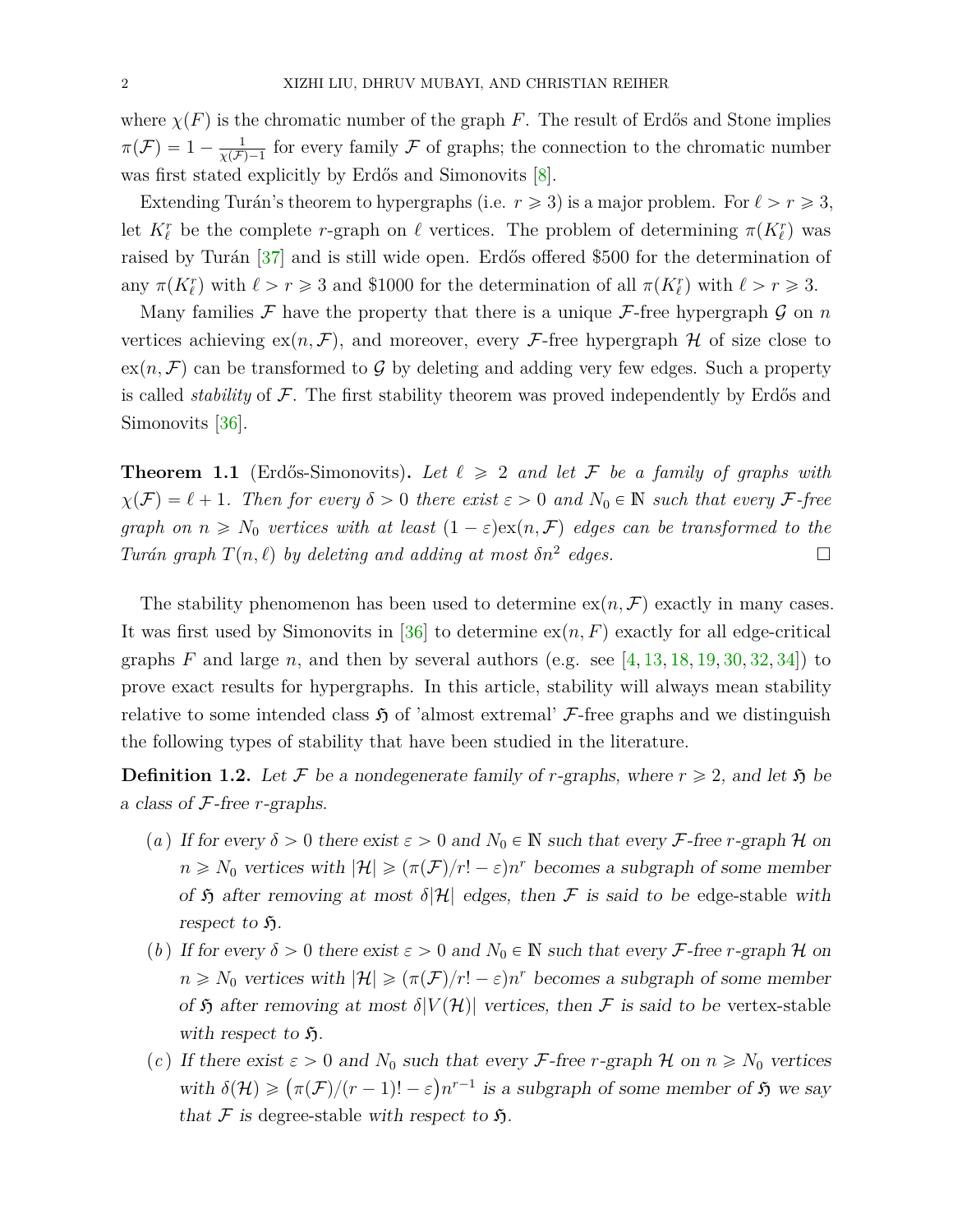where  $\chi(F)$  is the chromatic number of the graph *F*. The result of Erdős and Stone implies  $\pi(\mathcal{F}) = 1 - \frac{1}{\sqrt{\mathcal{F}}}$  $\frac{1}{\chi(\mathcal{F})-1}$  for every family F of graphs; the connection to the chromatic number was first stated explicitly by Erdős and Simonovits [\[8\]](#page-23-1).

Extending Turán's theorem to hypergraphs (i.e.  $r \geq 3$ ) is a major problem. For  $\ell > r \geq 3$ , let  $K_{\ell}^r$  be the complete *r*-graph on  $\ell$  vertices. The problem of determining  $\pi(K_{\ell}^r)$  was raised by Turán [\[37\]](#page-25-0) and is still wide open. Erdős offered \$500 for the determination of any  $\pi(K_{\ell}^{r})$  with  $\ell > r \ge 3$  and \$1000 for the determination of all  $\pi(K_{\ell}^{r})$  with  $\ell > r \ge 3$ .

Many families  $\mathcal F$  have the property that there is a unique  $\mathcal F$ -free hypergraph  $\mathcal G$  on  $n$ vertices achieving  $ex(n, \mathcal{F})$ , and moreover, every  $\mathcal{F}$ -free hypergraph H of size close to  $ex(n, \mathcal{F})$  can be transformed to G by deleting and adding very few edges. Such a property is called *stability* of F. The first stability theorem was proved independently by Erdős and Simonovits [\[36\]](#page-25-1).

<span id="page-1-0"></span>**Theorem 1.1** (Erdős-Simonovits). Let  $\ell \geq 2$  and let F be a family of graphs with  $\chi(F) = \ell + 1$ *. Then for every*  $\delta > 0$  *there exist*  $\varepsilon > 0$  *and*  $N_0 \in \mathbb{N}$  *such that every* F-free *graph on*  $n \geq N_0$  *vertices with at least*  $(1 - \varepsilon) \exp(n, \mathcal{F})$  *edges can be transformed to the Turán graph*  $T(n, \ell)$  *by deleting and adding at most*  $\delta n^2$  *edges.* 

The stability phenomenon has been used to determine  $ex(n, \mathcal{F})$  exactly in many cases. It was first used by Simonovits in [\[36\]](#page-25-1) to determine  $ex(n, F)$  exactly for all edge-critical graphs  $F$  and large  $n$ , and then by several authors (e.g. see [\[4,](#page-23-2) [13,](#page-24-0) [18,](#page-24-1) [19,](#page-24-2) [30,](#page-24-3) [32,](#page-25-2) [34\]](#page-25-3)) to prove exact results for hypergraphs. In this article, stability will always mean stability relative to some intended class  $\mathfrak{H}$  of 'almost extremal'  $\mathcal{F}$ -free graphs and we distinguish the following types of stability that have been studied in the literature.

<span id="page-1-1"></span>**Definition 1.2.** Let F be a nondegenerate family of r-graphs, where  $r \geq 2$ , and let  $\mathfrak{H}$  be a class of F-free *r*-graphs.

- (*a*) If for every  $\delta > 0$  there exist  $\varepsilon > 0$  and  $N_0 \in \mathbb{N}$  such that every F-free *r*-graph H on  $n \geq N_0$  vertices with  $|\mathcal{H}| \geqslant (\pi(\mathcal{F})/r! - \varepsilon)n^r$  becomes a subgraph of some member of  $\mathfrak H$  after removing at most  $\delta|\mathcal{H}|$  edges, then  $\mathcal F$  is said to be edge-stable with respect to  $\mathfrak{H}$ .
- <span id="page-1-2"></span>(*b*) If for every  $\delta > 0$  there exist  $\varepsilon > 0$  and  $N_0 \in \mathbb{N}$  such that every F-free *r*-graph H on  $n \geq N_0$  vertices with  $|\mathcal{H}| \geqslant (\pi(\mathcal{F})/r! - \varepsilon)n^r$  becomes a subgraph of some member of  $\mathfrak H$  after removing at most  $\delta|V(\mathcal H)|$  vertices, then F is said to be vertex-stable with respect to  $\mathfrak{H}$ .
- (*c*) If there exist  $\varepsilon > 0$  and  $N_0$  such that every *F*-free *r*-graph  $\mathcal H$  on  $n \ge N_0$  vertices *π* there exist  $\varepsilon > 0$  and  $N_0$  such that every *f*-iree *r*-graph  $\pi$  on  $n \ge N_0$  vertices<br>with  $\delta(\mathcal{H}) \ge (\pi(\mathcal{F})/(r-1)! - \varepsilon)n^{r-1}$  is a subgraph of some member of  $\mathfrak H$  we say that F is degree-stable with respect to  $\mathfrak{H}$ .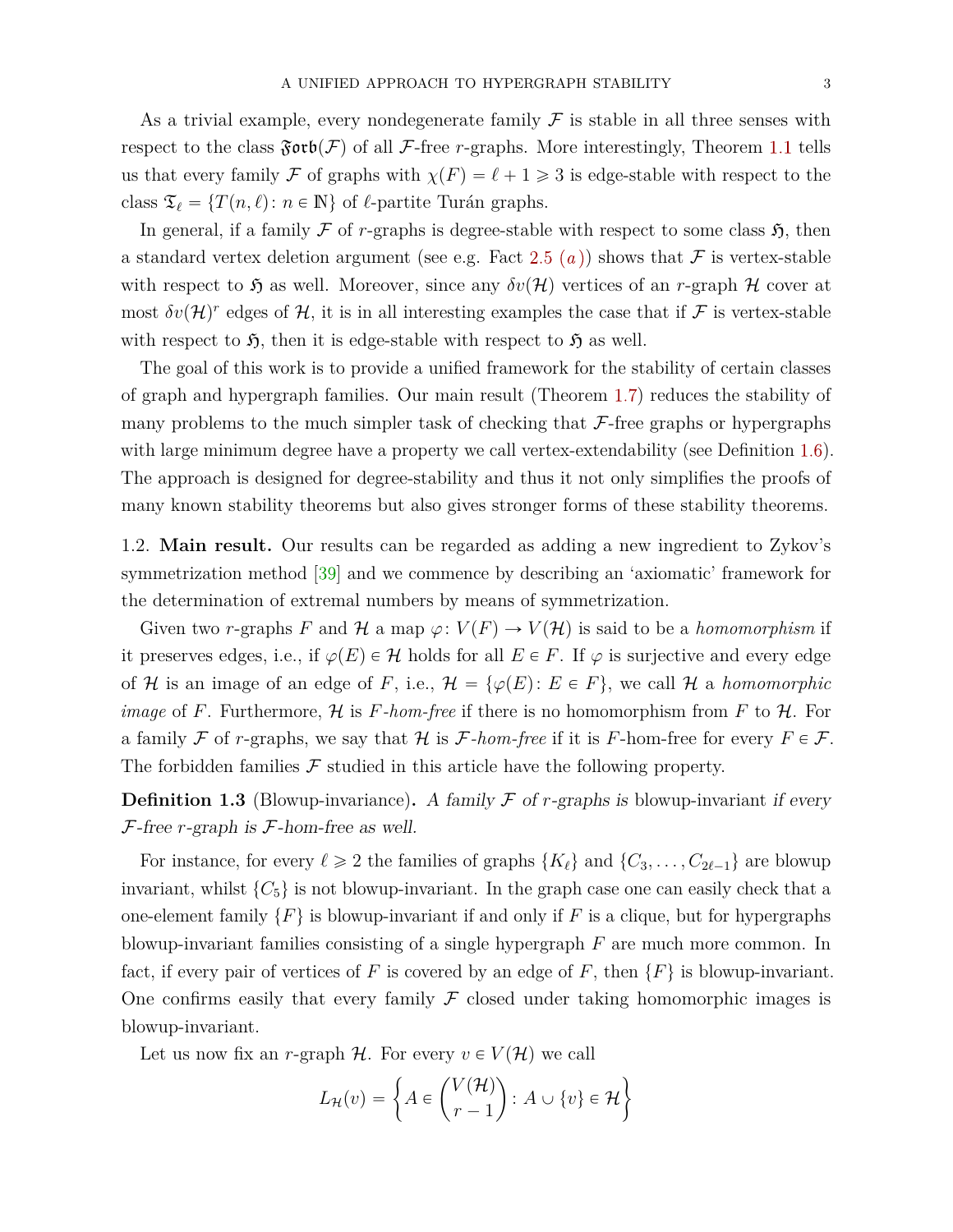As a trivial example, every nondegenerate family  $\mathcal F$  is stable in all three senses with respect to the class  $\mathfrak{Forb}(\mathcal{F})$  of all  $\mathcal{F}\text{-free }r\text{-graphs}$ . More interestingly, Theorem [1.1](#page-1-0) tells us that every family F of graphs with  $\chi(F) = \ell + 1 \geq 3$  is edge-stable with respect to the class  $\mathfrak{T}_\ell = \{T(n, \ell) : n \in \mathbb{N}\}$  of  $\ell$ -partite Turán graphs.

In general, if a family  $\mathcal F$  of *r*-graphs is degree-stable with respect to some class  $\mathfrak H$ , then a standard vertex deletion argument (see e.g. Fact [2.5](#page-9-0)  $(a)$  $(a)$  $(a)$ ) shows that F is vertex-stable with respect to  $\mathfrak{H}$  as well. Moreover, since any  $\delta v(\mathcal{H})$  vertices of an *r*-graph H cover at most  $\delta v(\mathcal{H})^r$  edges of  $\mathcal{H}$ , it is in all interesting examples the case that if  $\mathcal F$  is vertex-stable with respect to  $\mathfrak{H}$ , then it is edge-stable with respect to  $\mathfrak{H}$  as well.

The goal of this work is to provide a unified framework for the stability of certain classes of graph and hypergraph families. Our main result (Theorem [1.7\)](#page-3-0) reduces the stability of many problems to the much simpler task of checking that  $\mathcal{F}\text{-free graphs}$  or hypergraphs with large minimum degree have a property we call vertex-extendability (see Definition [1.6\)](#page-3-1). The approach is designed for degree-stability and thus it not only simplifies the proofs of many known stability theorems but also gives stronger forms of these stability theorems.

<span id="page-2-0"></span>1.2. **Main result.** Our results can be regarded as adding a new ingredient to Zykov's symmetrization method [\[39\]](#page-25-4) and we commence by describing an 'axiomatic' framework for the determination of extremal numbers by means of symmetrization.

Given two *r*-graphs *F* and H a map  $\varphi: V(F) \to V(H)$  is said to be a *homomorphism* if it preserves edges, i.e., if  $\varphi(E) \in \mathcal{H}$  holds for all  $E \in F$ . If  $\varphi$  is surjective and every edge of H is an image of an edge of F, i.e.,  $\mathcal{H} = {\varphi(E) : E \in F}$ , we call H a *homomorphic image* of *F*. Furthermore,  $H$  is *F-hom-free* if there is no homomorphism from *F* to  $H$ . For a family F of *r*-graphs, we say that H is F-hom-free if it is F-hom-free for every  $F \in \mathcal{F}$ . The forbidden families  $\mathcal F$  studied in this article have the following property.

**Definition 1.3** (Blowup-invariance). A family  $\mathcal F$  of  $r$ -graphs is blowup-invariant if every F-free *r*-graph is F-hom-free as well.

For instance, for every  $\ell \ge 2$  the families of graphs  $\{K_{\ell}\}\$  and  $\{C_3, \ldots, C_{2\ell-1}\}\$  are blowup invariant, whilst  $\{C_5\}$  is not blowup-invariant. In the graph case one can easily check that a one-element family  $\{F\}$  is blowup-invariant if and only if F is a clique, but for hypergraphs blowup-invariant families consisting of a single hypergraph *F* are much more common. In fact, if every pair of vertices of *F* is covered by an edge of *F*, then  $\{F\}$  is blowup-invariant. One confirms easily that every family  $\mathcal F$  closed under taking homomorphic images is blowup-invariant.

Let us now fix an *r*-graph  $H$ . For every  $v \in V(H)$  we call

$$
L_{\mathcal{H}}(v) = \left\{ A \in \binom{V(\mathcal{H})}{r-1} : A \cup \{v\} \in \mathcal{H} \right\}
$$

\*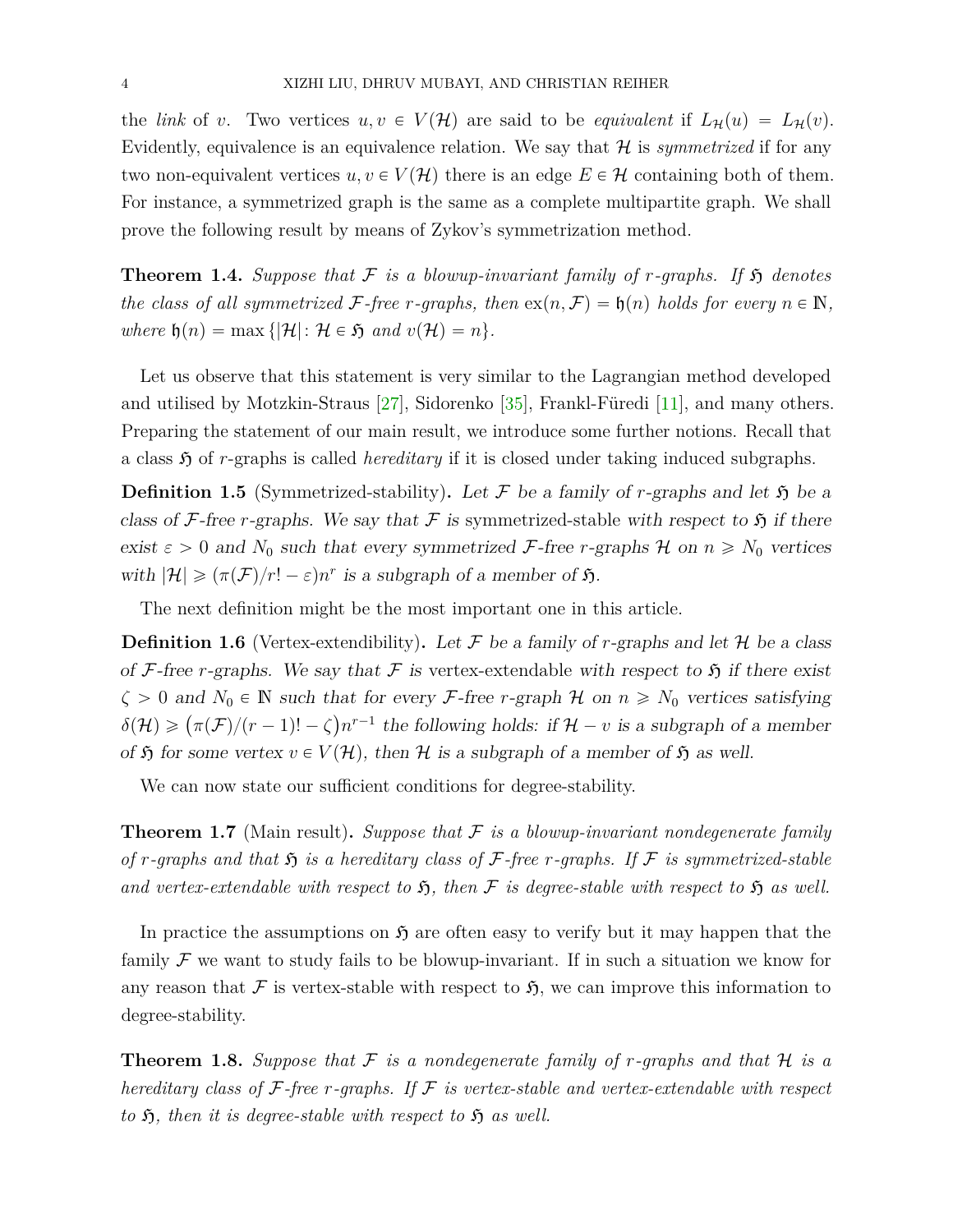the *link* of *v*. Two vertices  $u, v \in V(H)$  are said to be *equivalent* if  $L_{\mathcal{H}}(u) = L_{\mathcal{H}}(v)$ . Evidently, equivalence is an equivalence relation. We say that  $H$  is *symmetrized* if for any two non-equivalent vertices  $u, v \in V(H)$  there is an edge  $E \in H$  containing both of them. For instance, a symmetrized graph is the same as a complete multipartite graph. We shall prove the following result by means of Zykov's symmetrization method.

<span id="page-3-2"></span>**Theorem 1.4.** Suppose that  $\mathcal F$  is a blowup-invariant family of r-graphs. If  $\mathfrak H$  denotes *the class of all symmetrized*  $\mathcal{F}$ -free *r-graphs, then*  $ex(n, \mathcal{F}) = \mathfrak{h}(n)$  *holds for every*  $n \in \mathbb{N}$ *, where*  $\mathfrak{h}(n) = \max \{|\mathcal{H}|: \mathcal{H} \in \mathfrak{H} \text{ and } v(\mathcal{H}) = n\}.$ 

Let us observe that this statement is very similar to the Lagrangian method developed and utilised by Motzkin-Straus [\[27\]](#page-24-4), Sidorenko [\[35\]](#page-25-5), Frankl-Füredi [\[11\]](#page-24-5), and many others. Preparing the statement of our main result, we introduce some further notions. Recall that a class  $\mathfrak{H}$  of *r*-graphs is called *hereditary* if it is closed under taking induced subgraphs.

**Definition 1.5** (Symmetrized-stability). Let F be a family of *r*-graphs and let  $\mathfrak{H}$  be a class of F-free *r*-graphs. We say that F is symmetrized-stable with respect to  $\mathfrak{H}$  if there exist  $\varepsilon > 0$  and  $N_0$  such that every symmetrized F-free *r*-graphs H on  $n \ge N_0$  vertices with  $|\mathcal{H}| \geqslant (\pi(\mathcal{F})/r! - \varepsilon)n^r$  is a subgraph of a member of  $\mathfrak{H}$ .

The next definition might be the most important one in this article.

<span id="page-3-1"></span>**Definition 1.6** (Vertex-extendibility). Let  $\mathcal F$  be a family of *r*-graphs and let  $\mathcal H$  be a class of F-free *r*-graphs. We say that F is vertex-extendable with respect to  $\mathfrak{H}$  if there exist  $\zeta > 0$  and  $N_0 \in \mathbb{N}$  such that for every *F*-free *r*-graph  $\mathcal{H}$  on  $n \ge N_0$  vertices satisfying  $\delta(\mathcal{H}) \geqslant (\pi(\mathcal{F})/(r-1)! - \zeta)n^{r-1}$  the following holds: if  $\mathcal{H} - v$  is a subgraph of a member of  $\mathfrak H$  for some vertex  $v \in V(\mathcal H)$ , then  $\mathcal H$  is a subgraph of a member of  $\mathfrak H$  as well.

We can now state our sufficient conditions for degree-stability.

<span id="page-3-0"></span>**Theorem 1.7** (Main result)**.** *Suppose that* F *is a blowup-invariant nondegenerate family of r-graphs and that*  $\mathfrak{H}$  *is a hereditary class of*  $\mathcal{F}$ *-free r-graphs.* If  $\mathcal{F}$  *is symmetrized-stable* and vertex-extendable with respect to  $\mathfrak{H}$ , then  $\mathcal F$  is degree-stable with respect to  $\mathfrak H$  as well.

In practice the assumptions on  $\mathfrak{H}$  are often easy to verify but it may happen that the family  $\mathcal F$  we want to study fails to be blowup-invariant. If in such a situation we know for any reason that F is vertex-stable with respect to  $\mathfrak{H}$ , we can improve this information to degree-stability.

<span id="page-3-3"></span>**Theorem 1.8.** Suppose that  $\mathcal F$  is a nondegenerate family of r-graphs and that  $\mathcal H$  is a *hereditary class of* F*-free r-graphs. If* F *is vertex-stable and vertex-extendable with respect to*  $\mathfrak{H}$ , then it is degree-stable with respect to  $\mathfrak{H}$  as well.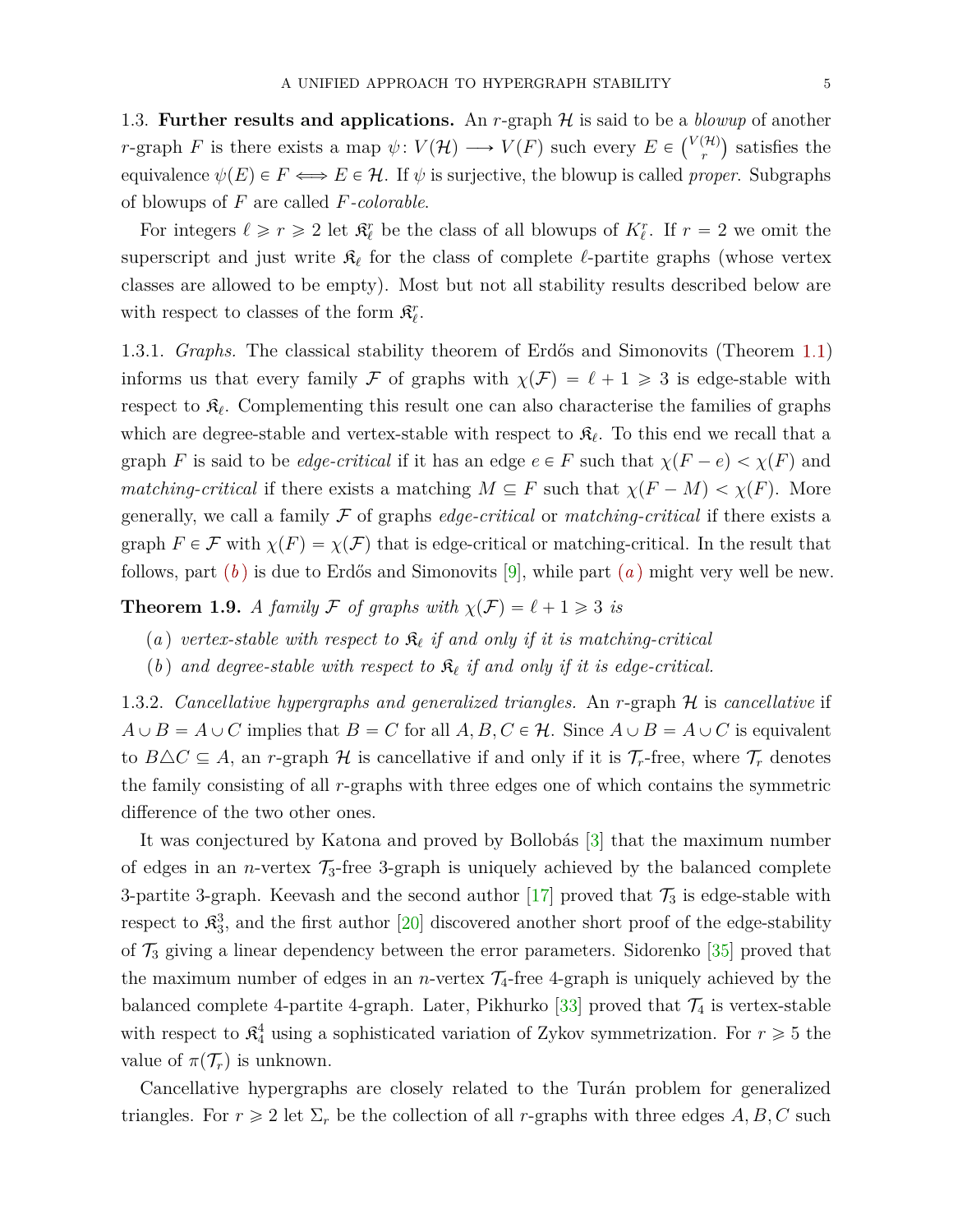<span id="page-4-2"></span>1.3. **Further results and applications.** An *r*-graph  $H$  is said to be a *blowup* of another *r*-graph *F* is there exists a map  $\psi: V(\mathcal{H}) \longrightarrow V(F)$  such every  $E \in {V(\mathcal{H}) \choose r}$  $\binom{(\mathcal{H})}{r}$  satisfies the equivalence  $\psi(E) \in F \Longleftrightarrow E \in \mathcal{H}$ . If  $\psi$  is surjective, the blowup is called *proper*. Subgraphs of blowups of *F* are called *F-colorable*.

For integers  $\ell \geq r \geq 2$  let  $\mathfrak{K}_{\ell}^r$  be the class of all blowups of  $K_{\ell}^r$ . If  $r = 2$  we omit the superscript and just write  $\mathfrak{K}_{\ell}$  for the class of complete  $\ell$ -partite graphs (whose vertex classes are allowed to be empty). Most but not all stability results described below are with respect to classes of the form  $\mathfrak{K}^r_{\ell}$ .

<span id="page-4-5"></span>1.3.1. *Graphs.* The classical stability theorem of Erdős and Simonovits (Theorem [1.1\)](#page-1-0) informs us that every family F of graphs with  $\chi(F) = \ell + 1 \geq 3$  is edge-stable with respect to  $\mathfrak{K}_{\ell}$ . Complementing this result one can also characterise the families of graphs which are degree-stable and vertex-stable with respect to  $\mathfrak{K}_{\ell}$ . To this end we recall that a graph *F* is said to be *edge-critical* if it has an edge  $e \in F$  such that  $\chi(F - e) < \chi(F)$  and *matching-critical* if there exists a matching  $M \subseteq F$  such that  $\chi(F - M) < \chi(F)$ . More generally, we call a family F of graphs *edge-critical* or *matching-critical* if there exists a graph  $F \in \mathcal{F}$  with  $\chi(F) = \chi(\mathcal{F})$  that is edge-critical or matching-critical. In the result that follows, part (*[b](#page-4-0)* ) is due to Erdős and Simonovits [\[9\]](#page-23-3), while part (*[a](#page-4-1)* ) might very well be new.

<span id="page-4-3"></span><span id="page-4-1"></span>**Theorem 1.9.** *A family*  $\mathcal F$  *of graphs with*  $\chi(\mathcal F) = \ell + 1 \geq 3$  *is* 

- (a) vertex-stable with respect to  $\mathfrak{K}_{\ell}$  if and only if it is matching-critical
- <span id="page-4-0"></span>(*b*) and degree-stable with respect to  $\mathcal{R}_{\ell}$  if and only if it is edge-critical.

<span id="page-4-4"></span>1.3.2. *Cancellative hypergraphs and generalized triangles.* An *r*-graph H is *cancellative* if  $A \cup B = A \cup C$  implies that  $B = C$  for all  $A, B, C \in \mathcal{H}$ . Since  $A \cup B = A \cup C$  is equivalent to  $B \triangle C \subseteq A$ , an *r*-graph H is cancellative if and only if it is  $\mathcal{T}_r$ -free, where  $\mathcal{T}_r$  denotes the family consisting of all *r*-graphs with three edges one of which contains the symmetric difference of the two other ones.

It was conjectured by Katona and proved by Bollobás [\[3\]](#page-23-4) that the maximum number of edges in an *n*-vertex  $\mathcal{T}_3$ -free 3-graph is uniquely achieved by the balanced complete 3-partite 3-graph. Keevash and the second author [\[17\]](#page-24-6) proved that  $\mathcal{T}_3$  is edge-stable with respect to  $\mathfrak{K}_3^3$ , and the first author [\[20\]](#page-24-7) discovered another short proof of the edge-stability of  $\mathcal{T}_3$  giving a linear dependency between the error parameters. Sidorenko [\[35\]](#page-25-5) proved that the maximum number of edges in an *n*-vertex  $\mathcal{T}_4$ -free 4-graph is uniquely achieved by the balanced complete 4-partite 4-graph. Later, Pikhurko [\[33\]](#page-25-6) proved that  $\mathcal{T}_4$  is vertex-stable with respect to  $\mathbb{R}_4^4$  using a sophisticated variation of Zykov symmetrization. For  $r \geq 5$  the value of  $\pi(\mathcal{T}_r)$  is unknown.

Cancellative hypergraphs are closely related to the Turán problem for generalized triangles. For  $r \geq 2$  let  $\Sigma_r$  be the collection of all *r*-graphs with three edges  $A, B, C$  such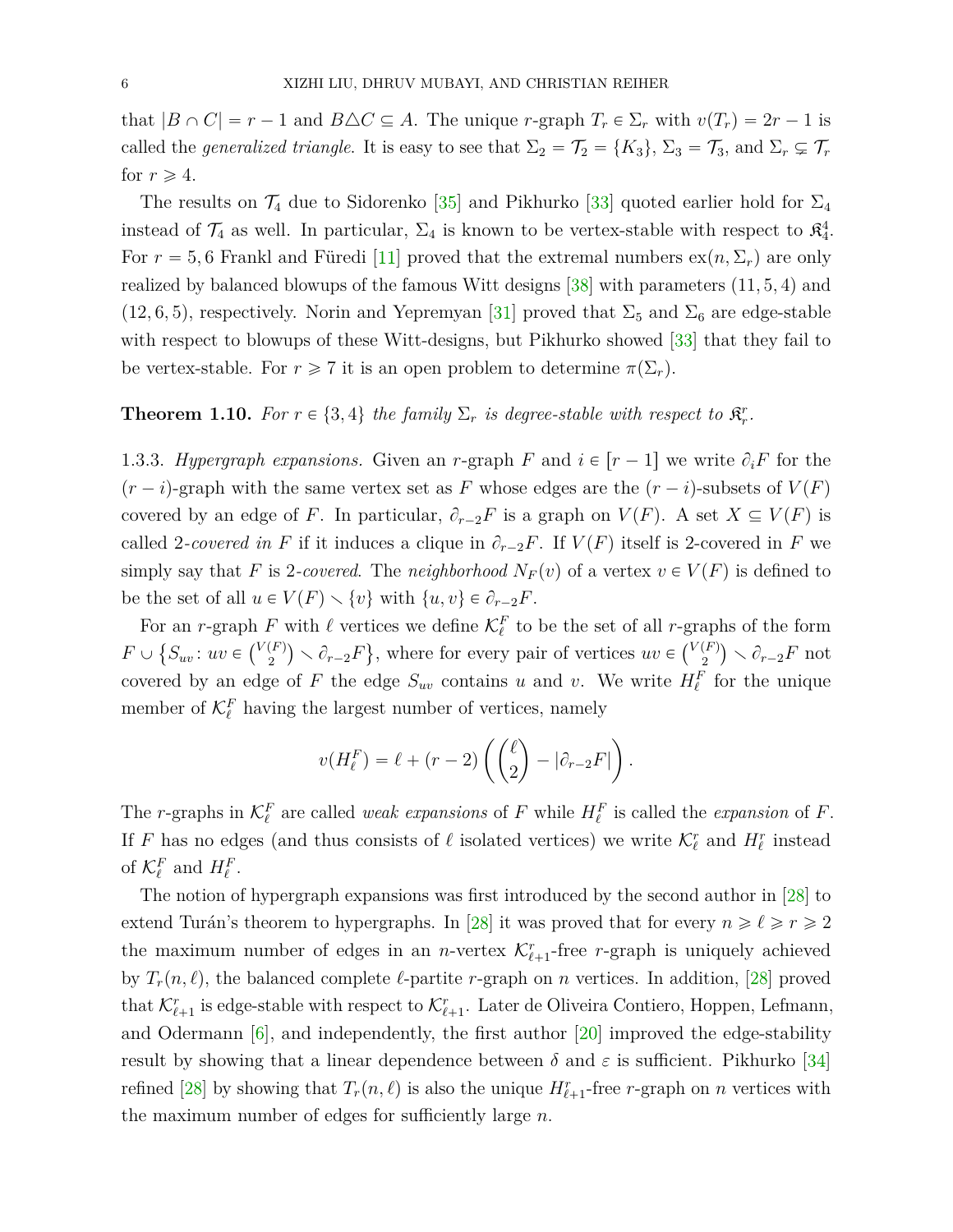that  $|B \cap C| = r - 1$  and  $B \triangle C \subseteq A$ . The unique *r*-graph  $T_r \in \Sigma_r$  with  $v(T_r) = 2r - 1$  is called the *generalized triangle*. It is easy to see that  $\Sigma_2 = \mathcal{T}_2 = \{K_3\}$ ,  $\Sigma_3 = \mathcal{T}_3$ , and  $\Sigma_r \subsetneq \mathcal{T}_r$ for  $r \geqslant 4$ .

The results on  $\mathcal{T}_4$  due to Sidorenko [\[35\]](#page-25-5) and Pikhurko [\[33\]](#page-25-6) quoted earlier hold for  $\Sigma_4$ instead of  $\mathcal{T}_4$  as well. In particular,  $\Sigma_4$  is known to be vertex-stable with respect to  $\mathfrak{K}_4^4$ . For  $r = 5, 6$  Frankl and Füredi [\[11\]](#page-24-5) proved that the extremal numbers  $ex(n, \Sigma_r)$  are only realized by balanced blowups of the famous Witt designs  $[38]$  with parameters  $(11, 5, 4)$  and  $(12, 6, 5)$ , respectively. Norin and Yepremyan [\[31\]](#page-25-8) proved that  $\Sigma_5$  and  $\Sigma_6$  are edge-stable with respect to blowups of these Witt-designs, but Pikhurko showed [\[33\]](#page-25-6) that they fail to be vertex-stable. For  $r \geq 7$  it is an open problem to determine  $\pi(\Sigma_r)$ .

# <span id="page-5-0"></span>**Theorem 1.10.** For  $r \in \{3, 4\}$  the family  $\Sigma_r$  is degree-stable with respect to  $\mathfrak{K}_r^r$ .

<span id="page-5-1"></span>1.3.3. *Hypergraph expansions.* Given an *r*-graph *F* and  $i \in [r-1]$  we write  $\partial_i F$  for the  $(r - i)$ -graph with the same vertex set as *F* whose edges are the  $(r - i)$ -subsets of  $V(F)$ covered by an edge of *F*. In particular,  $\partial_{r-2}F$  is a graph on  $V(F)$ . A set  $X \subseteq V(F)$  is called 2-covered in F if it induces a clique in  $\partial_{r-2}F$ . If  $V(F)$  itself is 2-covered in F we simply say that *F* is 2-covered. The *neighborhood*  $N_F(v)$  of a vertex  $v \in V(F)$  is defined to be the set of all  $u \in V(F) \setminus \{v\}$  with  $\{u, v\} \in \partial_{r-2}F$ .

For an *r*-graph *F* with  $\ell$  vertices we define  $\mathcal{K}_{\ell}^{F}$  to be the set of all *r*-graphs of the form  $F \cup \{S_{uv}: uv \in {V(F) \choose 2}$  $\binom{F}{2}$   $\setminus$   $\partial_{r-2}F$ , where for every pair of vertices  $uv \in \binom{V(F)}{2}$  $\binom{F}{2}$   $\setminus$   $\partial_{r-2}F$  not covered by an edge of *F* the edge  $S_{uv}$  contains *u* and *v*. We write  $H_{\ell}^F$  for the unique member of  $\mathcal{K}_{\ell}^F$  having the largest number of vertices, namely

$$
v(H_{\ell}^{F}) = \ell + (r - 2) \left( \binom{\ell}{2} - |\partial_{r-2}F| \right).
$$

The *r*-graphs in  $\mathcal{K}_{\ell}^F$  are called *weak expansions* of *F* while  $H_{\ell}^F$  is called the *expansion* of *F*. If *F* has no edges (and thus consists of  $\ell$  isolated vertices) we write  $\mathcal{K}_{\ell}^r$  and  $H_{\ell}^r$  instead of  $\mathcal{K}_{\ell}^F$  and  $H_{\ell}^F$ .

The notion of hypergraph expansions was first introduced by the second author in [\[28\]](#page-24-8) to extend Turán's theorem to hypergraphs. In [\[28\]](#page-24-8) it was proved that for every  $n \ge \ell \ge r \ge 2$ the maximum number of edges in an *n*-vertex  $\mathcal{K}^r_{\ell+1}$ -free *r*-graph is uniquely achieved by  $T_r(n, \ell)$ , the balanced complete  $\ell$ -partite *r*-graph on *n* vertices. In addition, [\[28\]](#page-24-8) proved that  $\mathcal{K}^r_{\ell+1}$  is edge-stable with respect to  $\mathcal{K}^r_{\ell+1}$ . Later de Oliveira Contiero, Hoppen, Lefmann, and Odermann [\[6\]](#page-23-5), and independently, the first author [\[20\]](#page-24-7) improved the edge-stability result by showing that a linear dependence between  $\delta$  and  $\varepsilon$  is sufficient. Pikhurko [\[34\]](#page-25-3) refined [\[28\]](#page-24-8) by showing that  $T_r(n, \ell)$  is also the unique  $H^r_{\ell+1}$ -free *r*-graph on *n* vertices with the maximum number of edges for sufficiently large *n*.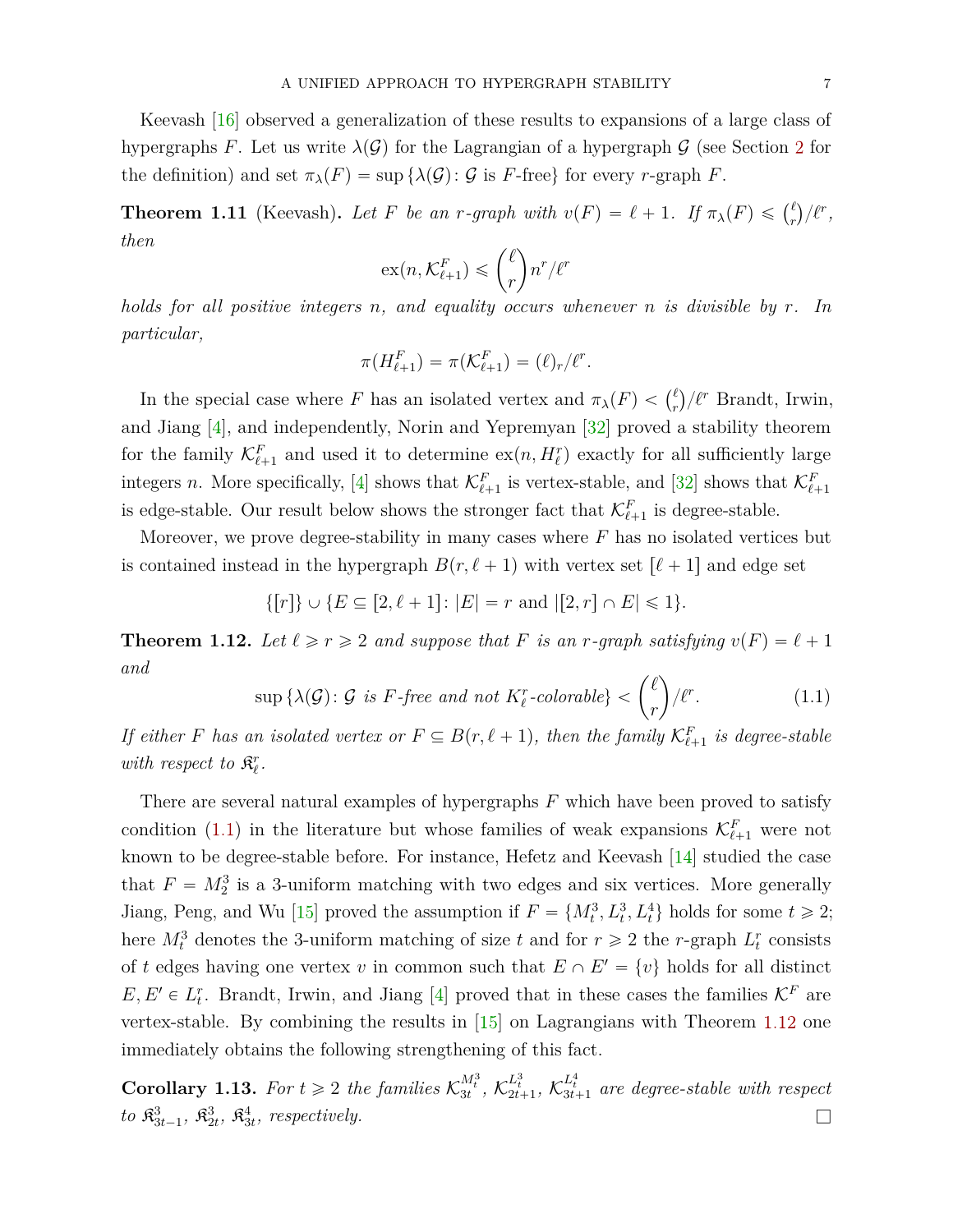Keevash [\[16\]](#page-24-9) observed a generalization of these results to expansions of a large class of hypergraphs *F*. Let us write  $\lambda(\mathcal{G})$  for the Lagrangian of a hypergraph  $\mathcal{G}$  (see Section [2](#page-7-0) for the definition) and set  $\pi_{\lambda}(F) = \sup \{ \lambda(\mathcal{G}) : \mathcal{G} \text{ is } F\text{-free} \}$  for every *r*-graph *F*.

<span id="page-6-2"></span>**Theorem 1.11** (Keevash). Let F be an r-graph with  $v(F) = \ell + 1$ . If  $\pi_{\lambda}(F) \leq \binom{\ell}{r}$ *r*  $\ell^r$ , *then* ˙

$$
\mathrm{ex}(n,\mathcal{K}^F_{\ell+1}) \leqslant {\ell \choose r} n^r / \ell^r
$$

*holds for all positive integers n, and equality occurs whenever n is divisible by r. In particular,*

$$
\pi(H_{\ell+1}^F) = \pi(\mathcal{K}_{\ell+1}^F) = (\ell)_r/\ell^r.
$$

In the special case where *F* has an isolated vertex and  $\pi_{\lambda}(F) < \binom{\ell}{r}$  $\binom{\ell}{r}/\ell^r$  Brandt, Irwin, and Jiang [\[4\]](#page-23-2), and independently, Norin and Yepremyan [\[32\]](#page-25-2) proved a stability theorem for the family  $\mathcal{K}^F_{\ell+1}$  and used it to determine  $\exp(n, H_\ell^r)$  exactly for all sufficiently large integers *n*. More specifically, [\[4\]](#page-23-2) shows that  $\mathcal{K}^F_{\ell+1}$  is vertex-stable, and [\[32\]](#page-25-2) shows that  $\mathcal{K}^F_{\ell+1}$ is edge-stable. Our result below shows the stronger fact that  $\mathcal{K}^F_{\ell+1}$  is degree-stable.

Moreover, we prove degree-stability in many cases where *F* has no isolated vertices but is contained instead in the hypergraph  $B(r, \ell + 1)$  with vertex set  $\lbrack \ell + 1 \rbrack$  and edge set

$$
\{[r]\}\cup\{E\subseteq [2,\ell+1]\colon |E|=r\text{ and }|[2,r]\cap E|\leqslant 1\}.
$$

<span id="page-6-1"></span>**Theorem 1.12.** Let  $\ell \geq r \geq 2$  and suppose that F is an *r*-graph satisfying  $v(F) = \ell + 1$ *and*

<span id="page-6-0"></span>
$$
\sup \{ \lambda(\mathcal{G}) : \mathcal{G} \text{ is } F \text{-free and not } K^r_{\ell} \text{-colorable} \} < { \ell \choose r} / \ell^r. \tag{1.1}
$$

*If either F has an isolated vertex or*  $F \subseteq B(r, \ell + 1)$ , *then the family*  $\mathcal{K}_{\ell+1}^F$  *is degree-stable* with respect to  $\mathfrak{K}_{\ell}^r$ .

There are several natural examples of hypergraphs *F* which have been proved to satisfy condition [\(1.1\)](#page-6-0) in the literature but whose families of weak expansions  $\mathcal{K}^F_{\ell+1}$  were not known to be degree-stable before. For instance, Hefetz and Keevash  $[14]$  studied the case that  $F = M_2^3$  is a 3-uniform matching with two edges and six vertices. More generally Jiang, Peng, and Wu [\[15\]](#page-24-11) proved the assumption if  $F = \{M_t^3, L_t^3, L_t^4\}$  holds for some  $t \geq 2$ ; here  $M_t^3$  denotes the 3-uniform matching of size *t* and for  $r \ge 2$  the *r*-graph  $L_t^r$  consists of *t* edges having one vertex *v* in common such that  $E \cap E' = \{v\}$  holds for all distinct  $E, E' \in L_t^r$ . Brandt, Irwin, and Jiang [\[4\]](#page-23-2) proved that in these cases the families  $\mathcal{K}^F$  are vertex-stable. By combining the results in [\[15\]](#page-24-11) on Lagrangians with Theorem [1.12](#page-6-1) one immediately obtains the following strengthening of this fact.

**Corollary 1.13.** For  $t \geq 2$  the families  $\mathcal{K}_{3t}^{M_t^3}$ ,  $\mathcal{K}_{2t+1}^{L_t^3}$ ,  $\mathcal{K}_{3t+1}^{L_t^4}$  are degree-stable with respect  $\mathcal{R}^3_{3t-1}, \ \mathcal{R}^3_{2t}, \ \mathcal{R}^4_{3t},$  respectively.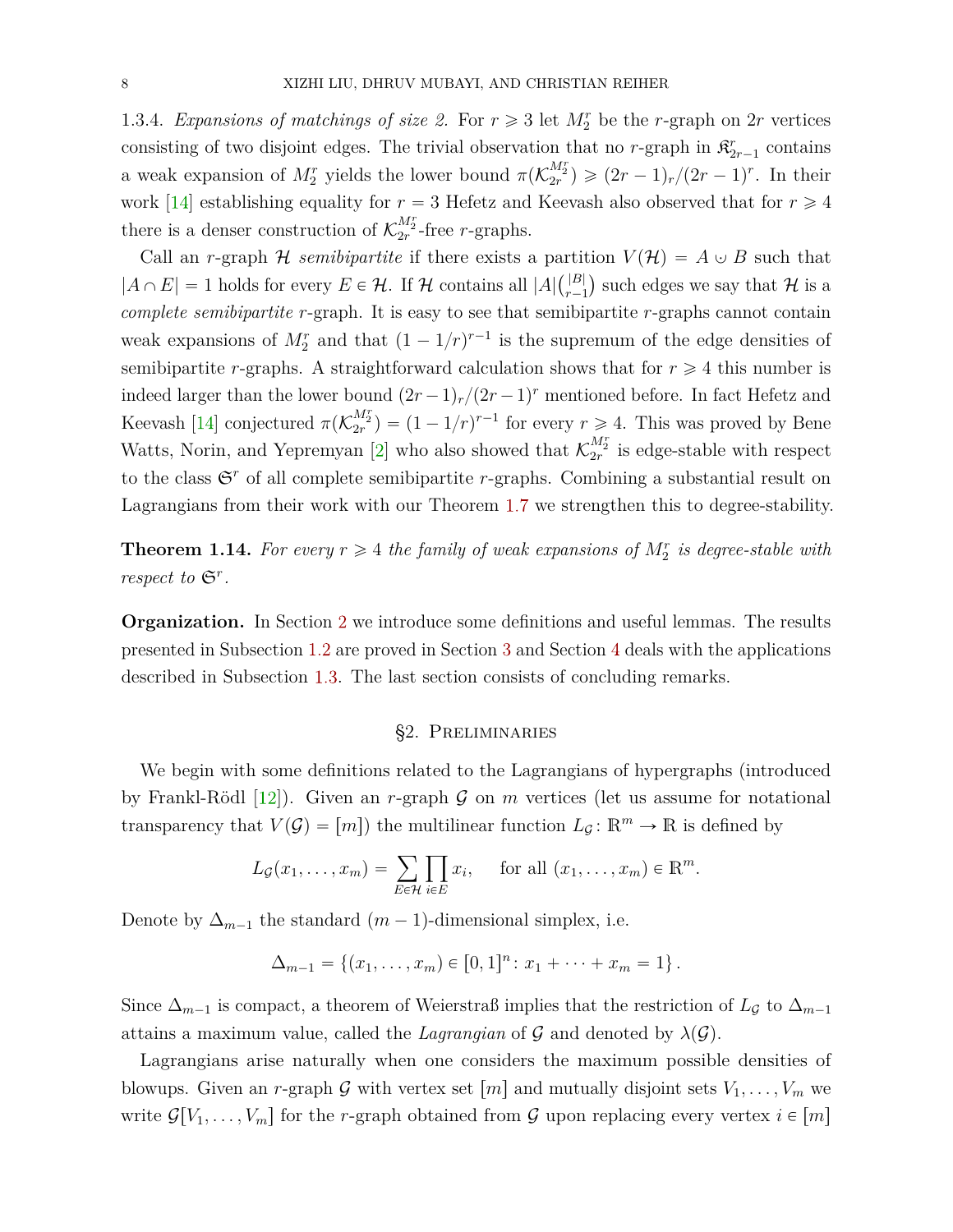<span id="page-7-2"></span>1.3.4. *Expansions of matchings of size 2.* For  $r \ge 3$  let  $M_2^r$  be the *r*-graph on 2*r* vertices consisting of two disjoint edges. The trivial observation that no *r*-graph in  $\mathfrak{K}_{2r-1}^r$  contains a weak expansion of  $M_2^r$  yields the lower bound  $\pi(\mathcal{K}_{2r}^{M_2^r}) \geqslant (2r-1)_r/(2r-1)^r$ . In their work [\[14\]](#page-24-10) establishing equality for  $r = 3$  Hefetz and Keevash also observed that for  $r \ge 4$ there is a denser construction of  $\mathcal{K}_{2r}^{M_{2}^{r}}$ -free *r*-graphs.

Call an *r*-graph  $H$  *semibipartite* if there exists a partition  $V(H) = A \cup B$  such that  $|A \cap E| = 1$  holds for every  $E \in \mathcal{H}$ . If H contains all  $|A| \binom{|B|}{r-1}$  $\binom{|B|}{r-1}$  such edges we say that  $\mathcal H$  is a *complete semibipartite r*-graph. It is easy to see that semibipartite *r*-graphs cannot contain weak expansions of  $M_2^r$  and that  $(1 - 1/r)^{r-1}$  is the supremum of the edge densities of semibipartite *r*-graphs. A straightforward calculation shows that for  $r \geq 4$  this number is indeed larger than the lower bound  $(2r-1)<sub>r</sub>/(2r-1)<sup>r</sup>$  mentioned before. In fact Hefetz and Keevash [\[14\]](#page-24-10) conjectured  $\pi(\mathcal{K}_{2r}^{M_2^r}) = (1 - 1/r)^{r-1}$  for every  $r \geq 4$ . This was proved by Bene Watts, Norin, and Yepremyan [\[2\]](#page-23-6) who also showed that  $\mathcal{K}_{2r}^{M_2^r}$  is edge-stable with respect to the class  $\mathfrak{S}^r$  of all complete semibipartite *r*-graphs. Combining a substantial result on Lagrangians from their work with our Theorem [1.7](#page-3-0) we strengthen this to degree-stability.

<span id="page-7-1"></span>**Theorem 1.14.** For every  $r \geq 4$  the family of weak expansions of  $M_2^r$  is degree-stable with *respect to*  $\mathfrak{S}^r$ *.* 

**Organization.** In Section [2](#page-7-0) we introduce some definitions and useful lemmas. The results presented in Subsection [1.2](#page-2-0) are proved in Section [3](#page-9-2) and Section [4](#page-12-0) deals with the applications described in Subsection [1.3.](#page-4-2) The last section consists of concluding remarks.

## §2. Preliminaries

<span id="page-7-0"></span>We begin with some definitions related to the Lagrangians of hypergraphs (introduced by Frankl-Rödl  $[12]$ ). Given an *r*-graph G on *m* vertices (let us assume for notational transparency that  $V(\mathcal{G}) = [m]$  the multilinear function  $L_{\mathcal{G}} \colon \mathbb{R}^m \to \mathbb{R}$  is defined by

$$
L_{\mathcal{G}}(x_1,\ldots,x_m)=\sum_{E\in\mathcal{H}}\prod_{i\in E}x_i,\quad \text{ for all }(x_1,\ldots,x_m)\in\mathbb{R}^m.
$$

Denote by  $\Delta_{m-1}$  the standard  $(m-1)$ -dimensional simplex, i.e.

$$
\Delta_{m-1} = \{(x_1, \ldots, x_m) \in [0,1]^n : x_1 + \cdots + x_m = 1\}.
$$

Since  $\Delta_{m-1}$  is compact, a theorem of Weierstraß implies that the restriction of  $L_{\mathcal{G}}$  to  $\Delta_{m-1}$ attains a maximum value, called the *Lagrangian* of G and denoted by  $\lambda(G)$ .

Lagrangians arise naturally when one considers the maximum possible densities of blowups. Given an *r*-graph G with vertex set  $[m]$  and mutually disjoint sets  $V_1, \ldots, V_m$  we write  $\mathcal{G}[V_1, \ldots, V_m]$  for the *r*-graph obtained from  $\mathcal{G}$  upon replacing every vertex  $i \in [m]$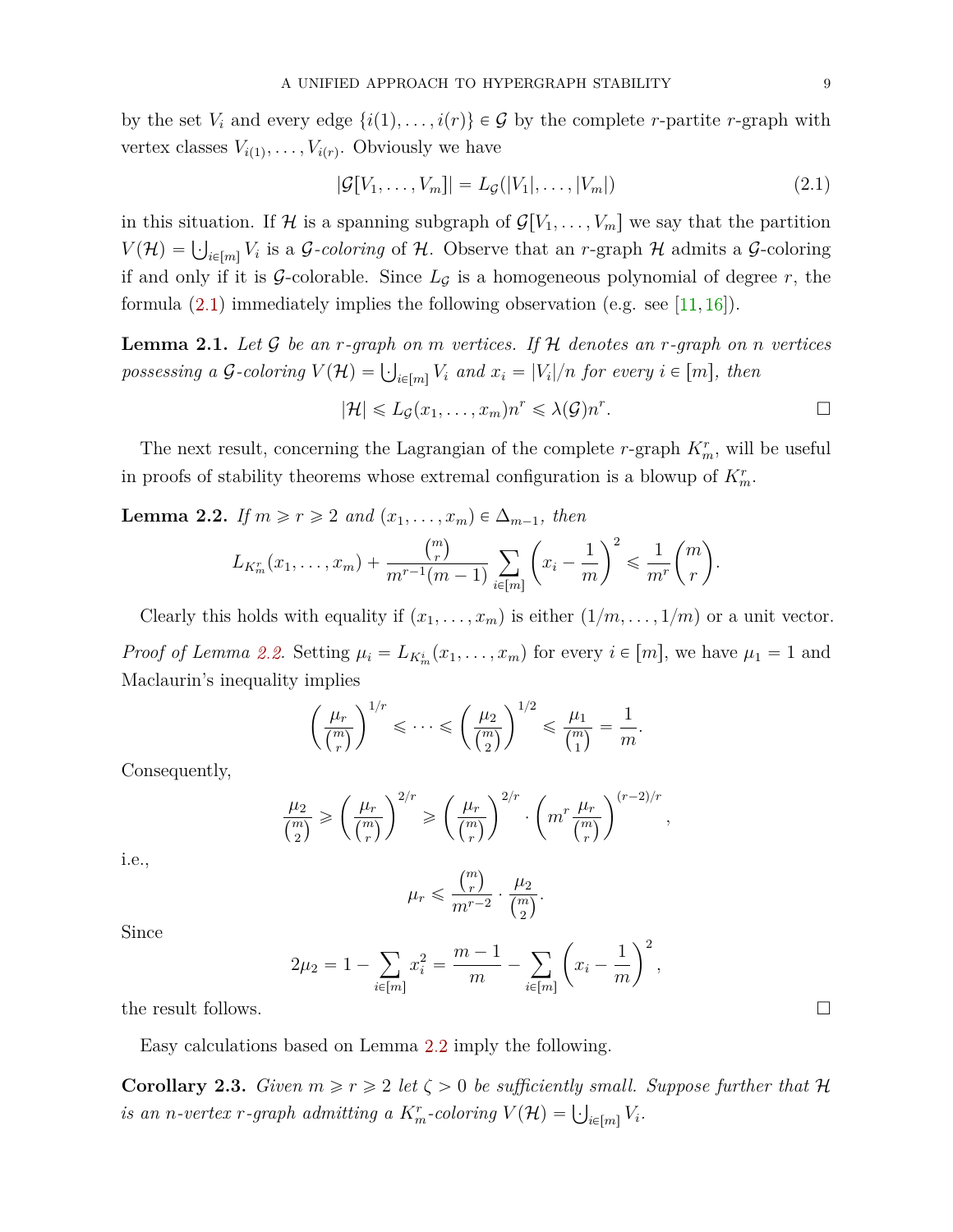by the set  $V_i$  and every edge  $\{i(1), \ldots, i(r)\} \in \mathcal{G}$  by the complete *r*-partite *r*-graph with vertex classes  $V_{i(1)}, \ldots, V_{i(r)}$ . Obviously we have

<span id="page-8-0"></span>
$$
|\mathcal{G}[V_1,\ldots,V_m]| = L_{\mathcal{G}}(|V_1|,\ldots,|V_m|) \tag{2.1}
$$

in this situation. If H is a spanning subgraph of  $\mathcal{G}[V_1, \ldots, V_m]$  we say that the partition *V*(*H*) =  $\bigcup_{i \in [m]} V_i$  is a *G-coloring* of *H*. Observe that an *r*-graph *H* admits a *G*-coloring *V* if and only if it is  $G$ -colorable. Since  $L_G$  is a homogeneous polynomial of degree  $r$ , the formula  $(2.1)$  immediately implies the following observation (e.g. see [\[11,](#page-24-5) [16\]](#page-24-9)).

**Lemma 2.1.** *Let* G *be an r-graph on m vertices. If* H *denotes an r-graph on n vertices possessing a*  $G$ -coloring  $V(\mathcal{H}) = \bigcup_{i \in [m]} V_i$  and  $x_i = |V_i|/n$  for every  $i \in [m]$ , then

$$
|\mathcal{H}| \leqslant L_{\mathcal{G}}(x_1,\ldots,x_m)n^r \leqslant \lambda(\mathcal{G})n^r.
$$

The next result, concerning the Lagrangian of the complete *r*-graph  $K_m^r$ , will be useful in proofs of stability theorems whose extremal configuration is a blowup of  $K_m^r$ .

<span id="page-8-1"></span>**Lemma 2.2.** *If*  $m \ge r \ge 2$  *and*  $(x_1, \ldots, x_m) \in \Delta_{m-1}$ *, then* 

$$
L_{K_m^r}(x_1, ..., x_m) + \frac{\binom{m}{r}}{m^{r-1}(m-1)} \sum_{i \in [m]} \left( x_i - \frac{1}{m} \right)^2 \leq \frac{1}{m^r} \binom{m}{r}.
$$

Clearly this holds with equality if  $(x_1, \ldots, x_m)$  is either  $(1/m, \ldots, 1/m)$  or a unit vector. *Proof of Lemma [2.2.](#page-8-1)* Setting  $\mu_i = L_{K_m^i}(x_1, \ldots, x_m)$  for every  $i \in [m]$ , we have  $\mu_1 = 1$  and Maclaurin's inequality implies

$$
\left(\frac{\mu_r}{\binom{m}{r}}\right)^{1/r} \leqslant \dots \leqslant \left(\frac{\mu_2}{\binom{m}{2}}\right)^{1/2} \leqslant \frac{\mu_1}{\binom{m}{1}} = \frac{1}{m}.
$$

Consequently,

$$
\frac{\mu_2}{\binom{m}{2}} \geqslant \left(\frac{\mu_r}{\binom{m}{r}}\right)^{2/r} \geqslant \left(\frac{\mu_r}{\binom{m}{r}}\right)^{2/r} \cdot \left(m^r \frac{\mu_r}{\binom{m}{r}}\right)^{(r-2)/r},
$$

i.e.,

$$
\mu_r \leqslant \frac{{m \choose r}}{m^{r-2}} \cdot \frac{\mu_2}{{m \choose 2}}.
$$

Since

$$
2\mu_2 = 1 - \sum_{i \in [m]} x_i^2 = \frac{m-1}{m} - \sum_{i \in [m]} \left( x_i - \frac{1}{m} \right)^2,
$$

the result follows.  $\Box$ 

Easy calculations based on Lemma [2.2](#page-8-1) imply the following.

<span id="page-8-2"></span>**Corollary 2.3.** *Given*  $m \ge r \ge 2$  *let*  $\zeta > 0$  *be sufficiently small. Suppose further that*  $\mathcal{H}$ *is an n-vertex r-graph admitting a*  $K_m^r$ -coloring  $V(\mathcal{H}) = \bigcup_{i \in [m]} V_i$ .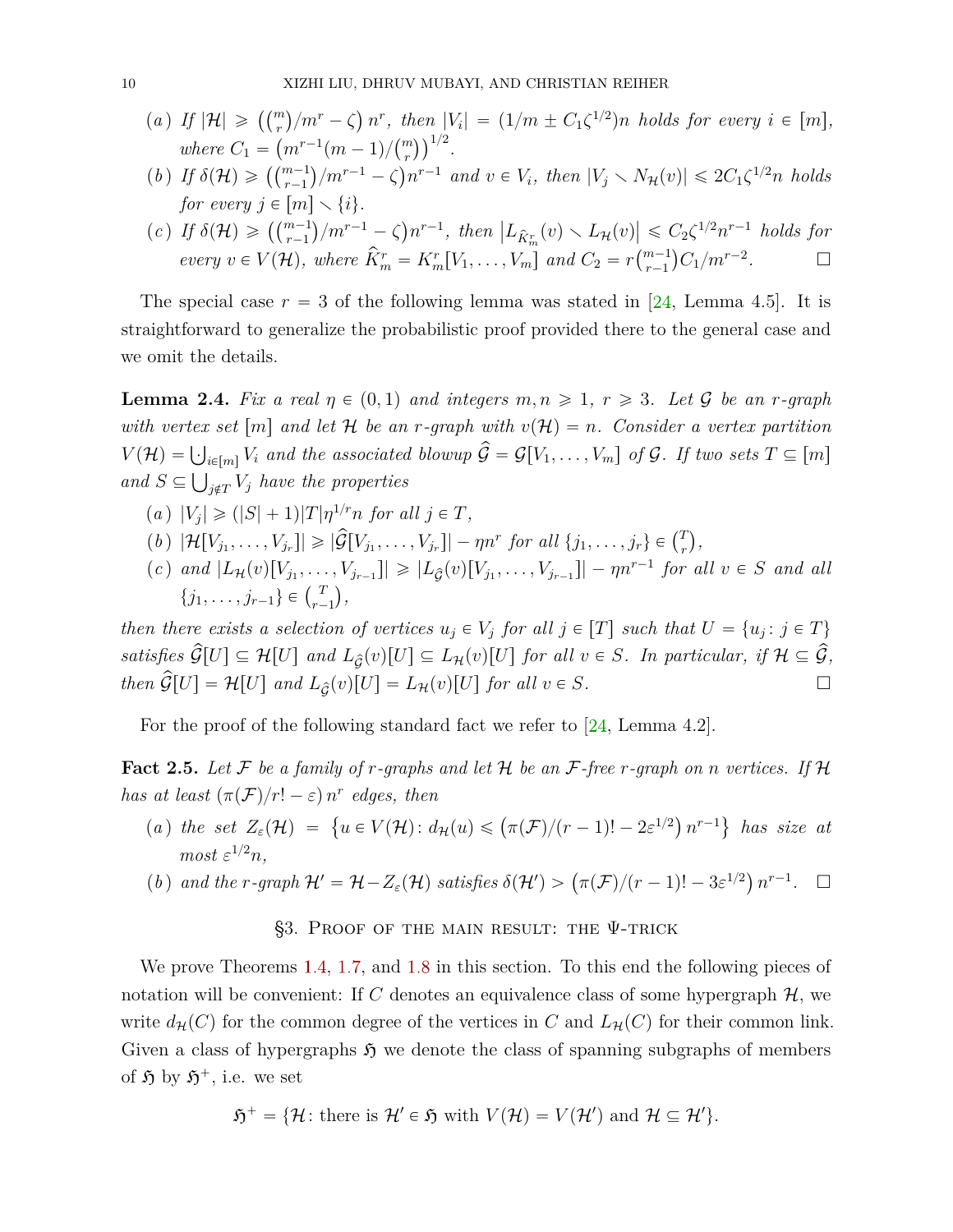- <span id="page-9-5"></span>(*a*) *If*  $|\mathcal{H}| \geqslant \left(\binom{m}{r}\right)$  ${m}^r - \zeta$  $\binom{m}{r}$ / $m^r - \zeta$ )  $n^r$ , then  $|V_i| = (1/m \pm C_1 \zeta^{1/2})n$  holds for every  $i \in [m]$ ,  $\mu_1 | \mathcal{F}| \geq (\binom{r}{r})/m - \zeta n$ , then  $\mu_1$ <br>where  $C_1 = (m^{r-1}(m-1)/\binom{m}{r})^{1/2}$ .  $\cdot$   $\overline{\phantom{a}}$
- *r*(*b*) *If*  $\delta(\mathcal{H}) \geq \left( {m-1 \choose r-1} / m^{r-1} \zeta \right)$  ${m^{r-1}} - \zeta$  $n^{r-1}$  *and*  $v \in V_i$ , *then*  $|V_j \setminus N_{\mathcal{H}}(v)| \leq 2C_1 \zeta^{1/2} n$  *holds for every*  $j \in [m] \setminus \{i\}.$ Ļ,
- <span id="page-9-7"></span> $\int \int f \, d\mathcal{H}$   $\mathcal{H} \left( \mathcal{H} \right) \geq \left( \begin{pmatrix} m-1 \\ r-1 \end{pmatrix} \right)$  ${m^{r-1}} - \zeta$  $n^{r-1}$ , then  $\left| L_{\hat{K}_m^r}(v) \setminus L_{\mathcal{H}}(v) \right|$  $\vert \leqslant C_2 \zeta^{1/2} n^{r-1}$  *holds for*<br> $\vert \frac{m-1}{C_1} \rangle_{C_2} / n^{r-2}$ *every*  $v \in V(\mathcal{H})$ , where  $\hat{K}_m^r = K_m^r[V_1, \ldots, V_m]$  and  $C_2 = r {m-1 \choose r-1} C_1/m^{r-2}$ *.*

The special case  $r = 3$  of the following lemma was stated in [\[24,](#page-24-13) Lemma 4.5]. It is straightforward to generalize the probabilistic proof provided there to the general case and we omit the details.

<span id="page-9-6"></span>**Lemma 2.4.** Fix a real  $\eta \in (0,1)$  and integers  $m, n \geq 1, r \geq 3$ . Let G be an *r*-graph *with vertex set* [*m*] and let H be an *r*-graph with  $v(H) = n$ . Consider a vertex partition  $V(\mathcal{H}) = \bigcup_{i \in [m]} V_i$  and the associated blowup  $\hat{\mathcal{G}} = \mathcal{G}[V_1, \dots, V_m]$  of  $\mathcal{G}$ *. If two sets*  $T \subseteq [m]$  $and$   $S \subseteq \bigcup_{j \notin T} V_j$  *have the properties* 

- <span id="page-9-3"></span> $|(a) |V_j| \geq (|S| + 1)|T|\eta^{1/r} n$  for all  $j \in T$ ,
- $\left[\mathcal{H}[V_{j_1}, \ldots, V_{j_r}]\right] \geq \left|\widehat{\mathcal{G}}[V_{j_1}, \ldots, V_{j_r}]\right| \eta n^r \text{ for all } \{j_1, \ldots, j_r\} \in \binom{T}{r}$ *r ,*
- <span id="page-9-8"></span>(c) and  $|L_{\mathcal{H}}(v)[V_{j_1},...,V_{j_{r-1}}]| \geq |L_{\hat{\mathcal{G}}}(v)[V_{j_1},...,V_{j_{r-1}}]| - \eta n^{r-1}$  for all  $v \in S$  and all  $\{j_1, \ldots, j_{r-1}\} \in {T \choose r}$  $_{r-1}^{T}$ ),

*then there exists a selection of vertices*  $u_j \in V_j$  *for all*  $j \in [T]$  *such that*  $U = \{u_j : j \in T\}$ *satisfies*  $\widehat{\mathcal{G}}[U] \subseteq \mathcal{H}[U]$  and  $L_{\widehat{\mathcal{G}}}(v)[U] \subseteq L_{\mathcal{H}}(v)[U]$  for all  $v \in S$ *. In particular, if*  $\mathcal{H} \subseteq \widehat{\mathcal{G}}$ *, then*  $\hat{\mathcal{G}}[U] = \mathcal{H}[U]$  *and*  $L_{\hat{\mathcal{G}}}(v)[U] = L_{\mathcal{H}}(v)[U]$  *for all*  $v \in S$ *.* 

For the proof of the following standard fact we refer to [\[24,](#page-24-13) Lemma 4.2].

<span id="page-9-0"></span>**Fact 2.5.** Let F be a family of r-graphs and let H be an F-free r-graph on n vertices. If H *has at least*  $(\pi(\mathcal{F})/r! - \varepsilon) n^r$  *edges, then* 

- <span id="page-9-1"></span>(*a*) the set  $Z_{\varepsilon}(\mathcal{H}) = \{u \in V(\mathcal{H}) : d_{\mathcal{H}}(u) \leqslant (\pi(\mathcal{F})/(r-1)! - 2\varepsilon^{1/2})\}$  $n^{r-1}$ *has size at most*  $\varepsilon^{1/2}n$ *,*
- <span id="page-9-4"></span>(*b*) and the *r*-graph  $\mathcal{H}' = \mathcal{H} - Z_{\varepsilon}(\mathcal{H})$  satisfies  $\delta(\mathcal{H}') > (\pi(\mathcal{F})/(r-1)! - 3\varepsilon^{1/2})$  $n^{r-1}$ .  $\square$

§3. PROOF OF THE MAIN RESULT: THE Ψ-TRICK

<span id="page-9-2"></span>We prove Theorems [1.4,](#page-3-2) [1.7,](#page-3-0) and [1.8](#page-3-3) in this section. To this end the following pieces of notation will be convenient: If C denotes an equivalence class of some hypergraph  $\mathcal{H}$ , we write  $d_{\mathcal{H}}(C)$  for the common degree of the vertices in *C* and  $L_{\mathcal{H}}(C)$  for their common link. Given a class of hypergraphs  $\mathfrak H$  we denote the class of spanning subgraphs of members of  $\mathfrak{H}$  by  $\mathfrak{H}^+$ , i.e. we set

$$
\mathfrak{H}^+ = \{ \mathcal{H} \colon \text{there is } \mathcal{H}' \in \mathfrak{H} \text{ with } V(\mathcal{H}) = V(\mathcal{H}') \text{ and } \mathcal{H} \subseteq \mathcal{H}' \}.
$$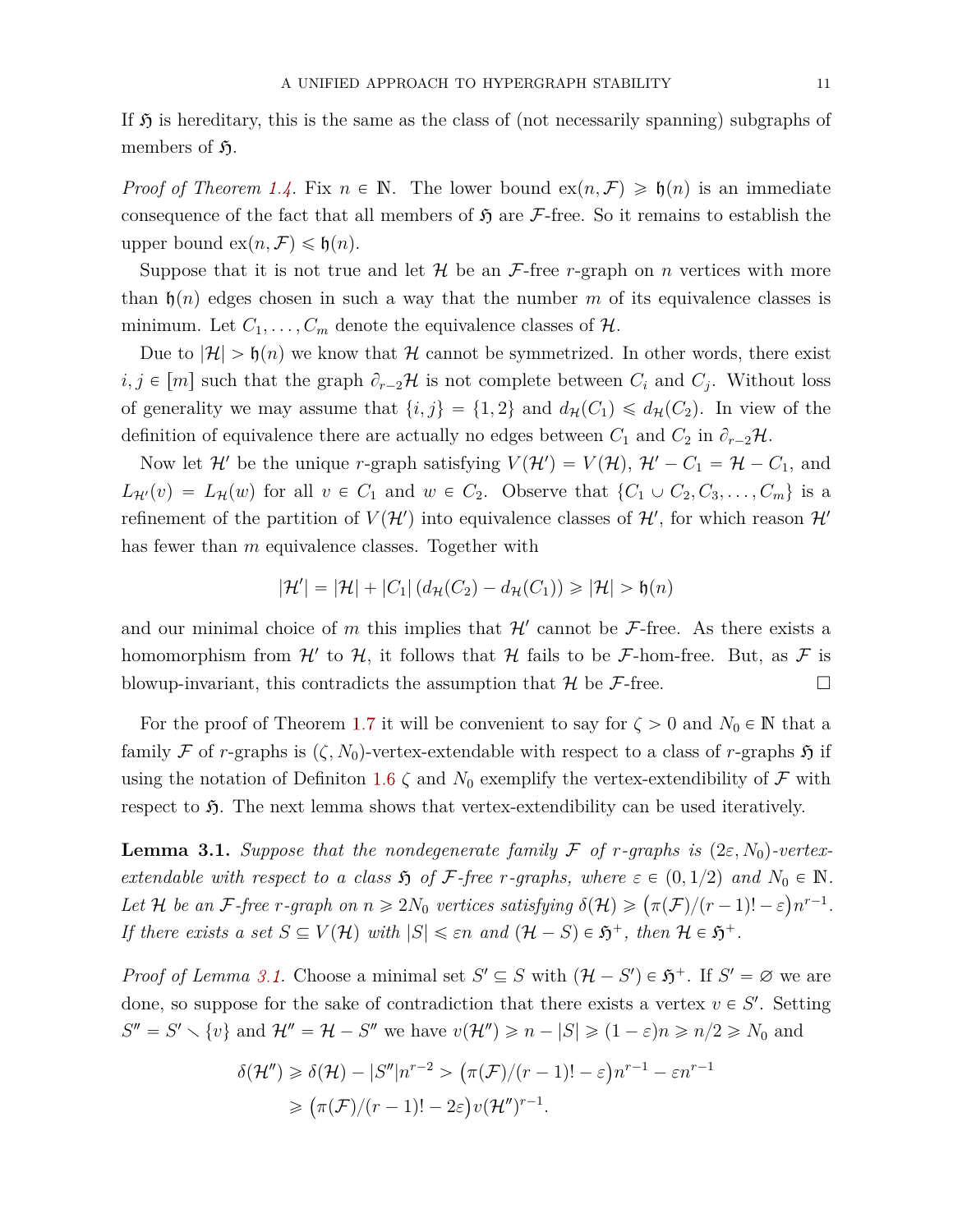If  $\mathfrak H$  is hereditary, this is the same as the class of (not necessarily spanning) subgraphs of members of  $\mathfrak{H}$ .

*Proof of Theorem [1.4.](#page-3-2)* Fix  $n \in \mathbb{N}$ . The lower bound  $ex(n, \mathcal{F}) \geq \mathfrak{h}(n)$  is an immediate consequence of the fact that all members of  $\mathfrak{H}$  are F-free. So it remains to establish the upper bound  $ex(n, \mathcal{F}) \leq \mathfrak{h}(n)$ .

Suppose that it is not true and let  $\mathcal H$  be an  $\mathcal F$ -free *r*-graph on *n* vertices with more than  $\mathfrak{h}(n)$  edges chosen in such a way that the number *m* of its equivalence classes is minimum. Let  $C_1, \ldots, C_m$  denote the equivalence classes of  $\mathcal{H}$ .

Due to  $|\mathcal{H}| > \mathfrak{h}(n)$  we know that H cannot be symmetrized. In other words, there exist  $i, j \in [m]$  such that the graph  $\partial_{r-2}H$  is not complete between  $C_i$  and  $C_j$ . Without loss of generality we may assume that  $\{i, j\} = \{1, 2\}$  and  $d_{\mathcal{H}}(C_1) \leq d_{\mathcal{H}}(C_2)$ . In view of the definition of equivalence there are actually no edges between  $C_1$  and  $C_2$  in  $\partial_{r-2}H$ .

Now let  $\mathcal{H}'$  be the unique *r*-graph satisfying  $V(\mathcal{H}') = V(\mathcal{H})$ ,  $\mathcal{H}' - C_1 = \mathcal{H} - C_1$ , and  $L_{\mathcal{H}'}(v) = L_{\mathcal{H}}(w)$  for all  $v \in C_1$  and  $w \in C_2$ . Observe that  $\{C_1 \cup C_2, C_3, \ldots, C_m\}$  is a refinement of the partition of  $V(\mathcal{H}')$  into equivalence classes of  $\mathcal{H}',$  for which reason  $\mathcal{H}'$ has fewer than *m* equivalence classes. Together with

$$
|\mathcal{H}'| = |\mathcal{H}| + |C_1| \left( d_{\mathcal{H}}(C_2) - d_{\mathcal{H}}(C_1) \right) \geq |\mathcal{H}| > \mathfrak{h}(n)
$$

and our minimal choice of m this implies that  $\mathcal{H}'$  cannot be  $\mathcal{F}\text{-free}$ . As there exists a homomorphism from  $\mathcal{H}'$  to  $\mathcal{H}$ , it follows that  $\mathcal{H}$  fails to be F-hom-free. But, as F is blowup-invariant, this contradicts the assumption that  $\mathcal{H}$  be  $\mathcal{F}\text{-free}$ .

For the proof of Theorem [1.7](#page-3-0) it will be convenient to say for  $\zeta > 0$  and  $N_0 \in \mathbb{N}$  that a family F of r-graphs is  $(\zeta, N_0)$ -vertex-extendable with respect to a class of r-graphs  $\mathfrak H$  if using the notation of Definiton [1.6](#page-3-1)  $\zeta$  and  $N_0$  exemplify the vertex-extendibility of  $\mathcal F$  with respect to  $\mathfrak{H}$ . The next lemma shows that vertex-extendibility can be used iteratively.

<span id="page-10-0"></span>**Lemma 3.1.** *Suppose that the nondegenerate family* F *of r*-graphs is  $(2\varepsilon, N_0)$ -vertex*extendable with respect to a class*  $\mathfrak{H}$  *of*  $\mathcal{F}$ *-free r-graphs, where*  $\varepsilon \in (0, 1/2)$  *and*  $N_0 \in \mathbb{N}$ *. Let*  $H$  *be an*  $F$ *-free r-graph on*  $n \geq 2N_0$  *vertices satisfying*  $\delta(H) \geq (\pi(F)/(r-1)!-\varepsilon)n^{r-1}$ *. If there exists a set*  $S \subseteq V(\mathcal{H})$  *with*  $|S| \leq \varepsilon n$  *and*  $(\mathcal{H} - S) \in \mathfrak{H}^+$ *, then*  $\mathcal{H} \in \mathfrak{H}^+$ *.* 

*Proof of Lemma [3.1.](#page-10-0)* Choose a minimal set  $S' \subseteq S$  with  $(\mathcal{H} - S') \in \mathfrak{H}^+$ . If  $S' = \emptyset$  we are done, so suppose for the sake of contradiction that there exists a vertex  $v \in S'$ . Setting  $S'' = S' \setminus \{v\}$  and  $\mathcal{H}'' = \mathcal{H} - S''$  we have  $v(\mathcal{H}'') \geq n - |S| \geq (1 - \varepsilon)n \geq n/2 \geq N_0$  and

$$
\delta(\mathcal{H}'') \geq \delta(\mathcal{H}) - |S''|n^{r-2} > (\pi(\mathcal{F})/(r-1)! - \varepsilon)n^{r-1} - \varepsilon n^{r-1}
$$
  
\n
$$
\geq (\pi(\mathcal{F})/(r-1)! - 2\varepsilon)v(\mathcal{H}'')^{r-1}.
$$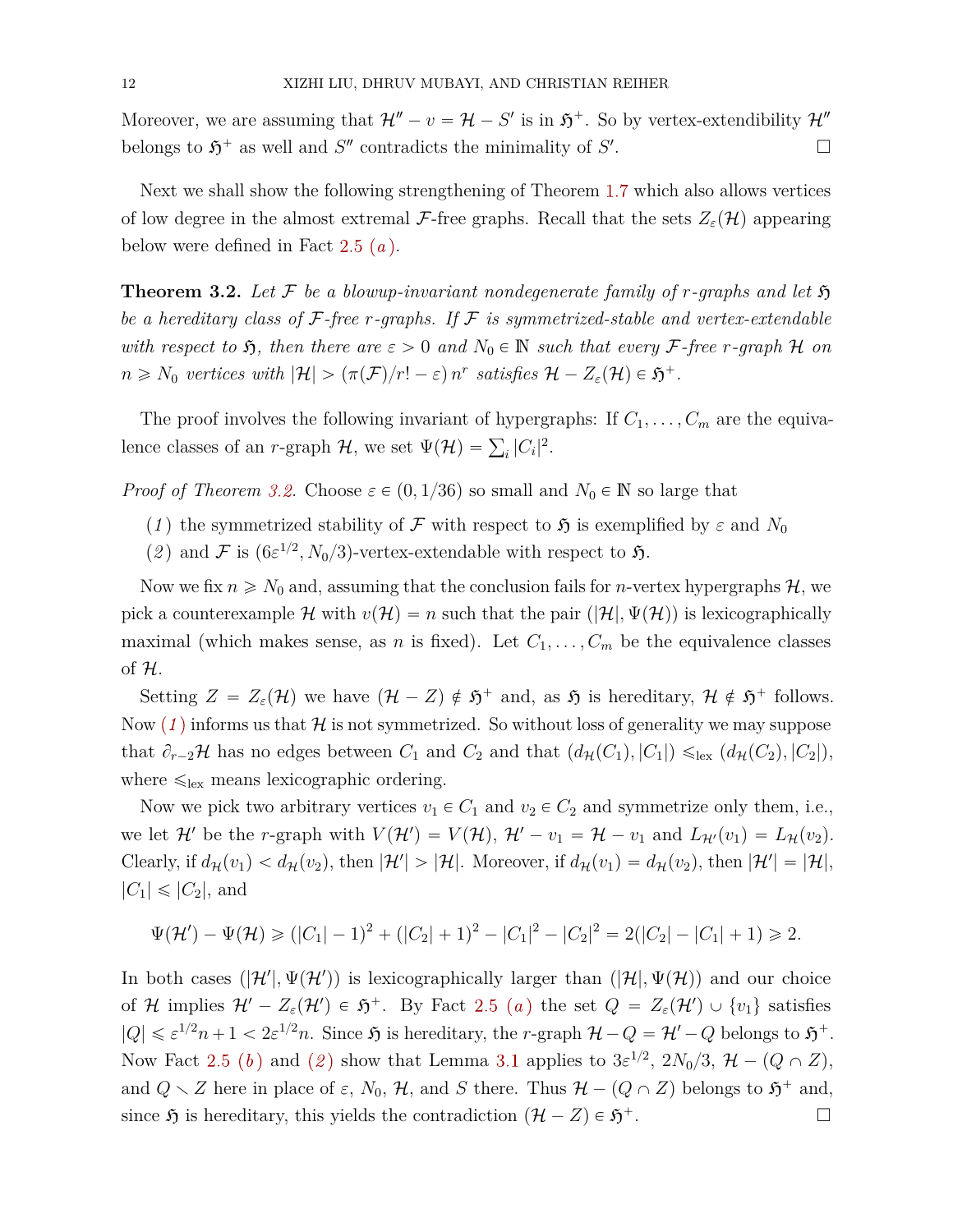Moreover, we are assuming that  $\mathcal{H}'' - v = \mathcal{H} - S'$  is in  $\mathfrak{H}^+$ . So by vertex-extendibility  $\mathcal{H}''$ belongs to  $\mathfrak{H}^+$  as well and  $S''$  contradicts the minimality of  $S'$ .

Next we shall show the following strengthening of Theorem [1.7](#page-3-0) which also allows vertices of low degree in the almost extremal F-free graphs. Recall that the sets  $Z_{\varepsilon}(\mathcal{H})$  appearing below were defined in Fact [2.5](#page-9-0) (*[a](#page-9-3)* ).

<span id="page-11-0"></span>**Theorem 3.2.** Let F be a blowup-invariant nondegenerate family of r-graphs and let  $\mathfrak{H}$ *be a hereditary class of* F*-free r-graphs. If* F *is symmetrized-stable and vertex-extendable with respect to*  $\mathfrak{H}$ , then there are  $\varepsilon > 0$  and  $N_0 \in \mathbb{N}$  such that every F-free *r*-graph H on  $n \geq N_0$  *vertices with*  $|\mathcal{H}| > (\pi(\mathcal{F})/r! - \varepsilon) n^r$  *satisfies*  $\mathcal{H} - Z_{\varepsilon}(\mathcal{H}) \in \mathfrak{H}^+$ .

The proof involves the following invariant of hypergraphs: If  $C_1, \ldots, C_m$  are the equivalence classes of an *r*-graph  $H$ , we set  $\Psi(\mathcal{H}) = \sum_i |C_i|^2$ .

<span id="page-11-1"></span>*Proof of Theorem [3.2.](#page-11-0)* Choose  $\varepsilon \in (0, 1/36)$  so small and  $N_0 \in \mathbb{N}$  so large that

- (*1*) the symmetrized stability of F with respect to  $\mathfrak{H}$  is exemplified by  $\varepsilon$  and  $N_0$
- <span id="page-11-2"></span>(2) and F is  $(6\varepsilon^{1/2}, N_0/3)$ -vertex-extendable with respect to 5.

Now we fix  $n \geq N_0$  and, assuming that the conclusion fails for *n*-vertex hypergraphs  $H$ , we pick a counterexample H with  $v(H) = n$  such that the pair  $(|H|, \Psi(H))$  is lexicographically maximal (which makes sense, as *n* is fixed). Let  $C_1, \ldots, C_m$  be the equivalence classes of H.

Setting  $Z = Z_{\varepsilon}(\mathcal{H})$  we have  $(\mathcal{H} - Z) \notin \mathfrak{H}^+$  and, as  $\mathfrak{H}$  is hereditary,  $\mathcal{H} \notin \mathfrak{H}^+$  follows. Now  $(1)$  $(1)$  $(1)$  informs us that  $\mathcal H$  is not symmetrized. So without loss of generality we may suppose that  $\partial_{r-2}$ **H** has no edges between  $C_1$  and  $C_2$  and that  $(d_{\mathcal{H}}(C_1), |C_1|) \leq_{\text{lex}} (d_{\mathcal{H}}(C_2), |C_2|)$ , where  $\leq_{\text{lex}}$  means lexicographic ordering.

Now we pick two arbitrary vertices  $v_1 \in C_1$  and  $v_2 \in C_2$  and symmetrize only them, i.e., we let  $\mathcal{H}'$  be the *r*-graph with  $V(\mathcal{H}') = V(\mathcal{H}),$   $\mathcal{H}' - v_1 = \mathcal{H} - v_1$  and  $L_{\mathcal{H}'}(v_1) = L_{\mathcal{H}}(v_2)$ . Clearly, if  $d_{\mathcal{H}}(v_1) < d_{\mathcal{H}}(v_2)$ , then  $|\mathcal{H}'| > |\mathcal{H}|$ . Moreover, if  $d_{\mathcal{H}}(v_1) = d_{\mathcal{H}}(v_2)$ , then  $|\mathcal{H}'| = |\mathcal{H}|$ ,  $|C_1| \leqslant |C_2|$ , and

$$
\Psi(\mathcal{H}') - \Psi(\mathcal{H}) \geq (|C_1| - 1)^2 + (|C_2| + 1)^2 - |C_1|^2 - |C_2|^2 = 2(|C_2| - |C_1| + 1) \geq 2.
$$

In both cases  $(|\mathcal{H}'|, \Psi(\mathcal{H}'))$  is lexicographically larger than  $(|\mathcal{H}|, \Psi(\mathcal{H}))$  and our choice of H implies  $\mathcal{H}' - Z_{\varepsilon}(\mathcal{H}') \in \mathfrak{H}^+$  $\mathcal{H}' - Z_{\varepsilon}(\mathcal{H}') \in \mathfrak{H}^+$  $\mathcal{H}' - Z_{\varepsilon}(\mathcal{H}') \in \mathfrak{H}^+$ . By Fact [2.5](#page-9-0) (*a*) the set  $Q = Z_{\varepsilon}(\mathcal{H}') \cup \{v_1\}$  satisfies  $|Q| \leq \varepsilon^{1/2} n + 1 < 2\varepsilon^{1/2} n$ . Since  $\mathfrak{H}$  is hereditary, the *r*-graph  $\mathcal{H} - Q = \mathcal{H}' - Q$  belongs to  $\mathfrak{H}^+$ . Now Fact [2.5](#page-9-0) ([b](#page-9-4)) and ([2](#page-11-2)) show that Lemma [3.1](#page-10-0) applies to  $3\varepsilon^{1/2}$ ,  $2N_0/3$ ,  $\mathcal{H} - (Q \cap Z)$ , and  $Q \setminus Z$  here in place of  $\varepsilon$ ,  $N_0$ ,  $\mathcal{H}$ , and  $S$  there. Thus  $\mathcal{H} - (Q \cap Z)$  belongs to  $\mathfrak{H}^+$  and, since  $\mathfrak{H}$  is hereditary, this yields the contradiction  $(\mathcal{H} - Z) \in \mathfrak{H}^+$ .  $\overline{a}$ .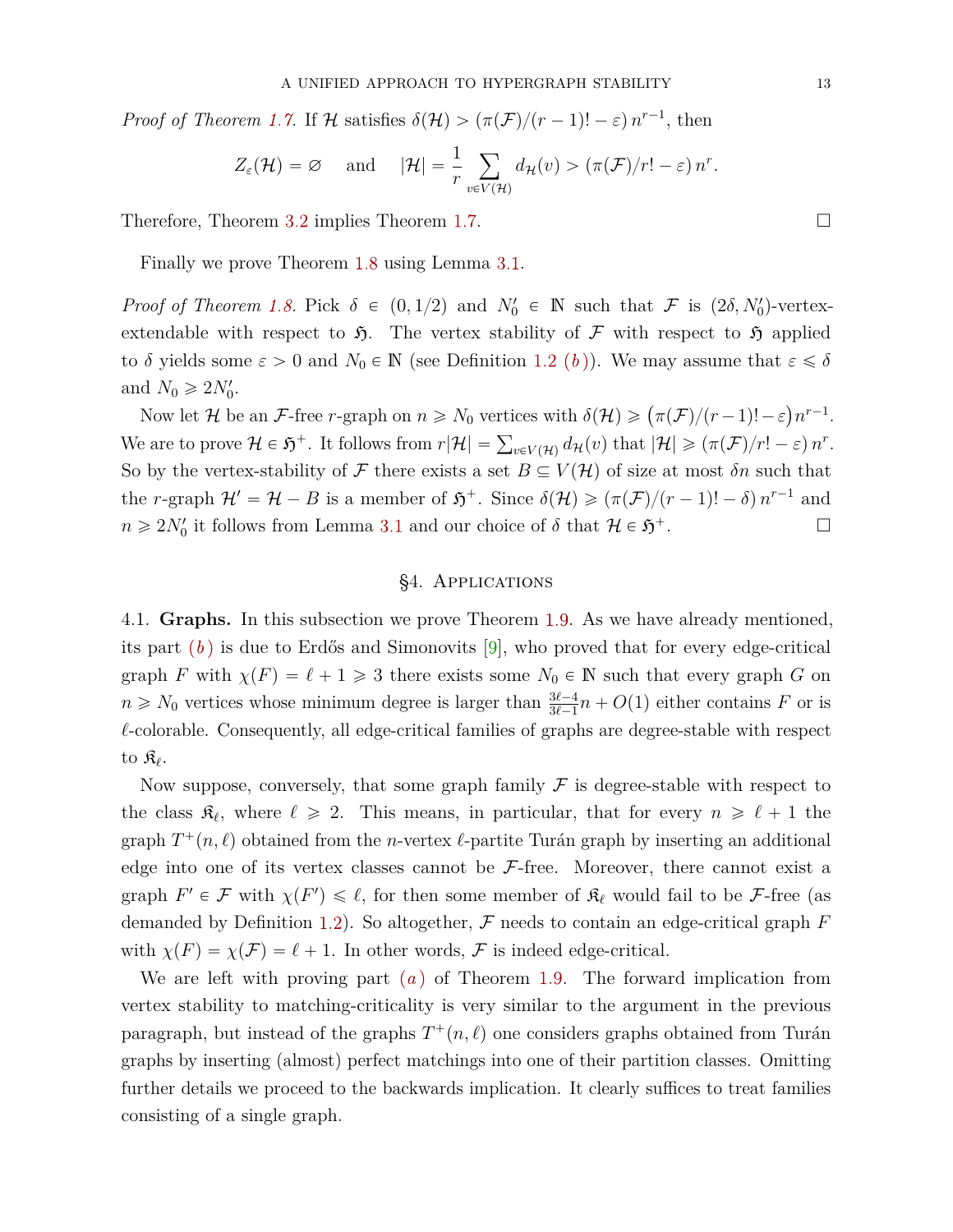*Proof of Theorem [1.7.](#page-3-0)* If H satisfies  $\delta(\mathcal{H}) > (\pi(\mathcal{F})/(r-1)! - \varepsilon) n^{r-1}$ , then

$$
Z_{\varepsilon}(\mathcal{H}) = \varnothing
$$
 and  $|\mathcal{H}| = \frac{1}{r} \sum_{v \in V(\mathcal{H})} d_{\mathcal{H}}(v) > (\pi(\mathcal{F})/r! - \varepsilon) n^{r}.$ 

Therefore, Theorem [3.2](#page-11-0) implies Theorem [1.7.](#page-3-0)

Finally we prove Theorem [1.8](#page-3-3) using Lemma [3.1.](#page-10-0)

*Proof of Theorem [1.8.](#page-3-3)* Pick  $\delta \in (0, 1/2)$  and  $N'_0 \in \mathbb{N}$  such that  $\mathcal F$  is  $(2\delta, N'_0)$ -vertexextendable with respect to  $\mathfrak{H}$ . The vertex stability of F with respect to  $\mathfrak{H}$  applied to *δ* yields some  $\varepsilon > 0$  and  $N_0 \in \mathbb{N}$  (see Definition [1.2](#page-1-1) (*b*[\)\)](#page-1-2). We may assume that  $\varepsilon \leq \delta$ and  $N_0 \geqslant 2N'_0$ .

Now let  $\mathcal{H}$  be an  $\mathcal{F}$ -free *r*-graph on  $n \geq N_0$  vertices with  $\delta(\mathcal{H}) \geqslant (\pi(\mathcal{F})/(r-1)!-\varepsilon)$  $n^{r-1}$ . Now let *R* be an *f*-inee *r*-graph on  $n \geq r_0$  vertices with  $\sigma(\mathcal{H}) \geq (n(\mathcal{F})/(r-1))-\varepsilon/n$ .<br>We are to prove  $\mathcal{H} \in \mathfrak{H}^+$ . It follows from  $r|\mathcal{H}| = \sum_{v \in V(\mathcal{H})} d_{\mathcal{H}}(v)$  that  $|\mathcal{H}| \geq (\pi(\mathcal{F})/r! - \varepsilon) n^r$ So by the vertex-stability of  $\mathcal F$  there exists a set  $B \subseteq V(\mathcal H)$  of size at most  $\delta n$  such that the *r*-graph  $\mathcal{H}' = \mathcal{H} - B$  is a member of  $\mathfrak{H}^+$ . Since  $\delta(\mathcal{H}) \geqslant (\pi(\mathcal{F})/(r-1)! - \delta) n^{r-1}$  and  $n \ge 2N'_0$  it follows from Lemma [3.1](#page-10-0) and our choice of  $\delta$  that  $\mathcal{H} \in \mathfrak{H}$  $\overline{a}$ .

## §4. Applications

<span id="page-12-1"></span><span id="page-12-0"></span>4.1. **Graphs.** In this subsection we prove Theorem [1.9.](#page-4-3) As we have already mentioned, its part (*[b](#page-4-0)* ) is due to Erdős and Simonovits [\[9\]](#page-23-3), who proved that for every edge-critical graph *F* with  $\chi(F) = \ell + 1 \geq 3$  there exists some  $N_0 \in \mathbb{N}$  such that every graph *G* on  $n \ge N_0$  vertices whose minimum degree is larger than  $\frac{3\ell-4}{3\ell-1}n + O(1)$  either contains *F* or is  $\ell$ -colorable. Consequently, all edge-critical families of graphs are degree-stable with respect to K*`* .

Now suppose, conversely, that some graph family  $\mathcal F$  is degree-stable with respect to the class  $\mathfrak{K}_{\ell}$ , where  $\ell \geq 2$ . This means, in particular, that for every  $n \geq \ell + 1$  the graph  $T^+(n, \ell)$  obtained from the *n*-vertex  $\ell$ -partite Turán graph by inserting an additional edge into one of its vertex classes cannot be  $\mathcal{F}\text{-free}$ . Moreover, there cannot exist a graph  $F' \in \mathcal{F}$  with  $\chi(F') \leq \ell$ , for then some member of  $\mathfrak{K}_{\ell}$  would fail to be  $\mathcal{F}$ -free (as demanded by Definition [1.2\)](#page-1-1). So altogether, F needs to contain an edge-critical graph *F* with  $\chi(F) = \chi(\mathcal{F}) = \ell + 1$ . In other words, F is indeed edge-critical.

We are left with proving part (*[a](#page-4-1)* ) of Theorem [1.9.](#page-4-3) The forward implication from vertex stability to matching-criticality is very similar to the argument in the previous paragraph, but instead of the graphs  $T^+(n, \ell)$  one considers graphs obtained from Turán graphs by inserting (almost) perfect matchings into one of their partition classes. Omitting further details we proceed to the backwards implication. It clearly suffices to treat families consisting of a single graph.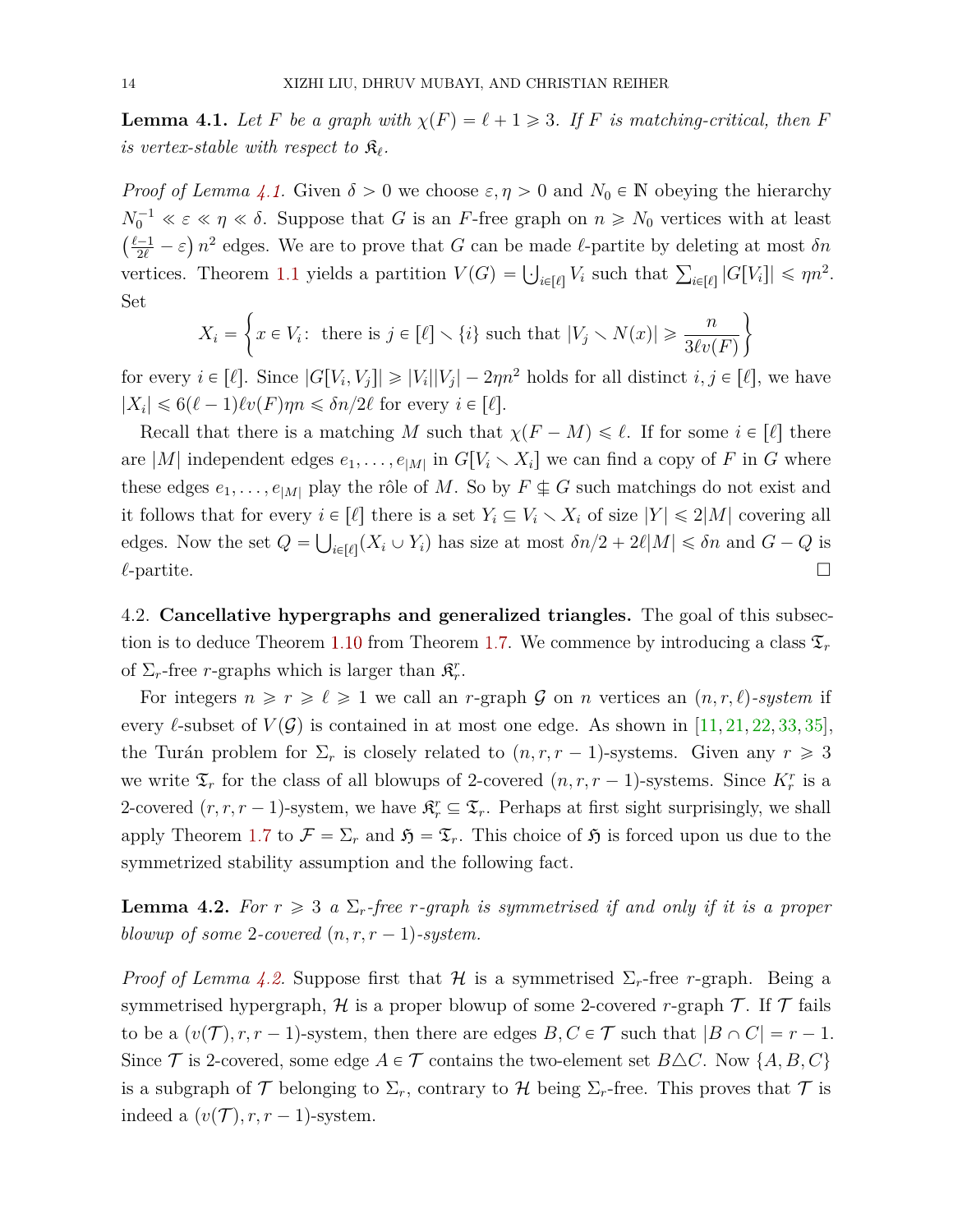<span id="page-13-0"></span>**Lemma 4.1.** *Let F be a graph with*  $\chi(F) = \ell + 1 \geq 3$ *. If F is matching-critical, then F is vertex-stable with respect to*  $\mathfrak{K}_{\ell}$ .

*Proof of Lemma [4.1.](#page-13-0)* Given  $\delta > 0$  we choose  $\varepsilon, \eta > 0$  and  $N_0 \in \mathbb{N}$  obeying the hierarchy  $N_0^{-1} \ll \varepsilon \ll \eta \ll \delta$ . Suppose that *G* is an *F*-free graph on  $n \ge N_0$  vertices with at least  $\frac{\ell-1}{2\ell} - \varepsilon$ )  $n^2$  edges. We are to prove that *G* can be made  $\ell$ -partite by deleting at most *δn* vertices. Theorem [1.1](#page-1-0) yields a partition  $V(G) = \bigcup_{i \in [\ell]} V_i$  such that  $\sum_{i \in [\ell]} |G[V_i]| \le \eta n^2$ . Set " \*

$$
X_i = \left\{ x \in V_i : \text{ there is } j \in [\ell] \setminus \{i\} \text{ such that } |V_j \setminus N(x)| \ge \frac{n}{3\ell v(F)} \right\}
$$

for every  $i \in [\ell]$ . Since  $|G[V_i, V_j]| \geq |V_i||V_j| - 2\eta n^2$  holds for all distinct  $i, j \in [\ell]$ , we have  $|X_i| \leq 6(\ell-1)\ell v(F)\eta n \leq \delta n/2\ell$  for every  $i \in [\ell].$ 

Recall that there is a matching *M* such that  $\chi(F-M) \leq \ell$ . If for some  $i \in [\ell]$  there are |M| independent edges  $e_1, \ldots, e_{|M|}$  in  $G[V_i \setminus X_i]$  we can find a copy of F in G where these edges  $e_1, \ldots, e_{|M|}$  play the rôle of M. So by  $F \nsubseteq G$  such matchings do not exist and it follows that for every  $i \in [\ell]$  there is a set  $Y_i \subseteq V_i \setminus X_i$  of size  $|Y| \leq 2|M|$  covering all edges. Now the set  $Q = \bigcup_{i \in [\ell]} (X_i \cup Y_i)$  has size at most  $\delta n/2 + 2\ell |M| \le \delta n$  and  $G - Q$  is  $\ell$ -partite.

<span id="page-13-2"></span>4.2. **Cancellative hypergraphs and generalized triangles.** The goal of this subsec-tion is to deduce Theorem [1.10](#page-5-0) from Theorem [1.7.](#page-3-0) We commence by introducing a class  $\mathfrak{T}_r$ of  $\Sigma_r$ -free *r*-graphs which is larger than  $\mathfrak{K}^r_r$ .

For integers  $n \ge r \ge \ell \ge 1$  we call an *r*-graph G on *n* vertices an  $(n, r, \ell)$ -system if every *l*-subset of  $V(\mathcal{G})$  is contained in at most one edge. As shown in [\[11,](#page-24-5) [21,](#page-24-14) [22,](#page-24-15) [33,](#page-25-6) [35\]](#page-25-5), the Turán problem for  $\Sigma_r$  is closely related to  $(n, r, r - 1)$ -systems. Given any  $r \geq 3$ we write  $\mathfrak{T}_r$  for the class of all blowups of 2-covered  $(n, r, r - 1)$ -systems. Since  $K_r^r$  is a 2-covered  $(r, r, r - 1)$ -system, we have  $\mathfrak{K}^r_r \subseteq \mathfrak{T}_r$ . Perhaps at first sight surprisingly, we shall apply Theorem [1.7](#page-3-0) to  $\mathcal{F} = \Sigma_r$  and  $\mathfrak{H} = \mathfrak{T}_r$ . This choice of  $\mathfrak{H}$  is forced upon us due to the symmetrized stability assumption and the following fact.

<span id="page-13-1"></span>**Lemma 4.2.** For  $r \geq 3$  a  $\Sigma_r$ -free *r*-graph is symmetrised if and only if it is a proper *blowup of some 2-covered*  $(n, r, r - 1)$ *-system.* 

*Proof of Lemma [4.2.](#page-13-1)* Suppose first that  $H$  is a symmetrised  $\Sigma_r$ -free *r*-graph. Being a symmetrised hypergraph,  $H$  is a proper blowup of some 2-covered *r*-graph  $T$ . If  $T$  fails to be a  $(v(\mathcal{T}), r, r - 1)$ -system, then there are edges  $B, C \in \mathcal{T}$  such that  $|B \cap C| = r - 1$ . Since  $\mathcal T$  is 2-covered, some edge  $A \in \mathcal T$  contains the two-element set  $B \triangle C$ . Now  $\{A, B, C\}$ is a subgraph of  $\mathcal T$  belonging to  $\Sigma_r$ , contrary to  $\mathcal H$  being  $\Sigma_r$ -free. This proves that  $\mathcal T$  is indeed a  $(v(\mathcal{T}), r, r - 1)$ -system.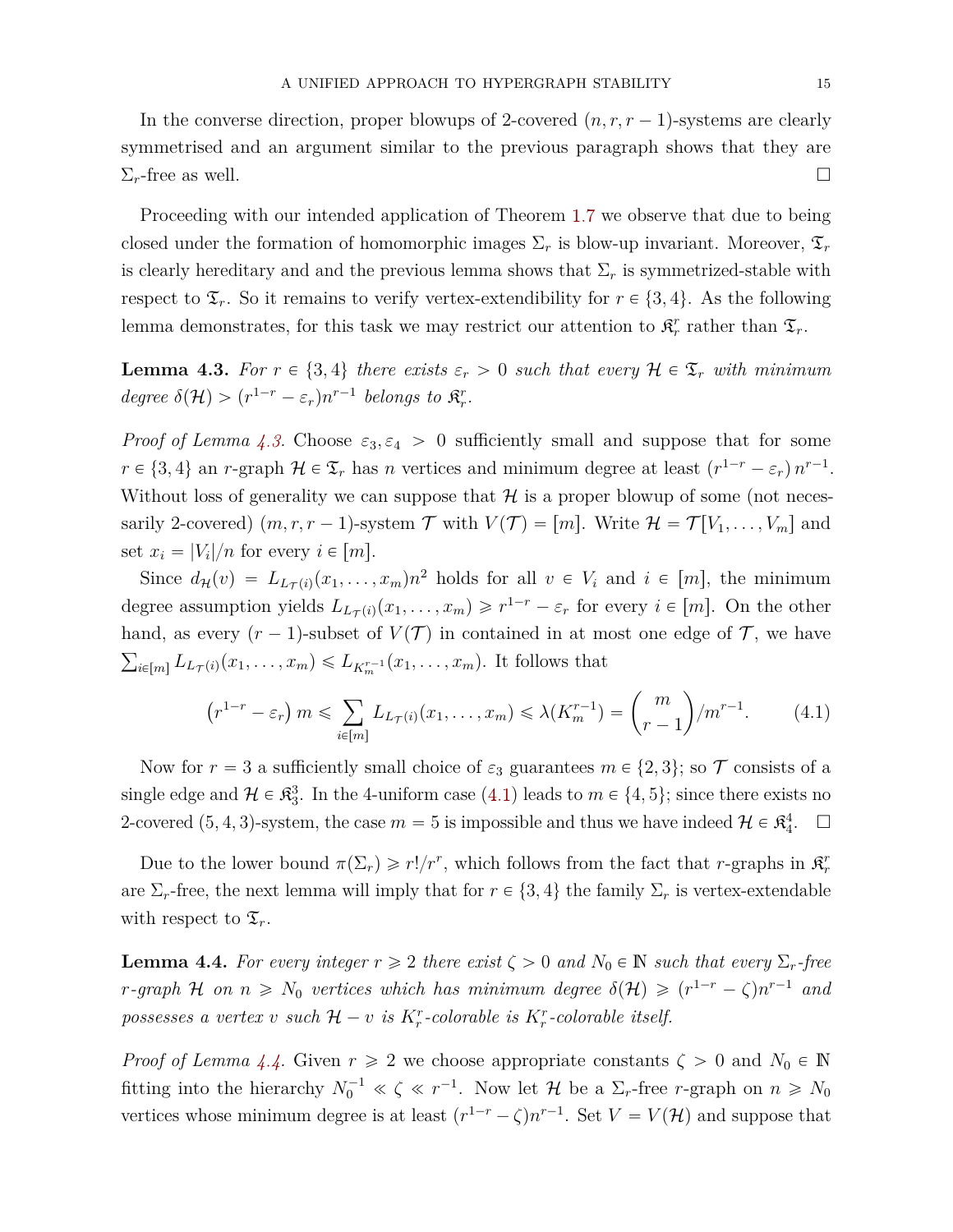In the converse direction, proper blowups of 2-covered  $(n, r, r - 1)$ -systems are clearly symmetrised and an argument similar to the previous paragraph shows that they are  $\Sigma_r$ -free as well.

Proceeding with our intended application of Theorem [1.7](#page-3-0) we observe that due to being closed under the formation of homomorphic images  $\Sigma_r$  is blow-up invariant. Moreover,  $\mathfrak{T}_r$ is clearly hereditary and and the previous lemma shows that  $\Sigma_r$  is symmetrized-stable with respect to  $\mathfrak{T}_r$ . So it remains to verify vertex-extendibility for  $r \in \{3, 4\}$ . As the following lemma demonstrates, for this task we may restrict our attention to  $\mathfrak{K}^r_r$  rather than  $\mathfrak{T}_r$ .

<span id="page-14-0"></span>**Lemma 4.3.** For  $r \in \{3, 4\}$  there exists  $\varepsilon_r > 0$  such that every  $\mathcal{H} \in \mathfrak{T}_r$  with minimum *degree*  $\delta(\mathcal{H}) > (r^{1-r} - \varepsilon_r)n^{r-1}$  *belongs to*  $\mathfrak{K}_r^r$ *.* 

*Proof of Lemma [4.3.](#page-14-0)* Choose  $\varepsilon_3$ ,  $\varepsilon_4 > 0$  sufficiently small and suppose that for some  $r \in \{3, 4\}$  an *r*-graph  $\mathcal{H} \in \mathfrak{T}_r$  has *n* vertices and minimum degree at least  $(r^{1-r} - \varepsilon_r) n^{r-1}$ . Without loss of generality we can suppose that  $\mathcal H$  is a proper blowup of some (not necessarily 2-covered)  $(m, r, r - 1)$ -system  $\mathcal T$  with  $V(\mathcal T) = [m]$ . Write  $\mathcal H = \mathcal T[V_1, \ldots, V_m]$  and set  $x_i = |V_i|/n$  for every  $i \in [m]$ .

Since  $d_{\mathcal{H}}(v) = L_{L_{\mathcal{T}}(i)}(x_1, \ldots, x_m) n^2$  holds for all  $v \in V_i$  and  $i \in [m]$ , the minimum degree assumption yields  $L_{L_{\mathcal{T}}(i)}(x_1, \ldots, x_m) \geq r^{1-r} - \varepsilon_r$  for every  $i \in [m]$ . On the other hand, as every  $(r-1)$ -subset of  $V(\mathcal{T})$  in contained in at most one edge of  $\mathcal{T}$ , we have  $E_{i\in[m]} L_{L\tau(i)}(x_1,\ldots,x_m) \leqslant L_{K_m^{r-1}}(x_1,\ldots,x_m)$ . It follows that ˙

<span id="page-14-1"></span>
$$
(r^{1-r} - \varepsilon_r) m \le \sum_{i \in [m]} L_{L_{\mathcal{T}}(i)}(x_1, \dots, x_m) \le \lambda(K_m^{r-1}) = \binom{m}{r-1} / m^{r-1}.
$$
 (4.1)

Now for  $r = 3$  a sufficiently small choice of  $\varepsilon_3$  guarantees  $m \in \{2, 3\}$ ; so  $\mathcal T$  consists of a single edge and  $\mathcal{H} \in \mathbb{R}_3^3$ . In the 4-uniform case [\(4.1\)](#page-14-1) leads to  $m \in \{4, 5\}$ ; since there exists no 2-covered  $(5, 4, 3)$ -system, the case  $m = 5$  is impossible and thus we have indeed  $\mathcal{H} \in \mathbb{R}^4_4$ .  $\square$ 

Due to the lower bound  $\pi(\Sigma_r) \geq r!/r^r$ , which follows from the fact that *r*-graphs in  $\mathfrak{K}^r_r$ are  $\Sigma_r$ -free, the next lemma will imply that for  $r \in \{3, 4\}$  the family  $\Sigma_r$  is vertex-extendable with respect to  $\mathfrak{T}_r$ .

<span id="page-14-2"></span>**Lemma 4.4.** For every integer  $r \geq 2$  there exist  $\zeta > 0$  and  $N_0 \in \mathbb{N}$  such that every  $\Sigma_r$ -free *r*-graph H on  $n \geq N_0$  vertices which has minimum degree  $\delta(\mathcal{H}) \geqslant (r^{1-r} - \zeta)n^{r-1}$  and *possesses a vertex v such*  $H - v$  *is*  $K_r^r$ -*colorable is*  $K_r^r$ -*colorable itself.* 

*Proof of Lemma [4.4.](#page-14-2)* Given  $r \ge 2$  we choose appropriate constants  $\zeta > 0$  and  $N_0 \in \mathbb{N}$ fitting into the hierarchy  $N_0^{-1} \ll \zeta \ll r^{-1}$ . Now let  $\mathcal H$  be a  $\Sigma_r$ -free *r*-graph on  $n \ge N_0$ vertices whose minimum degree is at least  $(r^{1-r} - \zeta)n^{r-1}$ . Set  $V = V(\mathcal{H})$  and suppose that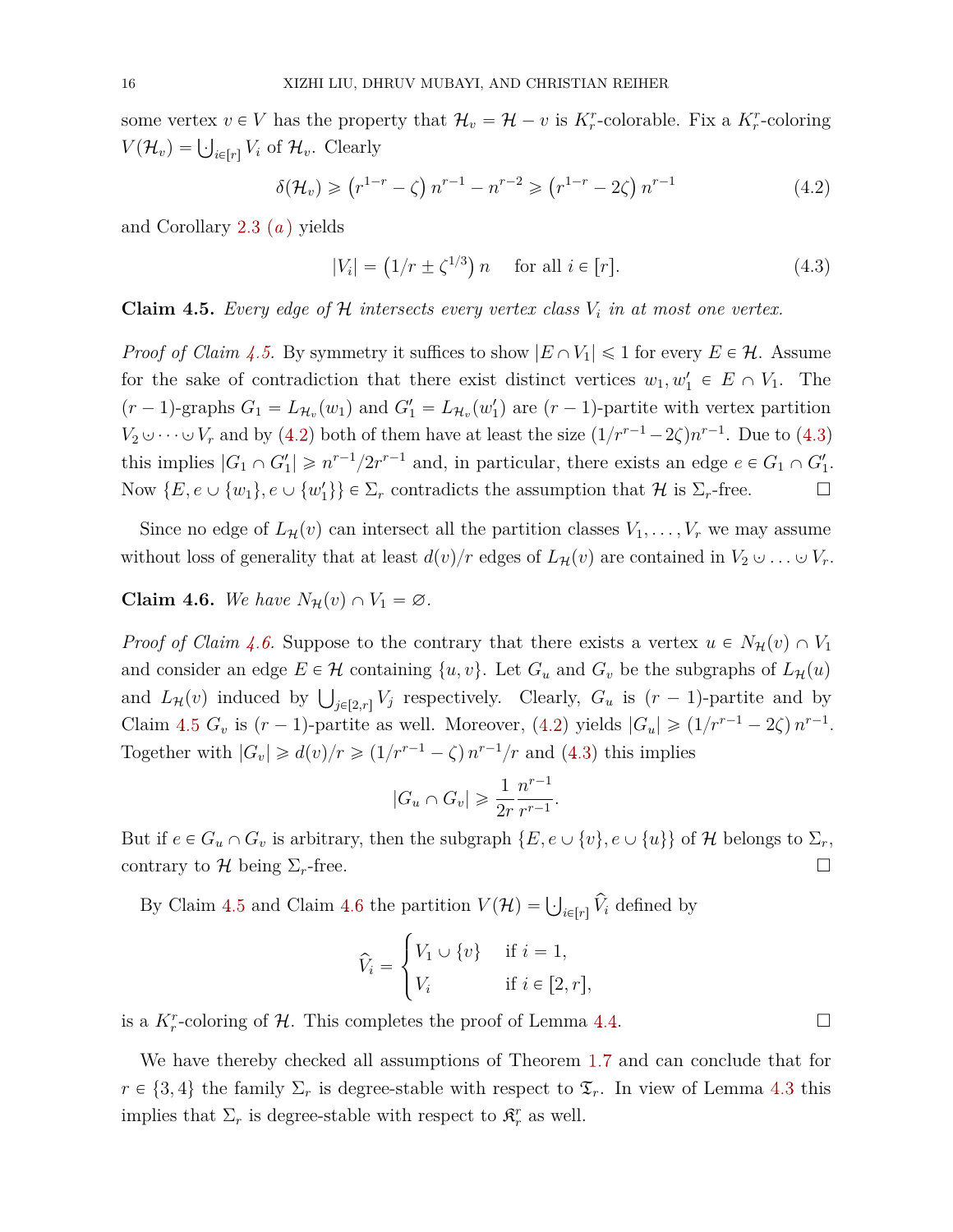some vertex  $v \in V$  has the property that  $\mathcal{H}_v = \mathcal{H} - v$  is  $K_r^r$ -colorable. Fix a  $K_r^r$ -coloring  $V(\mathcal{H}_v) = \bigcup_{i \in [r]} V_i$  of  $\mathcal{H}_v$ . Clearly

<span id="page-15-1"></span>
$$
\delta(\mathcal{H}_v) \ge (r^{1-r} - \zeta) n^{r-1} - n^{r-2} \ge (r^{1-r} - 2\zeta) n^{r-1}
$$
\n(4.2)

and Corollary [2.3](#page-8-2) (*[a](#page-9-5)* ) yields

<span id="page-15-2"></span>
$$
|V_i| = (1/r \pm \zeta^{1/3}) n \quad \text{for all } i \in [r].
$$
 (4.3)

<span id="page-15-0"></span>**Claim 4.5.** *Every edge of*  $H$  *intersects every vertex class*  $V_i$  *in at most one vertex.* 

*Proof of Claim [4.5.](#page-15-0)* By symmetry it suffices to show  $|E \cap V_1| \leq 1$  for every  $E \in \mathcal{H}$ . Assume for the sake of contradiction that there exist distinct vertices  $w_1, w'_1 \in E \cap V_1$ . The  $(r-1)$ -graphs  $G_1 = L_{\mathcal{H}_v}(w_1)$  and  $G_1' = L_{\mathcal{H}_v}(w_1')$  are  $(r-1)$ -partite with vertex partition *V*<sub>2</sub>  $\cup \cdots \cup V_r$  and by [\(4.2\)](#page-15-1) both of them have at least the size  $(1/r^{r-1} - 2\zeta)n^{r-1}$ . Due to [\(4.3\)](#page-15-2) this implies  $|G_1 \cap G_1'| \geq n^{r-1}/2r^{r-1}$  and, in particular, there exists an edge  $e \in G_1 \cap G_1'$ . Now  $\{E, e \cup \{w_1\}, e \cup \{w'_1\}\}\in \Sigma_r$  contradicts the assumption that  $\mathcal H$  is  $\Sigma_r$ -free.

Since no edge of  $L_{\mathcal{H}}(v)$  can intersect all the partition classes  $V_1, \ldots, V_r$  we may assume without loss of generality that at least  $d(v)/r$  edges of  $L_{\mathcal{H}}(v)$  are contained in  $V_2 \cup \ldots \cup V_r$ .

<span id="page-15-3"></span>**Claim 4.6.** *We have*  $N_{\mathcal{H}}(v) \cap V_1 = \emptyset$ .

*Proof of Claim [4.6.](#page-15-3)* Suppose to the contrary that there exists a vertex  $u \in N_{\mathcal{H}}(v) \cap V_1$ and consider an edge  $E \in \mathcal{H}$  containing  $\{u, v\}$ . Let  $G_u$  and  $G_v$  be the subgraphs of  $L_{\mathcal{H}}(u)$ and *L*<sub>H</sub>(*v*) induced by  $\bigcup_{j \in [2,r]} V_j$  respectively. Clearly,  $G_u$  is  $(r-1)$ -partite and by Claim [4.5](#page-15-0)  $G_v$  is  $(r-1)$ -partite as well. Moreover, [\(4.2\)](#page-15-1) yields  $|G_u| \geq (1/r^{r-1} - 2\zeta) n^{r-1}$ . Together with  $|G_v| \geq d(v)/r \geq (1/r^{r-1} - \zeta) n^{r-1}/r$  and [\(4.3\)](#page-15-2) this implies

$$
|G_u \cap G_v| \geq \frac{1}{2r} \frac{n^{r-1}}{r^{r-1}}.
$$

But if  $e \in G_u \cap G_v$  is arbitrary, then the subgraph  $\{E, e \cup \{v\}, e \cup \{u\}\}\$  of H belongs to  $\Sigma_r$ , contrary to  $\mathcal H$  being  $\Sigma_r$ -free.

By Claim [4.5](#page-15-0) and Claim [4.6](#page-15-3) the partition  $V(\mathcal{H}) = \bigcup_{i \in [r]} \hat{V}_i$  defined by

$$
\widehat{V}_i = \begin{cases} V_1 \cup \{v\} & \text{if } i = 1, \\ V_i & \text{if } i \in [2, r], \end{cases}
$$

is a  $K_r^r$ -coloring of  $H$ . This completes the proof of Lemma [4.4.](#page-14-2)

We have thereby checked all assumptions of Theorem [1.7](#page-3-0) and can conclude that for  $r \in \{3, 4\}$  the family  $\Sigma_r$  is degree-stable with respect to  $\mathfrak{T}_r$ . In view of Lemma [4.3](#page-14-0) this implies that  $\Sigma_r$  is degree-stable with respect to  $\mathfrak{K}^r_r$  as well.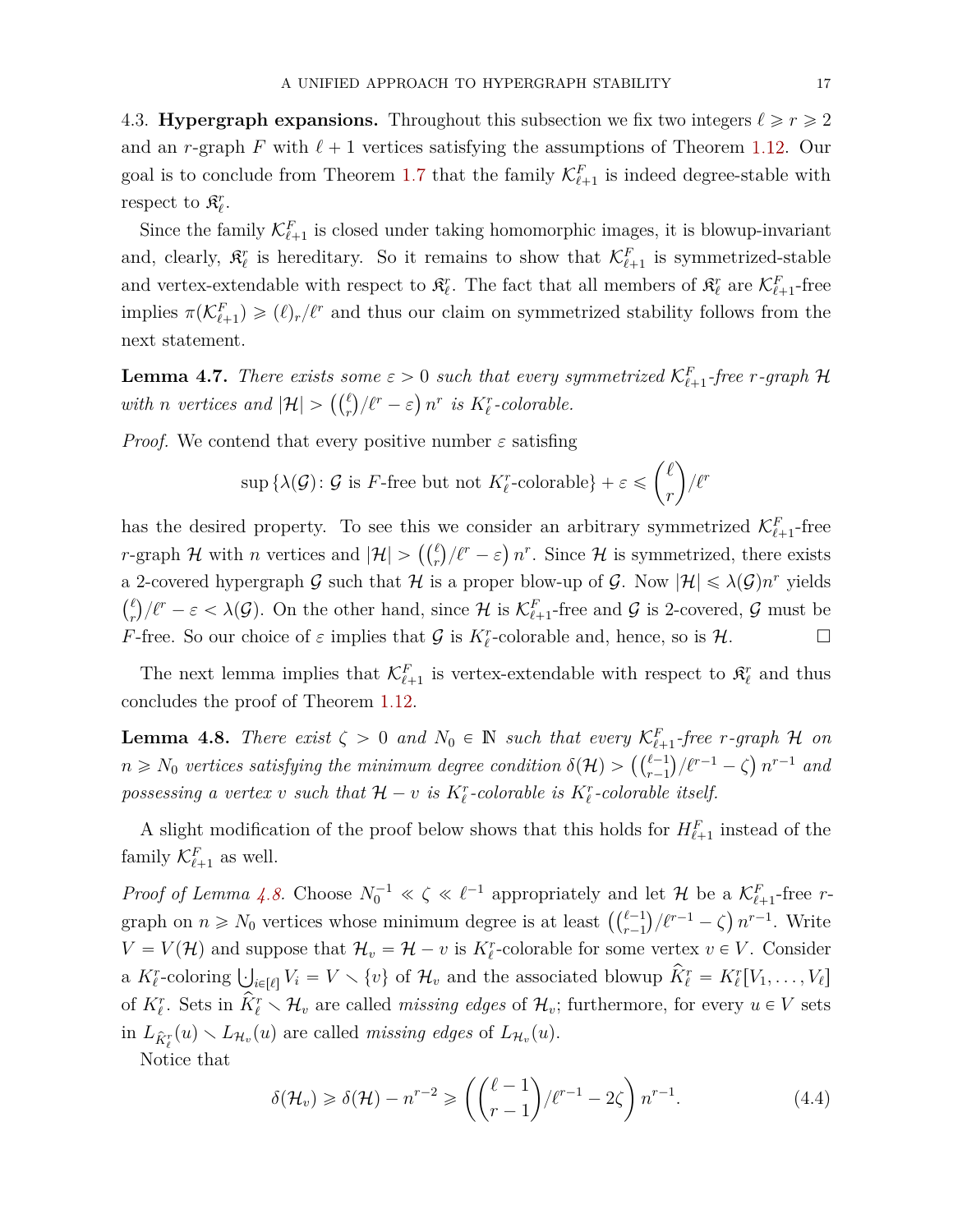4.3. **Hypergraph expansions.** Throughout this subsection we fix two integers  $\ell \ge r \ge 2$ and an *r*-graph *F* with  $\ell + 1$  vertices satisfying the assumptions of Theorem [1.12.](#page-6-1) Our goal is to conclude from Theorem [1.7](#page-3-0) that the family  $\mathcal{K}^F_{\ell+1}$  is indeed degree-stable with respect to  $\mathfrak{K}_{\ell}^r$ .

Since the family  $\mathcal{K}^F_{\ell+1}$  is closed under taking homomorphic images, it is blowup-invariant and, clearly,  $\mathfrak{K}_{\ell}^{r}$  is hereditary. So it remains to show that  $\mathcal{K}_{\ell+1}^{F}$  is symmetrized-stable and vertex-extendable with respect to  $\mathfrak{K}_{\ell}^r$ . The fact that all members of  $\mathfrak{K}_{\ell}^r$  are  $\mathcal{K}_{\ell+1}^F$ -free implies  $\pi(\mathcal{K}^F_{\ell+1}) \geqslant (\ell)_r/\ell^r$  and thus our claim on symmetrized stability follows from the next statement.

<span id="page-16-1"></span>**Lemma 4.7.** *There exists some*  $\varepsilon > 0$  *such that every symmetrized*  $\mathcal{K}_{\ell+1}^F$ -free *r*-graph  $\mathcal{H}$ *with**n* vertices and  $|\mathcal{H}| > \left(\binom{\ell}{r}/\ell^r - \varepsilon\right) n^r$  *is*  $K_\ell^r$ -colorable.

*Proof.* We contend that every positive number  $\varepsilon$  satisfing

$$
\sup \{ \lambda(\mathcal{G}) \colon \mathcal{G} \text{ is } F\text{-free but not } K^r_{\ell}\text{-colorable} \} + \varepsilon \leqslant {\ell \choose r}/\ell^r
$$

ˆ

˙

has the desired property. To see this we consider an arbitrary symmetrized  $\mathcal{K}^F_{\ell+1}$ -free *r*-graph *H* with *n* vertices and  $|\mathcal{H}| > \left(\binom{\ell}{r}/\ell^r - \varepsilon\right)n^r$ . Since *H* is symmetrized, there exists a 2-covered hypergraph G such that  $H$  is a proper blow-up of G. Now  $|\mathcal{H}| \leq \lambda(\mathcal{G})n^r$  yields  $\ell$  $f(r)$ ,  $f(r) = \varepsilon < \lambda(G)$ . On the other hand, since H is  $\mathcal{K}^F_{\ell+1}$ -free and G is 2-covered, G must be *F*-free. So our choice of  $\varepsilon$  implies that  $\mathcal G$  is  $K^r_\ell$ -colorable and, hence, so is  $\mathcal H$ .

The next lemma implies that  $\mathcal{K}^F_{\ell+1}$  is vertex-extendable with respect to  $\mathcal{R}^r_{\ell}$  and thus concludes the proof of Theorem [1.12.](#page-6-1)

<span id="page-16-0"></span>**Lemma 4.8.** *There exist*  $\zeta > 0$  *and*  $N_0 \in \mathbb{N}$  *such that every*  $\mathcal{K}_{\ell+1}^F$ -free *r*-graph  $\mathcal H$  *on n*  $\geq$  *N*<sub>0</sub> *vertices satisfying the minimum degree condition*  $\delta(\mathcal{H})$   $>$   $\left(\binom{\ell-1}{r-1}/\ell^{r-1} - \zeta\right) n^{r-1}$  and  $n \geq$  *n*<sup>-1</sup> and *possessing a vertex v such that*  $\mathcal{H} - v$  *is*  $K_{\ell}^{r}$ -colorable *is*  $K_{\ell}^{r}$ -colorable *itself.* 

A slight modification of the proof below shows that this holds for  $H_{\ell+1}^F$  instead of the family  $\mathcal{K}^F_{\ell+1}$  as well.

*Proof of Lemma [4.8.](#page-16-0)* Choose  $N_0^{-1} \ll \zeta \ll \ell^{-1}$  appropriately and let  $\mathcal{H}$  be a  $\mathcal{K}_{\ell+1}^F$ -free r*r*<sup>1</sup> *roof of Lemma 4.0.* Choose  $N_0 \ll \zeta \ll \ell$  appropriately and let  $\pi$  be a  $\mathcal{N}_{\ell+1}$ -free *r*-<br>graph on  $n \ge N_0$  vertices whose minimum degree is at least  $\left( \binom{\ell-1}{r-1} / \ell^{r-1} - \zeta \right) n^{r-1}$ . Write  $V = V(\mathcal{H})$  and suppose that  $\mathcal{H}_v = \mathcal{H} - v$  is  $K^r_\ell$ -colorable for some vertex  $v \in V$ . Consider  $V = V(Tt)$  and suppose that  $H_v = H - v$  is  $K_\ell$ -colorable for some vertex  $v \in V$ . Consider a  $K_\ell^r$ -coloring  $\bigcup_{i \in [\ell]} V_i = V \setminus \{v\}$  of  $\mathcal{H}_v$  and the associated blowup  $\hat{K}_\ell^r = K_\ell^r[V_1, \dots, V_\ell]$ of  $K_{\ell}^r$ . Sets in  $\overline{\hat{K}_{\ell}^r} \setminus \mathcal{H}_v$  are called *missing edges* of  $\mathcal{H}_v$ ; furthermore, for every  $u \in V$  sets  $\inf_{\hat{K}_\ell^r} (u) \setminus L_{\mathcal{H}_v}(u)$  are called *missing edges* of  $L_{\mathcal{H}_v}(u)$ .

Notice that

$$
\delta(\mathcal{H}_v) \ge \delta(\mathcal{H}) - n^{r-2} \ge \left( \binom{\ell-1}{r-1} / \ell^{r-1} - 2\zeta \right) n^{r-1}.
$$
\n(4.4)

˙

˙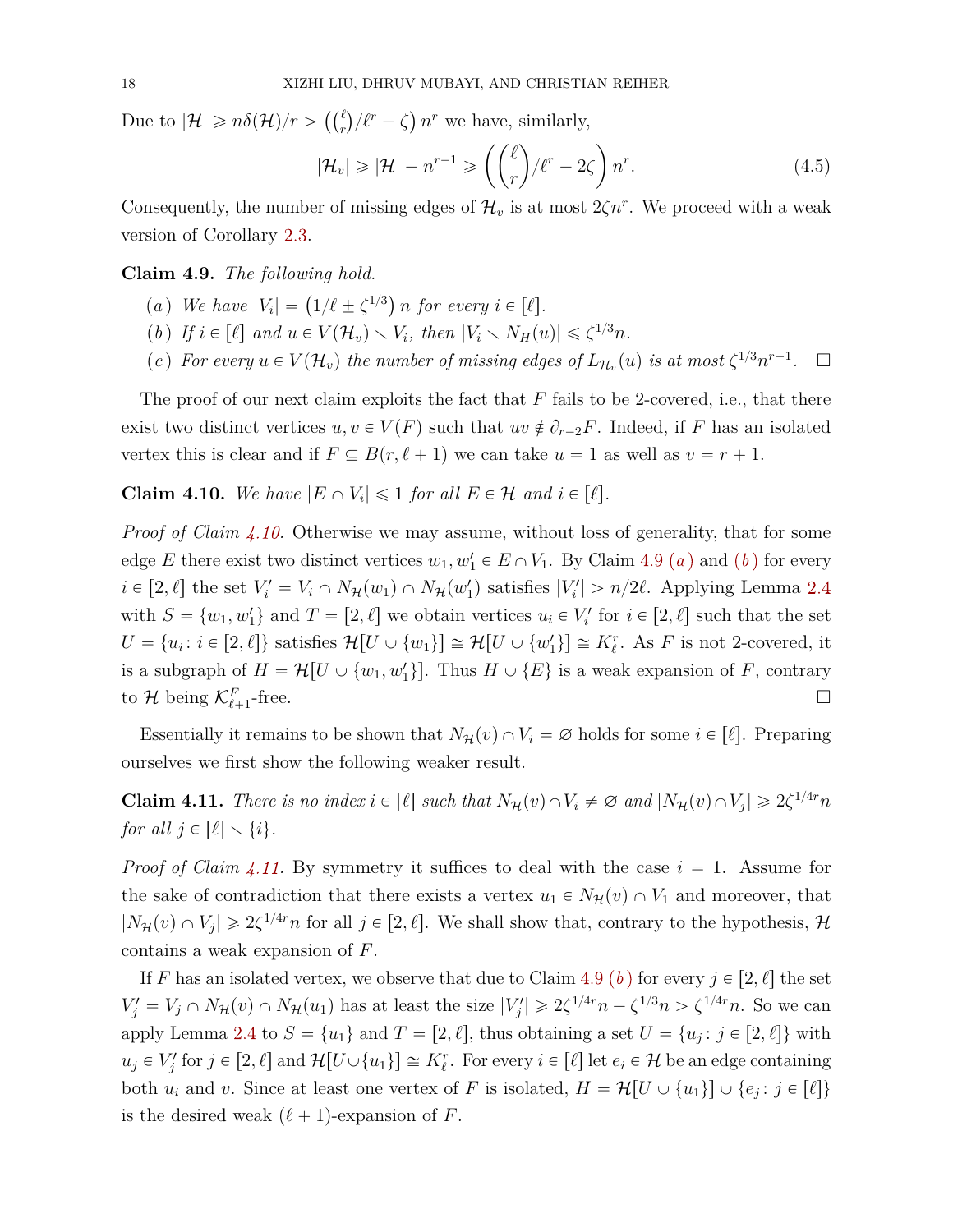Due to  $|\mathcal{H}| \geqslant n\delta(\mathcal{H})/r > \left(\binom{\ell}{r}\right)^r$ *r*  $\sqrt{\ell^r} - \zeta$  $n<sup>r</sup>$  we have, similarly,

$$
|\mathcal{H}_v| \ge |\mathcal{H}| - n^{r-1} \ge \left( \binom{\ell}{r} / \ell^r - 2\zeta \right) n^r. \tag{4.5}
$$

Consequently, the number of missing edges of  $\mathcal{H}_v$  is at most  $2\zeta n^r$ . We proceed with a weak version of Corollary [2.3.](#page-8-2)

#### <span id="page-17-2"></span><span id="page-17-1"></span>**Claim 4.9.** *The following hold.*

- (*a*) *We have*  $|V_i| = (1/\ell \pm \zeta^{1/3})$ *n* for every  $i \in [\ell]$ .
- <span id="page-17-3"></span>(*b*) *If*  $i \in [\ell]$  and  $u \in V(\mathcal{H}_v) \setminus V_i$ , then  $|V_i \setminus N_H(u)| \leq \zeta^{1/3}n$ .
- (*c*) For every  $u \in V(\mathcal{H}_v)$  the number of missing edges of  $L_{\mathcal{H}_v}(u)$  is at most  $\zeta^{1/3} n^{r-1}$ *.*

The proof of our next claim exploits the fact that *F* fails to be 2-covered, i.e., that there exist two distinct vertices  $u, v \in V(F)$  such that  $uv \notin \partial_{r-2}F$ . Indeed, if *F* has an isolated vertex this is clear and if  $F \subseteq B(r, \ell + 1)$  we can take  $u = 1$  as well as  $v = r + 1$ .

<span id="page-17-0"></span>**Claim 4.10.** We have  $|E \cap V_i| \leq 1$  for all  $E \in \mathcal{H}$  and  $i \in [\ell]$ .

*Proof of Claim [4.10.](#page-17-0)* Otherwise we may assume, without loss of generality, that for some edge *E* there exist two distinct vertices  $w_1, w'_1 \in E \cap V_1$  $w_1, w'_1 \in E \cap V_1$  $w_1, w'_1 \in E \cap V_1$ . By Claim [4.9](#page-17-1) (*a*) and (*[b](#page-17-3)*) for every  $i \in [2, \ell]$  the set  $V_i' = V_i \cap N_{\mathcal{H}}(w_1) \cap N_{\mathcal{H}}(w'_1)$  satisfies  $|V_i'| > n/2\ell$ . Applying Lemma [2.4](#page-9-6) with  $S = \{w_1, w'_1\}$  and  $T = [2, \ell]$  we obtain vertices  $u_i \in V'_i$  for  $i \in [2, \ell]$  such that the set  $U = \{u_i : i \in [2, \ell]\}$  satisfies  $\mathcal{H}[U \cup \{w_1\}] \cong \mathcal{H}[U \cup \{w'_1\}] \cong K_{\ell}^r$ . As *F* is not 2-covered, it is a subgraph of  $H = \mathcal{H}[U \cup \{w_1, w_1'\}]$ . Thus  $H \cup \{E\}$  is a weak expansion of *F*, contrary to  $\mathcal{H}$  being  $\mathcal{K}^F_{\ell+1}$  $-\text{free.}$ 

Essentially it remains to be shown that  $N_{\mathcal{H}}(v) \cap V_i = \emptyset$  holds for some  $i \in [\ell]$ . Preparing ourselves we first show the following weaker result.

<span id="page-17-4"></span>**Claim 4.11.** *There is no index*  $i \in [\ell]$  *such that*  $N_{\mathcal{H}}(v) \cap V_i \neq \emptyset$  *and*  $|N_{\mathcal{H}}(v) \cap V_j| \geq 2\zeta^{1/4r}n$ *for all*  $j \in [\ell] \setminus \{i\}.$ 

*Proof of Claim [4.11.](#page-17-4)* By symmetry it suffices to deal with the case  $i = 1$ . Assume for the sake of contradiction that there exists a vertex  $u_1 \in N_{\mathcal{H}}(v) \cap V_1$  and moreover, that  $|N_{\mathcal{H}}(v) \cap V_j| \geq 2\zeta^{1/4r}n$  for all  $j \in [2, \ell]$ . We shall show that, contrary to the hypothesis, H contains a weak expansion of *F*.

If *F* has an isolated vertex, we observe that due to Claim [4.9](#page-17-1) (*[b](#page-17-3)*) for every  $j \in [2, \ell]$  the set  $V'_j = V_j \cap N_{\mathcal{H}}(v) \cap N_{\mathcal{H}}(u_1)$  has at least the size  $|V'_j| \geq 2\zeta^{1/4r}n - \zeta^{1/3}n > \zeta^{1/4r}n$ . So we can apply Lemma [2.4](#page-9-6) to  $S = \{u_1\}$  and  $T = [2, \ell]$ , thus obtaining a set  $U = \{u_j : j \in [2, \ell]\}\$  with  $u_j \in V'_j$  for  $j \in [2, \ell]$  and  $\mathcal{H}[U \cup \{u_1\}] \cong K_{\ell}^r$ . For every  $i \in [\ell]$  let  $e_i \in \mathcal{H}$  be an edge containing both  $u_i$  and  $v$ . Since at least one vertex of  $F$  is isolated,  $H = \mathcal{H}[U \cup \{u_1\}] \cup \{e_j : j \in [\ell]\}$ is the desired weak  $(\ell + 1)$ -expansion of *F*.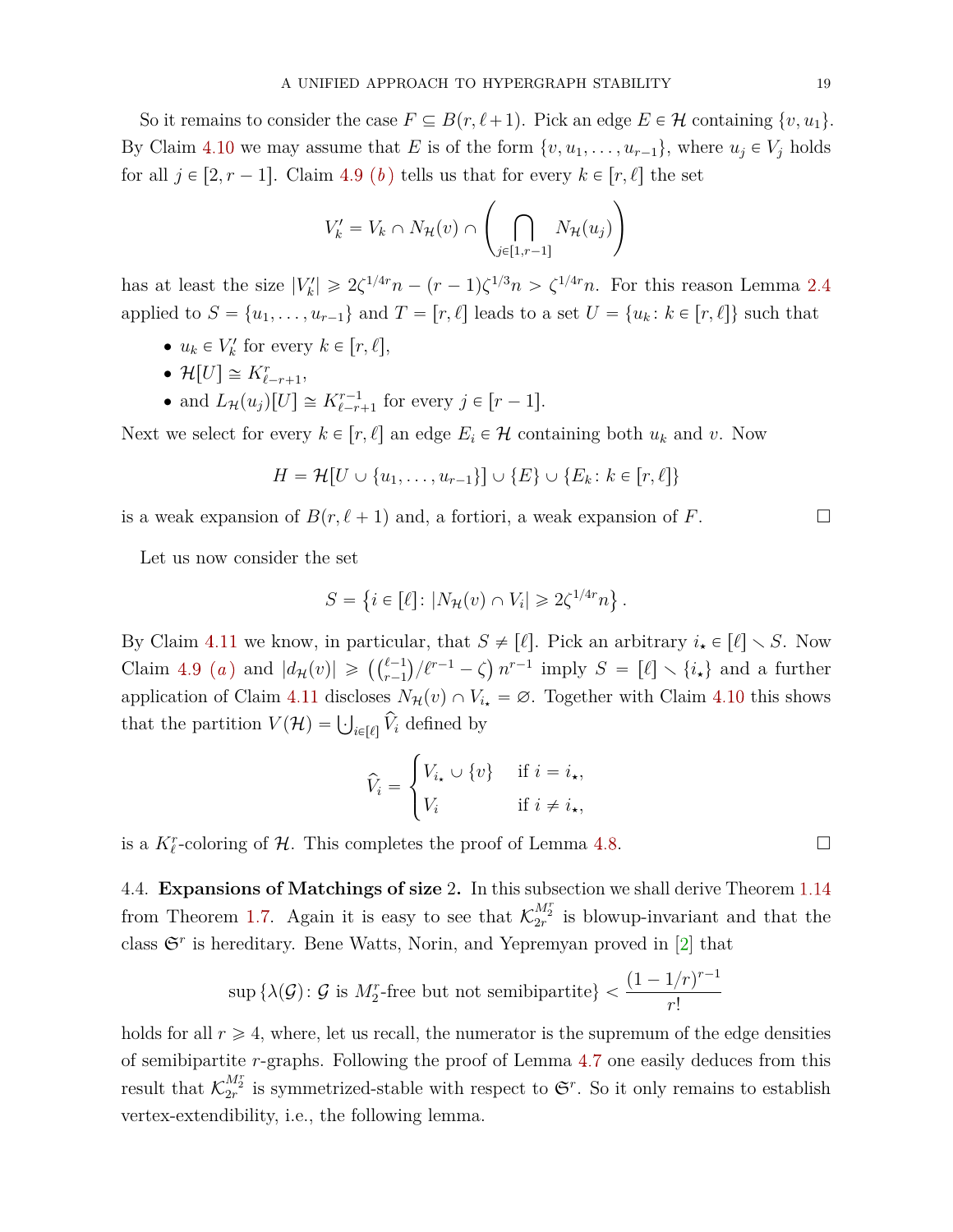So it remains to consider the case  $F \subseteq B(r, \ell + 1)$ . Pick an edge  $E \in \mathcal{H}$  containing  $\{v, u_1\}$ . By Claim [4.10](#page-17-0) we may assume that *E* is of the form  $\{v, u_1, \ldots, u_{r-1}\}$ , where  $u_j \in V_j$  holds for all  $j \in [2, r - 1]$ . Claim [4.9](#page-17-1) (*[b](#page-17-3)*) tells us that for every  $k \in [r, \ell]$  the set  $\tilde{a}$ 

$$
V'_{k} = V_{k} \cap N_{\mathcal{H}}(v) \cap \left(\bigcap_{j \in [1, r-1]} N_{\mathcal{H}}(u_{j})\right)
$$

has at least the size  $|V'_k| \ge 2\zeta^{1/4r}n - (r-1)\zeta^{1/3}n > \zeta^{1/4r}n$ . For this reason Lemma [2.4](#page-9-6) applied to  $S = \{u_1, \ldots, u_{r-1}\}\$  and  $T = [r, \ell]$  leads to a set  $U = \{u_k : k \in [r, \ell]\}\$  such that

- $u_k \in V'_k$  for every  $k \in [r, \ell],$
- $\mathcal{H}[U] \cong K_{\ell-r+1}^r,$
- and  $L_{\mathcal{H}}(u_j)[U] \cong K_{\ell-r+1}^{r-1}$  for every  $j \in [r-1]$ .

Next we select for every  $k \in [r, \ell]$  an edge  $E_i \in \mathcal{H}$  containing both  $u_k$  and  $v$ . Now

$$
H = \mathcal{H}[U \cup \{u_1, \ldots, u_{r-1}\}] \cup \{E\} \cup \{E_k : k \in [r, \ell]\}
$$

is a weak expansion of  $B(r, \ell + 1)$  and, a fortiori, a weak expansion of *F*.

Let us now consider the set

$$
S = \{ i \in [\ell] \colon |N_{\mathcal{H}}(v) \cap V_i| \geq 2\zeta^{1/4r} n \}.
$$

By Claim [4.11](#page-17-4) we know, in particular, that  $S \neq [\ell]$ . Pick an arbitrary  $i_{\star} \in [\ell] \setminus S$ . Now Claim [4.9](#page-17-1) *([a](#page-17-2))* and  $|d_{\mathcal{H}}(v)| \geqslant \left( \binom{\ell-1}{r-1} / \ell^{r-1} - \zeta \right) n^{r-1}$  imply  $S = [\ell] \setminus \{i_{\star}\}\$ and a further application of Claim [4.11](#page-17-4) discloses  $N_{\mathcal{H}}(v) \cap V_{i_{\star}} = \emptyset$ . Together with Claim [4.10](#page-17-0) this shows that the partition  $V(\mathcal{H}) = \bigcup_{i \in [\ell]} \hat{V}_i$  defined by

$$
\widehat{V}_i = \begin{cases} V_{i\star} \cup \{v\} & \text{if } i = i_{\star}, \\ V_i & \text{if } i \neq i_{\star}, \end{cases}
$$

is a  $K_{\ell}^{r}$ -coloring of  $\mathcal{H}$ . This completes the proof of Lemma [4.8.](#page-16-0)

<span id="page-18-0"></span>4.4. **Expansions of Matchings of size** 2**.** In this subsection we shall derive Theorem [1.14](#page-7-1) from Theorem [1.7.](#page-3-0) Again it is easy to see that  $\mathcal{K}_{2r}^{M_2^r}$  is blowup-invariant and that the class  $\mathfrak{S}^r$  is hereditary. Bene Watts, Norin, and Yepremyan proved in [\[2\]](#page-23-6) that

$$
\sup \left\{\lambda(\mathcal{G}) \colon \mathcal{G} \text{ is } M_2^r\text{-free but not semibipartite}\right\} < \frac{(1 - 1/r)^{r-1}}{r!}
$$

holds for all  $r \geq 4$ , where, let us recall, the numerator is the supremum of the edge densities of semibipartite *r*-graphs. Following the proof of Lemma [4.7](#page-16-1) one easily deduces from this result that  $\mathcal{K}_{2r}^{M_2^r}$  is symmetrized-stable with respect to  $\mathfrak{S}^r$ . So it only remains to establish vertex-extendibility, i.e., the following lemma.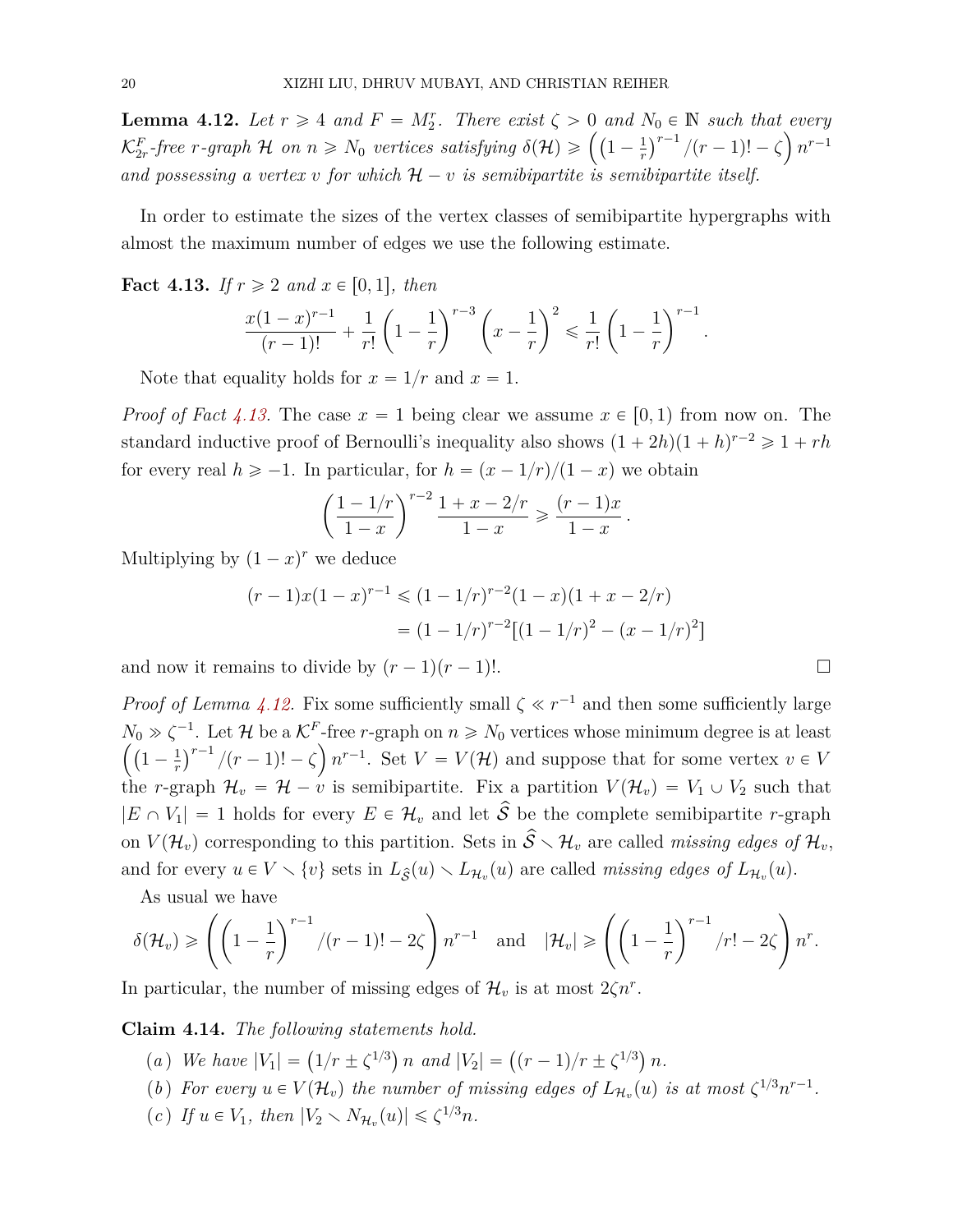<span id="page-19-1"></span>**Lemma 4.12.** Let  $r \geq 4$  and  $F = M_2^r$ . There exist  $\zeta > 0$  and  $N_0 \in \mathbb{N}$  such that every **Lemma 4.12.** Let  $r \geq 4$  and  $F = M_2^r$ . There exist  $\zeta > 0$  and  $K_{2r}^F$ -free  $r$ -graph  $\mathcal H$  on  $n \geq N_0$  vertices satisfying  $\delta(\mathcal H) \geqslant \left( \left(1 - \frac{1}{r_0}\right)^r\right)$ *r*  $v_0 \in$ <br> $\gamma^{r-1}$  $/(r-1)! - \zeta \frac{n^{r-1}}{r}$ and possessing a vertex *v* for which  $H - v$  is semibipartite is semibipartite itself.

In order to estimate the sizes of the vertex classes of semibipartite hypergraphs with almost the maximum number of edges we use the following estimate.

<span id="page-19-0"></span>**Fact 4.13.** *If*  $r \ge 2$  *and*  $x \in [0, 1]$ *, then* 

$$
\frac{x(1-x)^{r-1}}{(r-1)!} + \frac{1}{r!} \left(1 - \frac{1}{r}\right)^{r-3} \left(x - \frac{1}{r}\right)^2 \leq \frac{1}{r!} \left(1 - \frac{1}{r}\right)^{r-1}
$$

Note that equality holds for  $x = 1/r$  and  $x = 1$ .

*Proof of Fact* [4.13.](#page-19-0) The case  $x = 1$  being clear we assume  $x \in [0, 1)$  from now on. The standard inductive proof of Bernoulli's inequality also shows  $(1 + 2h)(1 + h)^{r-2} \geq 1 + rh$ for every real  $h \ge -1$ . In particular, for  $h = (x - 1/r)/(1 - x)$  we obtain ˆ

$$
\left(\frac{1-1/r}{1-x}\right)^{r-2} \frac{1+x-2/r}{1-x} \geq \frac{(r-1)x}{1-x}.
$$

Multiplying by  $(1 - x)^r$  we deduce

$$
(r-1)x(1-x)^{r-1} \le (1-1/r)^{r-2}(1-x)(1+x-2/r)
$$

$$
= (1-1/r)^{r-2}[(1-1/r)^2 - (x-1/r)^2]
$$

and now it remains to divide by  $(r - 1)(r - 1)!$ .

*Proof of Lemma [4.12.](#page-19-1)* Fix some sufficiently small  $\zeta \ll r^{-1}$  and then some sufficiently large  $N_0 \gg \zeta^{-1}$ . Let *H* be a  $\mathcal{K}^F$ -free *r*-graph on  $n \ge N_0$  vertices whose minimum degree is at least  $\left( \begin{array}{cc} 1 & 1 \end{array} \right)^{r-1}$  $1-\frac{1}{r}$  $\frac{1}{r}$ <sup>*r*-1</sup> /(*r* - 1)! –  $\zeta$  *n*<sup>*r*-1</sup>. Set *V* = *V*(*H*) and suppose that for some vertex *v*  $\in$  *V* the *r*-graph  $\mathcal{H}_v = \mathcal{H} - \nu$  is semibipartite. Fix a partition  $V(\mathcal{H}_v) = V_1 \cup V_2$  such that  $|E \cap V_1| = 1$  holds for every  $E \in \mathcal{H}_v$  and let  $\hat{S}$  be the complete semibipartite *r*-graph on  $V(\mathcal{H}_v)$  corresponding to this partition. Sets in  $\hat{S} \setminus \mathcal{H}_v$  are called *missing edges of*  $\mathcal{H}_v$ , and for every  $u \in V \setminus \{v\}$  sets in  $L_{\hat{\mathcal{S}}}(u) \setminus L_{\mathcal{H}_v}(u)$  are called *missing edges of*  $L_{\mathcal{H}_v}(u)$ .

As usual we have  
\n
$$
\delta(\mathcal{H}_v) \ge \left( \left( 1 - \frac{1}{r} \right)^{r-1} / (r-1)! - 2\zeta \right) n^{r-1} \quad \text{and} \quad |\mathcal{H}_v| \ge \left( \left( 1 - \frac{1}{r} \right)^{r-1} / r! - 2\zeta \right) n^r.
$$

In particular, the number of missing edges of  $\mathcal{H}_v$  is at most  $2\zeta n^r$ .

<span id="page-19-5"></span><span id="page-19-2"></span>Claim 4.14. The following statements hold.

- (*a*) *We have*  $|V_1| = (1/r \pm \zeta^{1/3}) n$  *and*  $|V_2| = ((r 1)/r \pm \zeta^{1/3})$ *n.*
- <span id="page-19-3"></span>(*b*) *For every*  $u \in V(\mathcal{H}_v)$  *the number of missing edges of*  $L_{\mathcal{H}_v}(u)$  *is at most*  $\zeta^{1/3} n^{r-1}$ *.*
- <span id="page-19-4"></span> $(c)$  *If*  $u \in V_1$ *, then*  $|V_2 \setminus N_{\mathcal{H}_v}(u)| \leq \zeta^{1/3} n$ *.*

*.*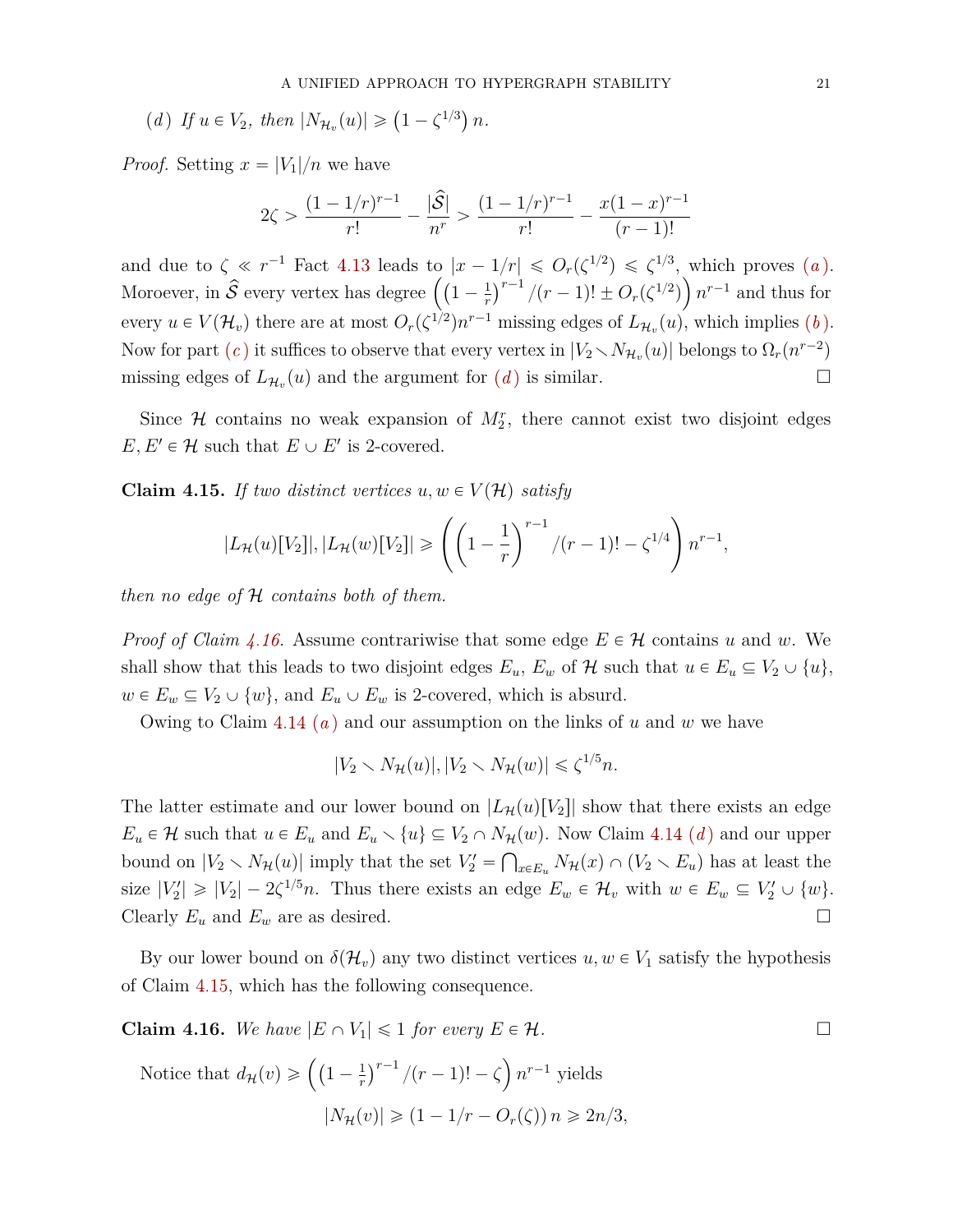<span id="page-20-0"></span>(d) If 
$$
u \in V_2
$$
, then  $|N_{\mathcal{H}_v}(u)| \ge (1 - \zeta^{1/3}) n$ .

*Proof.* Setting  $x = |V_1|/n$  we have

$$
2\zeta > \frac{(1 - 1/r)^{r-1}}{r!} - \frac{|\hat{\mathcal{S}}|}{n^r} > \frac{(1 - 1/r)^{r-1}}{r!} - \frac{x(1 - x)^{r-1}}{(r-1)!}
$$

[a](#page-19-2)nd due to  $\zeta \ll r^{-1}$  Fact [4.13](#page-19-0) leads to  $|x - 1/r| \leqslant O_r(\zeta^{1/2}) \leqslant \zeta^{1/3}$ , which proves  $(a)$ . and due to  $\zeta \ll r^{-1}$  Fact 4.13 leads to  $|x - \lambda|$ <br>Moroever, in  $\hat{S}$  every vertex has degree  $\left(1 - \frac{1}{r}\right)$ *r*  $\frac{1}{r}$ <sup>r</sup> $\frac{1}{r-1}$  $p/(r-1)! \pm O_r(\zeta^{1/2})$   $n^{r-1}$  and thus for every  $u \in V(\mathcal{H}_v)$  there are at most  $O_r(\zeta^{1/2})n^{r-1}$  missing edges of  $L_{\mathcal{H}_v}(u)$ , which implies  $(b)$ . Now for part  $(c)$  $(c)$  $(c)$  it suffices to observe that every vertex in  $|V_2 \setminus N_{\mathcal{H}_v}(u)|$  belongs to  $\Omega_r(n^{r-2})$ missing e[d](#page-20-0)ges of  $L_{\mathcal{H}_v}(u)$  and the argument for  $(d)$  is similar.

Since  $H$  contains no weak expansion of  $M_2^r$ , there cannot exist two disjoint edges  $E, E' \in \mathcal{H}$  such that  $E \cup E'$  is 2-covered.

<span id="page-20-2"></span>**Claim 4.15.** If two distinct vertices  $u, w \in V(\mathcal{H})$  satisfy

$$
|L_{\mathcal{H}}(u)[V_2]|, |L_{\mathcal{H}}(w)[V_2]| \geqslant \left(\left(1-\frac{1}{r}\right)^{r-1}/(r-1)!-\zeta^{1/4}\right)n^{r-1},
$$

*then no edge of* H *contains both of them.*

*Proof of Claim [4.16.](#page-20-1)* Assume contrariwise that some edge  $E \in \mathcal{H}$  contains *u* and *w*. We shall show that this leads to two disjoint edges  $E_u$ ,  $E_w$  of  $\mathcal H$  such that  $u \in E_u \subseteq V_2 \cup \{u\}$ ,  $w \in E_w \subseteq V_2 \cup \{w\}$ , and  $E_u \cup E_w$  is 2-covered, which is absurd.

Owing to Claim [4.14](#page-19-5) (*[a](#page-19-2)* ) and our assumption on the links of *u* and *w* we have

$$
|V_2 \setminus N_{\mathcal{H}}(u)|, |V_2 \setminus N_{\mathcal{H}}(w)| \leq \zeta^{1/5} n.
$$

The latter estimate and our lower bound on  $|L_{\mathcal{H}}(u)[V_2]|$  show that there exists an edge  $E_u \in \mathcal{H}$  such that  $u \in E_u$  an[d](#page-20-0)  $E_u \setminus \{u\} \subseteq V_2 \cap N_{\mathcal{H}}(w)$ . Now Claim [4.14](#page-19-5) (*d*) and our upper bound on  $|V_2 \setminus N_{\mathcal{H}}(u)|$  imply that the set  $V'_2 = \bigcap_{x \in E_u} N_{\mathcal{H}}(x) \cap (V_2 \setminus E_u)$  has at least the size  $|V_2'| \geq |V_2| - 2\zeta^{1/5}n$ . Thus there exists an edge  $E_w \in \mathcal{H}_v$  with  $w \in E_w \subseteq V_2' \cup \{w\}$ . Clearly  $E_u$  and  $E_w$  are as desired.

By our lower bound on  $\delta(\mathcal{H}_v)$  any two distinct vertices  $u, w \in V_1$  satisfy the hypothesis of Claim [4.15,](#page-20-2) which has the following consequence.

<span id="page-20-1"></span>**Claim 4.16.** We have  $|E \cap V_1| \leq 1$  for every  $E \in \mathcal{H}$ .

Notice that 
$$
d_{\mathcal{H}}(v) \ge \left( \left(1 - \frac{1}{r}\right)^{r-1} / (r-1)! - \zeta \right) n^{r-1}
$$
 yields  
\n
$$
|N_{\mathcal{H}}(v)| \ge (1 - 1/r - O_r(\zeta)) n \ge 2n/3,
$$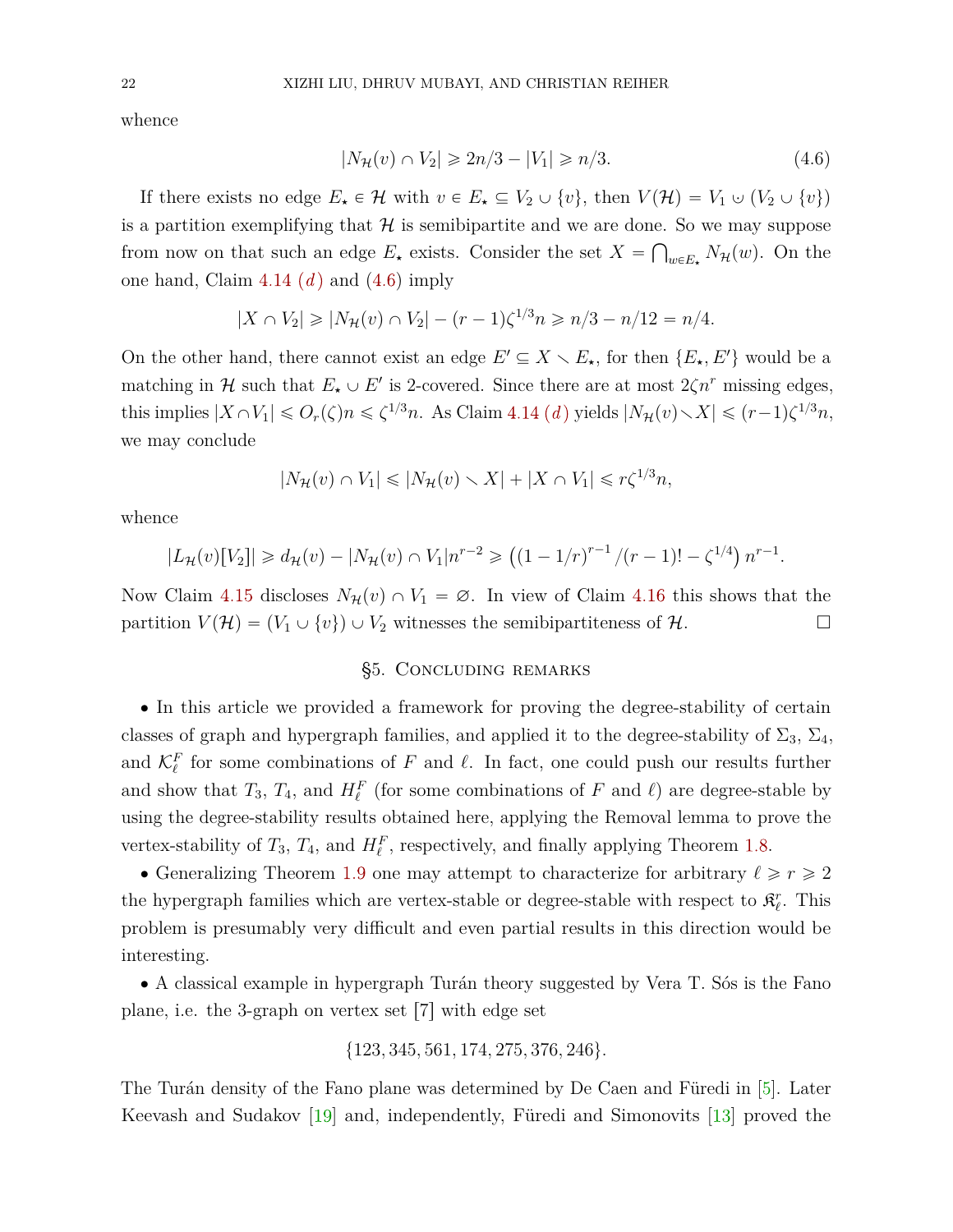whence

<span id="page-21-0"></span>
$$
|N_{\mathcal{H}}(v) \cap V_2| \ge 2n/3 - |V_1| \ge n/3. \tag{4.6}
$$

If there exists no edge  $E_{\star} \in \mathcal{H}$  with  $v \in E_{\star} \subseteq V_2 \cup \{v\}$ , then  $V(\mathcal{H}) = V_1 \cup (V_2 \cup \{v\})$ is a partition exemplifying that  $\mathcal H$  is semibipartite and we are done. So we may suppose from now on that such an edge  $E_{\star}$  exists. Consider the set  $X = \bigcap_{w \in E_{\star}} N_{\mathcal{H}}(w)$ . On the one han[d](#page-20-0), Claim  $4.14(d)$  $4.14(d)$  and  $(4.6)$  imply

$$
|X \cap V_2| \ge |N_{\mathcal{H}}(v) \cap V_2| - (r-1)\zeta^{1/3} n \ge n/3 - n/12 = n/4.
$$

On the other hand, there cannot exist an edge  $E' \subseteq X \setminus E_{\star}$ , for then  $\{E_{\star}, E'\}$  would be a matching in  $H$  such that  $E_{\star} \cup E'$  is 2-covered. Since there are at most  $2\zeta n^r$  missing edges, this implies  $|X \cap V_1| \leqslant O_r(\zeta)n \leqslant \zeta^{1/3}n$ . As Claim [4.14](#page-19-5) *([d](#page-20-0))* yields  $|N_H(v) \setminus X| \leqslant (r-1)\zeta^{1/3}n$ , we may conclude

$$
|N_{\mathcal{H}}(v) \cap V_1| \leq |N_{\mathcal{H}}(v) \setminus X| + |X \cap V_1| \leq r\zeta^{1/3}n,
$$

whence

$$
|L_{\mathcal{H}}(v)[V_2]| \ge d_{\mathcal{H}}(v) - |N_{\mathcal{H}}(v) \cap V_1| n^{r-2} \ge ((1 - 1/r)^{r-1}/(r-1)! - \zeta^{1/4}) n^{r-1}.
$$

Now Claim [4.15](#page-20-2) discloses  $N_{\mathcal{H}}(v) \cap V_1 = \emptyset$ . In view of Claim [4.16](#page-20-1) this shows that the partition  $V(\mathcal{H}) = (V_1 \cup \{v\}) \cup V_2$  witnesses the semibipartiteness of  $\mathcal{H}$ .

## §5. Concluding remarks

<span id="page-21-1"></span>' In this article we provided a framework for proving the degree-stability of certain classes of graph and hypergraph families, and applied it to the degree-stability of  $\Sigma_3$ ,  $\Sigma_4$ , and  $\mathcal{K}_{\ell}^F$  for some combinations of  $F$  and  $\ell$ . In fact, one could push our results further and show that  $T_3$ ,  $T_4$ , and  $H_\ell^F$  (for some combinations of  $F$  and  $\ell$ ) are degree-stable by using the degree-stability results obtained here, applying the Removal lemma to prove the vertex-stability of  $T_3$ ,  $T_4$ , and  $H_\ell^F$ , respectively, and finally applying Theorem [1.8.](#page-3-3)

• Generalizing Theorem [1.9](#page-4-3) one may attempt to characterize for arbitrary  $\ell \geq r \geq 2$ the hypergraph families which are vertex-stable or degree-stable with respect to  $\mathcal{R}_{\ell}^r$ . This problem is presumably very difficult and even partial results in this direction would be interesting.

' A classical example in hypergraph Turán theory suggested by Vera T. Sós is the Fano plane, i.e. the 3-graph on vertex set  $[7]$  with edge set

$$
\{123,345,561,174,275,376,246\}.
$$

The Turán density of the Fano plane was determined by De Caen and Füredi in [\[5\]](#page-23-7). Later Keevash and Sudakov [\[19\]](#page-24-2) and, independently, Füredi and Simonovits [\[13\]](#page-24-0) proved the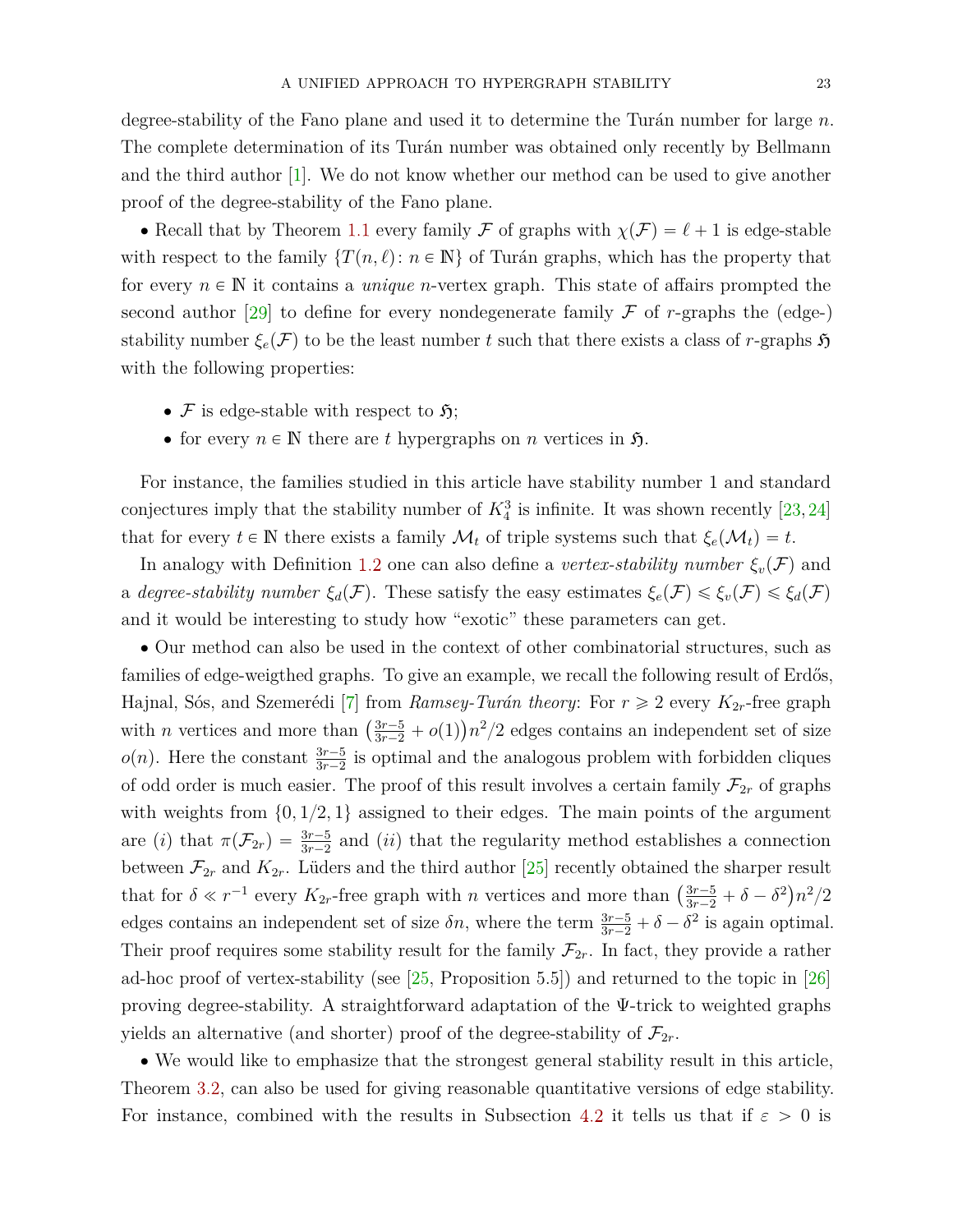degree-stability of the Fano plane and used it to determine the Turán number for large *n*. The complete determination of its Turán number was obtained only recently by Bellmann and the third author [\[1\]](#page-23-8). We do not know whether our method can be used to give another proof of the degree-stability of the Fano plane.

• Recall that by Theorem [1.1](#page-1-0) every family F of graphs with  $\chi(F) = \ell + 1$  is edge-stable with respect to the family  $\{T(n, \ell): n \in \mathbb{N}\}\$  of Turán graphs, which has the property that for every  $n \in \mathbb{N}$  it contains a *unique n*-vertex graph. This state of affairs prompted the second author  $[29]$  to define for every nondegenerate family  $\mathcal F$  of *r*-graphs the (edge-) stability number  $\xi_e(\mathcal{F})$  to be the least number *t* such that there exists a class of *r*-graphs  $\mathfrak{H}$ with the following properties:

- $\mathcal F$  is edge-stable with respect to  $\mathfrak H$ ;
- for every  $n \in \mathbb{N}$  there are *t* hypergraphs on *n* vertices in  $\mathfrak{H}$ .

For instance, the families studied in this article have stability number 1 and standard conjectures imply that the stability number of  $K_4^3$  is infinite. It was shown recently [\[23,](#page-24-17) [24\]](#page-24-13) that for every  $t \in \mathbb{N}$  there exists a family  $\mathcal{M}_t$  of triple systems such that  $\xi_e(\mathcal{M}_t) = t$ .

In analogy with Definition [1.2](#page-1-1) one can also define a *vertex-stability number*  $\xi_v(\mathcal{F})$  and a *degree-stability number*  $\xi_d(\mathcal{F})$ . These satisfy the easy estimates  $\xi_e(\mathcal{F}) \leq \xi_v(\mathcal{F}) \leq \xi_d(\mathcal{F})$ and it would be interesting to study how "exotic" these parameters can get.

' Our method can also be used in the context of other combinatorial structures, such as families of edge-weigthed graphs. To give an example, we recall the following result of Erdős, Hajnal, Sós, and Szemerédi [\[7\]](#page-23-9) from *Ramsey-Turán theory*: For  $r \geq 2$  every  $K_{2r}$ -free graph riajnal, sos, and szemered [*i*] from *hamsey-ruran meory*. For  $r \ge 2$  every  $\mathbf{R}_{2r}$ -nee graph<br>with *n* vertices and more than  $\left(\frac{3r-5}{3r-2} + o(1)\right)n^2/2$  edges contains an independent set of size  $o(n)$ . Here the constant  $\frac{3r-5}{3r-2}$  is optimal and the analogous problem with forbidden cliques of odd order is much easier. The proof of this result involves a certain family  $\mathcal{F}_{2r}$  of graphs with weights from  $\{0, 1/2, 1\}$  assigned to their edges. The main points of the argument are *(i)* that  $\pi(\mathcal{F}_{2r}) = \frac{3r-5}{3r-2}$  and *(ii)* that the regularity method establishes a connection between  $\mathcal{F}_{2r}$  and  $K_{2r}$ . Lüders and the third author [\[25\]](#page-24-18) recently obtained the sharper result between  $\mathcal{F}_{2r}$  and  $\mathbf{R}_{2r}$ . Luders and the time author [25] recently obtained the sharper result<br>that for  $\delta \ll r^{-1}$  every  $K_{2r}$ -free graph with *n* vertices and more than  $\left(\frac{3r-5}{3r-2} + \delta - \delta^2\right)n^2/2$ edges contains an independent set of size  $\delta n$ , where the term  $\frac{3r-5}{3r-2} + \delta - \delta^2$  is again optimal. Their proof requires some stability result for the family  $\mathcal{F}_{2r}$ . In fact, they provide a rather ad-hoc proof of vertex-stability (see [\[25,](#page-24-18) Proposition 5.5]) and returned to the topic in [\[26\]](#page-24-19) proving degree-stability. A straightforward adaptation of the Ψ-trick to weighted graphs yields an alternative (and shorter) proof of the degree-stability of  $\mathcal{F}_{2r}$ .

' We would like to emphasize that the strongest general stability result in this article, Theorem [3.2,](#page-11-0) can also be used for giving reasonable quantitative versions of edge stability. For instance, combined with the results in Subsection [4.2](#page-13-2) it tells us that if  $\varepsilon > 0$  is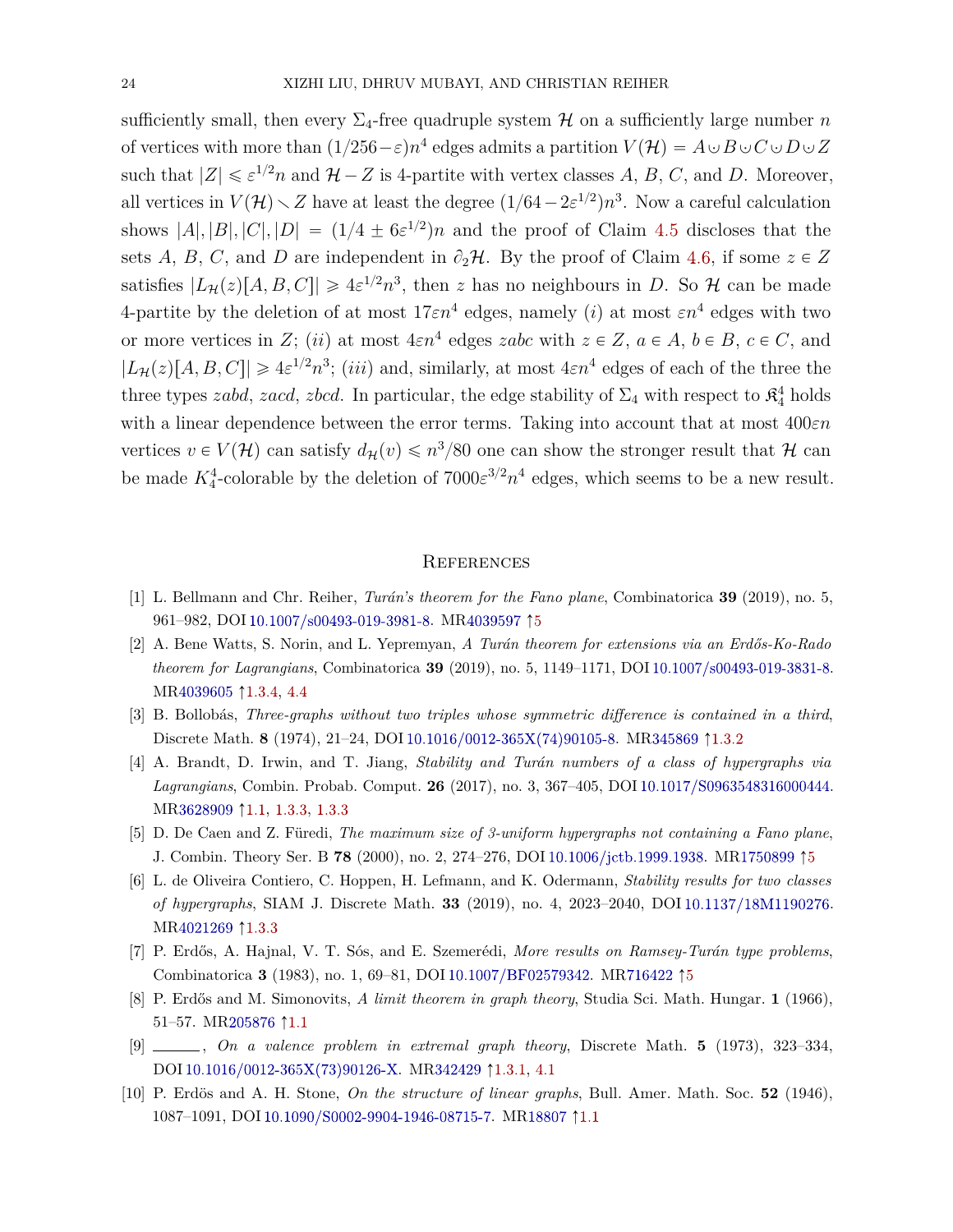sufficiently small, then every  $\Sigma_4$ -free quadruple system  $H$  on a sufficiently large number *n* of vertices with more than  $(1/256 - \varepsilon)n^4$  edges admits a partition  $V(\mathcal{H}) = A \cup B \cup C \cup D \cup Z$ such that  $|Z| \le \varepsilon^{1/2} n$  and  $\mathcal{H} - Z$  is 4-partite with vertex classes A, B, C, and D. Moreover, all vertices in  $V(\mathcal{H}) \setminus Z$  have at least the degree  $(1/64 - 2\varepsilon^{1/2})n^3$ . Now a careful calculation shows  $|A|, |B|, |C|, |D| = (1/4 \pm 6\varepsilon^{1/2})n$  and the proof of Claim [4.5](#page-15-0) discloses that the sets *A*, *B*, *C*, and *D* are independent in  $\partial_2 \mathcal{H}$ . By the proof of Claim [4.6,](#page-15-3) if some  $z \in Z$ satisfies  $|L_{\mathcal{H}}(z)[A, B, C]| \geq 4\varepsilon^{1/2} n^3$ , then *z* has no neighbours in *D*. So  $\mathcal{H}$  can be made 4-partite by the deletion of at most  $17\varepsilon n^4$  edges, namely *(i)* at most  $\varepsilon n^4$  edges with two or more vertices in *Z*; *(ii)* at most  $4\varepsilon n^4$  edges *zabc* with  $z \in Z$ ,  $a \in A$ ,  $b \in B$ ,  $c \in C$ , and  $|L_{\mathcal{H}}(z)[A, B, C]| \geq 4\varepsilon^{1/2} n^3$ ; *(iii)* and, similarly, at most  $4\varepsilon n^4$  edges of each of the three the three types *zabd*, *zacd*, *zbcd*. In particular, the edge stability of  $\Sigma_4$  with respect to  $\mathfrak{K}_4^4$  holds with a linear dependence between the error terms. Taking into account that at most 400*εn* vertices  $v \in V(\mathcal{H})$  can satisfy  $d_{\mathcal{H}}(v) \leq n^3/80$  one can show the stronger result that  $\mathcal{H}$  can be made  $K_4^4$ -colorable by the deletion of  $7000\varepsilon^{3/2}n^4$  edges, which seems to be a new result.

#### **REFERENCES**

- <span id="page-23-8"></span>[1] L. Bellmann and Chr. Reiher, *Turán's theorem for the Fano plane*, Combinatorica **39** (2019), no. 5, 961–982, DOI [10.1007/s00493-019-3981-8.](https://doi.org/10.1007/s00493-019-3981-8) M[R4039597](http://www.ams.org/mathscinet-getitem?mr=4039597) Ò[5](#page-21-1)
- <span id="page-23-6"></span>[2] A. Bene Watts, S. Norin, and L. Yepremyan, *A Turán theorem for extensions via an Erdős-Ko-Rado theorem for Lagrangians*, Combinatorica **39** (2019), no. 5, 1149–1171, DOI [10.1007/s00493-019-3831-8.](https://doi.org/10.1007/s00493-019-3831-8) M[R4039605](http://www.ams.org/mathscinet-getitem?mr=4039605)  $\uparrow$ [1.3.4,](#page-7-2) [4.4](#page-18-0)
- <span id="page-23-4"></span>[3] B. Bollobás, *Three-graphs without two triples whose symmetric difference is contained in a third*, Discrete Math. **8** (1974), 21–24, DOI [10.1016/0012-365X\(74\)90105-8.](https://doi.org/10.1016/0012-365X(74)90105-8) M[R345869](http://www.ams.org/mathscinet-getitem?mr=345869)  $\uparrow$ [1.3.2](#page-4-4)
- <span id="page-23-2"></span>[4] A. Brandt, D. Irwin, and T. Jiang, *Stability and Turán numbers of a class of hypergraphs via Lagrangians*, Combin. Probab. Comput. **26** (2017), no. 3, 367–405, DOI [10.1017/S0963548316000444.](https://doi.org/10.1017/S0963548316000444) M[R3628909](http://www.ams.org/mathscinet-getitem?mr=3628909) Ò[1.1,](#page-1-0) [1.3.3,](#page-6-2) [1.3.3](#page-6-0)
- <span id="page-23-7"></span>[5] D. De Caen and Z. Füredi, *The maximum size of 3-uniform hypergraphs not containing a Fano plane*, J. Combin. Theory Ser. B **78** (2000), no. 2, 274–276, DOI [10.1006/jctb.1999.1938.](https://doi.org/10.1006/jctb.1999.1938) M[R1750899](http://www.ams.org/mathscinet-getitem?mr=1750899) Ò[5](#page-21-1)
- <span id="page-23-5"></span>[6] L. de Oliveira Contiero, C. Hoppen, H. Lefmann, and K. Odermann, *Stability results for two classes of hypergraphs*, SIAM J. Discrete Math. **33** (2019), no. 4, 2023–2040, DOI [10.1137/18M1190276.](https://doi.org/10.1137/18M1190276) M[R4021269](http://www.ams.org/mathscinet-getitem?mr=4021269) [1.3.3](#page-5-1)
- <span id="page-23-9"></span>[7] P. Erdős, A. Hajnal, V. T. Sós, and E. Szemerédi, *More results on Ramsey-Turán type problems*, Combinatorica **3** (1983), no. 1, 69–81, DOI [10.1007/BF02579342.](https://doi.org/10.1007/BF02579342) M[R716422](http://www.ams.org/mathscinet-getitem?mr=716422)  $\uparrow$ [5](#page-21-1)
- <span id="page-23-1"></span>[8] P. Erdős and M. Simonovits, *A limit theorem in graph theory*, Studia Sci. Math. Hungar. **1** (1966), 51–57. M[R205876](http://www.ams.org/mathscinet-getitem?mr=205876) 1[1.1](#page-0-0)
- <span id="page-23-3"></span>[9] , *On a valence problem in extremal graph theory*, Discrete Math. **5** (1973), 323–334, DOI [10.1016/0012-365X\(73\)90126-X.](https://doi.org/10.1016/0012-365X(73)90126-X) M[R342429](http://www.ams.org/mathscinet-getitem?mr=342429)  $\uparrow$ [1.3.1,](#page-4-5) [4.1](#page-12-1)
- <span id="page-23-0"></span>[10] P. Erdös and A. H. Stone, *On the structure of linear graphs*, Bull. Amer. Math. Soc. **52** (1946), 1087–1091, DOI [10.1090/S0002-9904-1946-08715-7.](https://doi.org/10.1090/S0002-9904-1946-08715-7) M[R18807](http://www.ams.org/mathscinet-getitem?mr=18807) Ò[1.1](#page-0-0)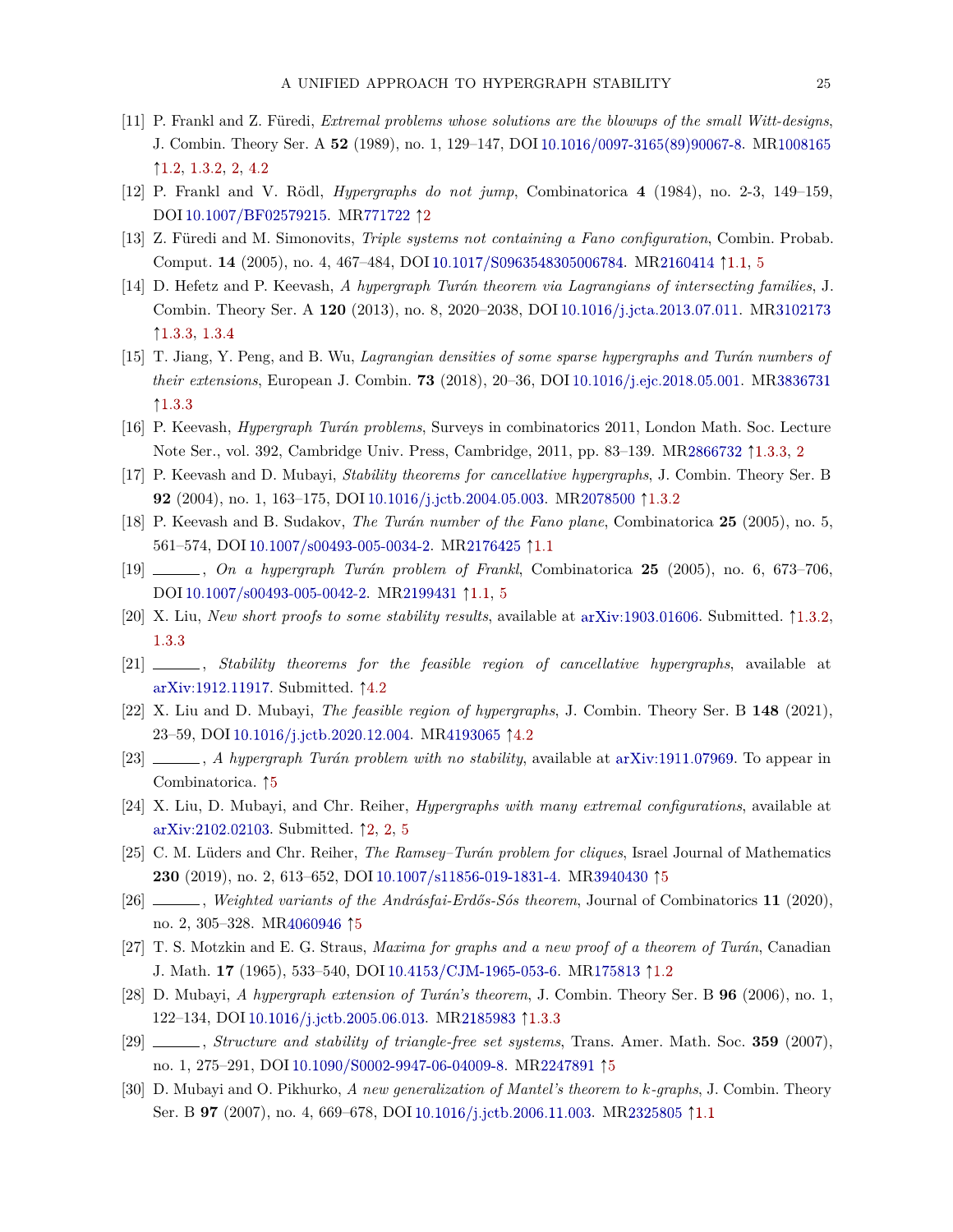- <span id="page-24-5"></span>[11] P. Frankl and Z. Füredi, *Extremal problems whose solutions are the blowups of the small Witt-designs*, J. Combin. Theory Ser. A **52** (1989), no. 1, 129–147, DOI [10.1016/0097-3165\(89\)90067-8.](https://doi.org/10.1016/0097-3165(89)90067-8) M[R1008165](http://www.ams.org/mathscinet-getitem?mr=1008165)  $\uparrow$  [1.2,](#page-3-2) [1.3.2,](#page-4-4) [2,](#page-8-0) [4.2](#page-13-2)
- <span id="page-24-12"></span>[12] P. Frankl and V. Rödl, *Hypergraphs do not jump*, Combinatorica **4** (1984), no. 2-3, 149–159, DOI [10.1007/BF02579215.](https://doi.org/10.1007/BF02579215) M[R771722](http://www.ams.org/mathscinet-getitem?mr=771722) ↑[2](#page-7-0)
- <span id="page-24-0"></span>[13] Z. Füredi and M. Simonovits, *Triple systems not containing a Fano configuration*, Combin. Probab. Comput. **14** (2005), no. 4, 467–484, DOI [10.1017/S0963548305006784.](https://doi.org/10.1017/S0963548305006784) M[R2160414](http://www.ams.org/mathscinet-getitem?mr=2160414) Ò[1.1,](#page-1-0) [5](#page-21-1)
- <span id="page-24-10"></span>[14] D. Hefetz and P. Keevash, *A hypergraph Turán theorem via Lagrangians of intersecting families*, J. Combin. Theory Ser. A **120** (2013), no. 8, 2020–2038, DOI [10.1016/j.jcta.2013.07.011.](https://doi.org/10.1016/j.jcta.2013.07.011) M[R3102173](http://www.ams.org/mathscinet-getitem?mr=3102173) Ò[1.3.3,](#page-6-0) [1.3.4](#page-7-2)
- <span id="page-24-11"></span>[15] T. Jiang, Y. Peng, and B. Wu, *Lagrangian densities of some sparse hypergraphs and Turán numbers of their extensions*, European J. Combin. **73** (2018), 20–36, DOI [10.1016/j.ejc.2018.05.001.](https://doi.org/10.1016/j.ejc.2018.05.001) M[R3836731](http://www.ams.org/mathscinet-getitem?mr=3836731)  $1.3.3$
- <span id="page-24-9"></span>[16] P. Keevash, *Hypergraph Turán problems*, Surveys in combinatorics 2011, London Math. Soc. Lecture Note Ser., vol. 392, Cambridge Univ. Press, Cambridge, 2011, pp. 83–139. M[R2866732](http://www.ams.org/mathscinet-getitem?mr=2866732)  $\uparrow$ [1.3.3,](#page-5-1) [2](#page-8-0)
- <span id="page-24-6"></span>[17] P. Keevash and D. Mubayi, *Stability theorems for cancellative hypergraphs*, J. Combin. Theory Ser. B **92** (2004), no. 1, 163–175, DOI [10.1016/j.jctb.2004.05.003.](https://doi.org/10.1016/j.jctb.2004.05.003) M[R2078500](http://www.ams.org/mathscinet-getitem?mr=2078500)  $\uparrow$ [1.3.2](#page-4-4)
- <span id="page-24-1"></span>[18] P. Keevash and B. Sudakov, *The Turán number of the Fano plane*, Combinatorica **25** (2005), no. 5, 561–574, DOI [10.1007/s00493-005-0034-2.](https://doi.org/10.1007/s00493-005-0034-2) M[R2176425](http://www.ams.org/mathscinet-getitem?mr=2176425) Ò[1.1](#page-1-0)
- <span id="page-24-2"></span>[19] , *On a hypergraph Turán problem of Frankl*, Combinatorica **25** (2005), no. 6, 673–706, DOI [10.1007/s00493-005-0042-2.](https://doi.org/10.1007/s00493-005-0042-2) M[R2199431](http://www.ams.org/mathscinet-getitem?mr=2199431)  $\uparrow$ [1.1,](#page-1-0) [5](#page-21-1)
- <span id="page-24-7"></span>[20] X. Liu, *New short proofs to some stability results*, available at [arXiv:1903.01606.](http://arxiv.org/abs/1903.01606) Submitted.  $\uparrow$ [1.3.2,](#page-4-4) [1.3.3](#page-5-1)
- <span id="page-24-14"></span>[21] , *Stability theorems for the feasible region of cancellative hypergraphs*, available at [arXiv:1912.11917.](http://arxiv.org/abs/1912.11917) Submitted.  $\uparrow$ [4.2](#page-13-2)
- <span id="page-24-15"></span>[22] X. Liu and D. Mubayi, *The feasible region of hypergraphs*, J. Combin. Theory Ser. B **148** (2021), 23–59, DOI [10.1016/j.jctb.2020.12.004.](https://doi.org/10.1016/j.jctb.2020.12.004) M[R4193065](http://www.ams.org/mathscinet-getitem?mr=4193065) 1[4.2](#page-13-2)
- <span id="page-24-17"></span>[23] , *A hypergraph Turán problem with no stability*, available at [arXiv:1911.07969.](http://arxiv.org/abs/1911.07969) To appear in Combinatorica.  $\uparrow 5$  $\uparrow 5$
- <span id="page-24-13"></span>[24] X. Liu, D. Mubayi, and Chr. Reiher, *Hypergraphs with many extremal configurations*, available at [arXiv:2102.02103.](http://arxiv.org/abs/2102.02103) Submitted.  $\uparrow$  [2,](#page-9-8) 2, [5](#page-21-1)
- <span id="page-24-18"></span>[25] C. M. Lüders and Chr. Reiher, *The Ramsey–Turán problem for cliques*, Israel Journal of Mathematics **230** (2019), no. 2, 613–652, DOI [10.1007/s11856-019-1831-4.](https://doi.org/10.1007/s11856-019-1831-4) M[R3940430](http://www.ams.org/mathscinet-getitem?mr=3940430) <sup>†[5](#page-21-1)</sup>
- <span id="page-24-19"></span>[26] , *Weighted variants of the Andrásfai-Erdős-Sós theorem*, Journal of Combinatorics **11** (2020), no. 2, 305–328. M[R4060946](http://www.ams.org/mathscinet-getitem?mr=4060946) ↑[5](#page-21-1)
- <span id="page-24-4"></span>[27] T. S. Motzkin and E. G. Straus, *Maxima for graphs and a new proof of a theorem of Turán*, Canadian J. Math. **17** (1965), 533–540, DOI [10.4153/CJM-1965-053-6.](https://doi.org/10.4153/CJM-1965-053-6) M[R175813](http://www.ams.org/mathscinet-getitem?mr=175813)  $\uparrow$ [1.2](#page-3-2)
- <span id="page-24-8"></span>[28] D. Mubayi, *A hypergraph extension of Turán's theorem*, J. Combin. Theory Ser. B **96** (2006), no. 1, 122–134, DOI [10.1016/j.jctb.2005.06.013.](https://doi.org/10.1016/j.jctb.2005.06.013) M[R2185983](http://www.ams.org/mathscinet-getitem?mr=2185983) [1.3.3](#page-5-1)
- <span id="page-24-16"></span>[29] , *Structure and stability of triangle-free set systems*, Trans. Amer. Math. Soc. **359** (2007), no. 1, 275–291, DOI [10.1090/S0002-9947-06-04009-8.](https://doi.org/10.1090/S0002-9947-06-04009-8) M[R2247891](http://www.ams.org/mathscinet-getitem?mr=2247891)  $\uparrow$ [5](#page-21-1)
- <span id="page-24-3"></span>[30] D. Mubayi and O. Pikhurko, *A new generalization of Mantel's theorem to k-graphs*, J. Combin. Theory Ser. B **97** (2007), no. 4, 669–678, DOI [10.1016/j.jctb.2006.11.003.](https://doi.org/10.1016/j.jctb.2006.11.003) M[R2325805](http://www.ams.org/mathscinet-getitem?mr=2325805)  $\uparrow$ [1.1](#page-1-0)